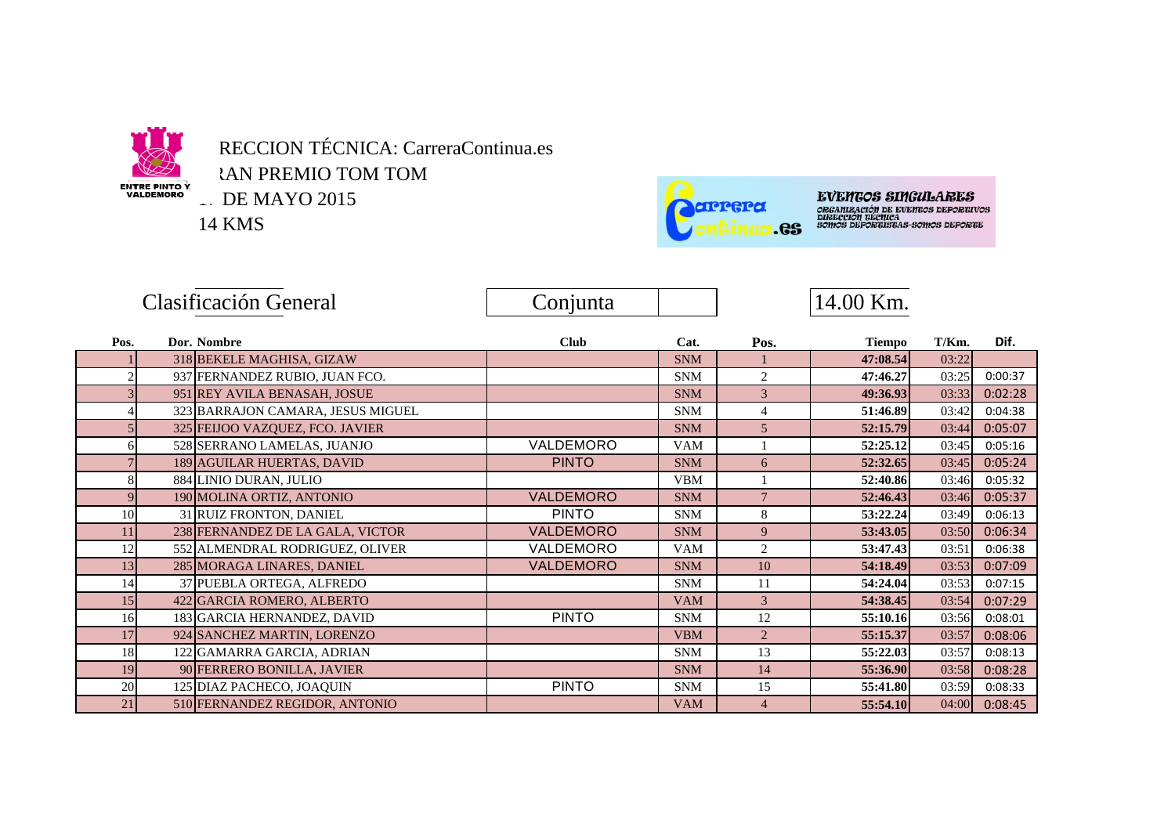

RECCION TÉCNICA: CarreraContinua.es **AN PREMIO TOM TOM** 

1. DE MAYO 2015

14 KMS



**EVENTOS SINGULARES** ORANG COOP DAI (URAL MUSSO)<br>ORGANIZACIÓN DE EVENTOS DEPORTIVOS<br>SOMOS DEPORTISTAS-SOMOS DEPORTE

|      | Clasificación General |                                   | Conjunta         |            |                | 14.00 Km.     |       |         |
|------|-----------------------|-----------------------------------|------------------|------------|----------------|---------------|-------|---------|
| Pos. |                       | Dor. Nombre                       | <b>Club</b>      | Cat.       | Pos.           | <b>Tiempo</b> | T/Km. | Dif.    |
|      |                       | 318 BEKELE MAGHISA, GIZAW         |                  | <b>SNM</b> |                | 47:08.54      | 03:22 |         |
|      |                       | 937 FERNANDEZ RUBIO, JUAN FCO.    |                  | <b>SNM</b> | 2              | 47:46.27      | 03:25 | 0:00:37 |
|      |                       | 951 REY AVILA BENASAH, JOSUE      |                  | <b>SNM</b> | 3              | 49:36.93      | 03:33 | 0:02:28 |
|      |                       | 323 BARRAJON CAMARA, JESUS MIGUEL |                  | <b>SNM</b> | $\overline{4}$ | 51:46.89      | 03:42 | 0:04:38 |
|      |                       | 325 FEIJOO VAZQUEZ, FCO. JAVIER   |                  | <b>SNM</b> | 5              | 52:15.79      | 03:44 | 0:05:07 |
| 6    |                       | 528 SERRANO LAMELAS, JUANJO       | VALDEMORO        | <b>VAM</b> |                | 52:25.12      | 03:45 | 0:05:16 |
|      |                       | 189 AGUILAR HUERTAS, DAVID        | <b>PINTO</b>     | <b>SNM</b> | 6              | 52:32.65      | 03:45 | 0:05:24 |
| 8    |                       | 884 LINIO DURAN, JULIO            |                  | <b>VBM</b> |                | 52:40.86      | 03:46 | 0:05:32 |
| 9    |                       | 190 MOLINA ORTIZ, ANTONIO         | <b>VALDEMORO</b> | <b>SNM</b> | $\overline{7}$ | 52:46.43      | 03:46 | 0:05:37 |
| 10   |                       | 31 RUIZ FRONTON, DANIEL           | <b>PINTO</b>     | <b>SNM</b> | 8              | 53:22.24      | 03:49 | 0:06:13 |
| 11   |                       | 238 FERNANDEZ DE LA GALA, VICTOR  | <b>VALDEMORO</b> | <b>SNM</b> | 9              | 53:43.05      | 03:50 | 0:06:34 |
| 12   |                       | 552 ALMENDRAL RODRIGUEZ, OLIVER   | VALDEMORO        | <b>VAM</b> | 2              | 53:47.43      | 03:51 | 0:06:38 |
| 13   |                       | 285 MORAGA LINARES, DANIEL        | <b>VALDEMORO</b> | <b>SNM</b> | 10             | 54:18.49      | 03:53 | 0:07:09 |
| 14   |                       | 37 PUEBLA ORTEGA, ALFREDO         |                  | <b>SNM</b> | 11             | 54:24.04      | 03:53 | 0:07:15 |
| 15   |                       | 422 GARCIA ROMERO, ALBERTO        |                  | <b>VAM</b> | 3              | 54:38.45      | 03:54 | 0:07:29 |
| 16   |                       | 183 GARCIA HERNANDEZ, DAVID       | <b>PINTO</b>     | <b>SNM</b> | 12             | 55:10.16      | 03:56 | 0:08:01 |
| 17   |                       | 924 SANCHEZ MARTIN, LORENZO       |                  | <b>VBM</b> | $\overline{2}$ | 55:15.37      | 03:57 | 0:08:06 |
| 18   |                       | 122 GAMARRA GARCIA, ADRIAN        |                  | <b>SNM</b> | 13             | 55:22.03      | 03:57 | 0:08:13 |
| 19   |                       | 90 FERRERO BONILLA, JAVIER        |                  | <b>SNM</b> | 14             | 55:36.90      | 03:58 | 0:08:28 |
| 20   |                       | 125 DIAZ PACHECO, JOAQUIN         | <b>PINTO</b>     | <b>SNM</b> | 15             | 55:41.80      | 03:59 | 0:08:33 |
| 21   |                       | 510 FERNANDEZ REGIDOR, ANTONIO    |                  | <b>VAM</b> | $\overline{4}$ | 55:54.10      | 04:00 | 0:08:45 |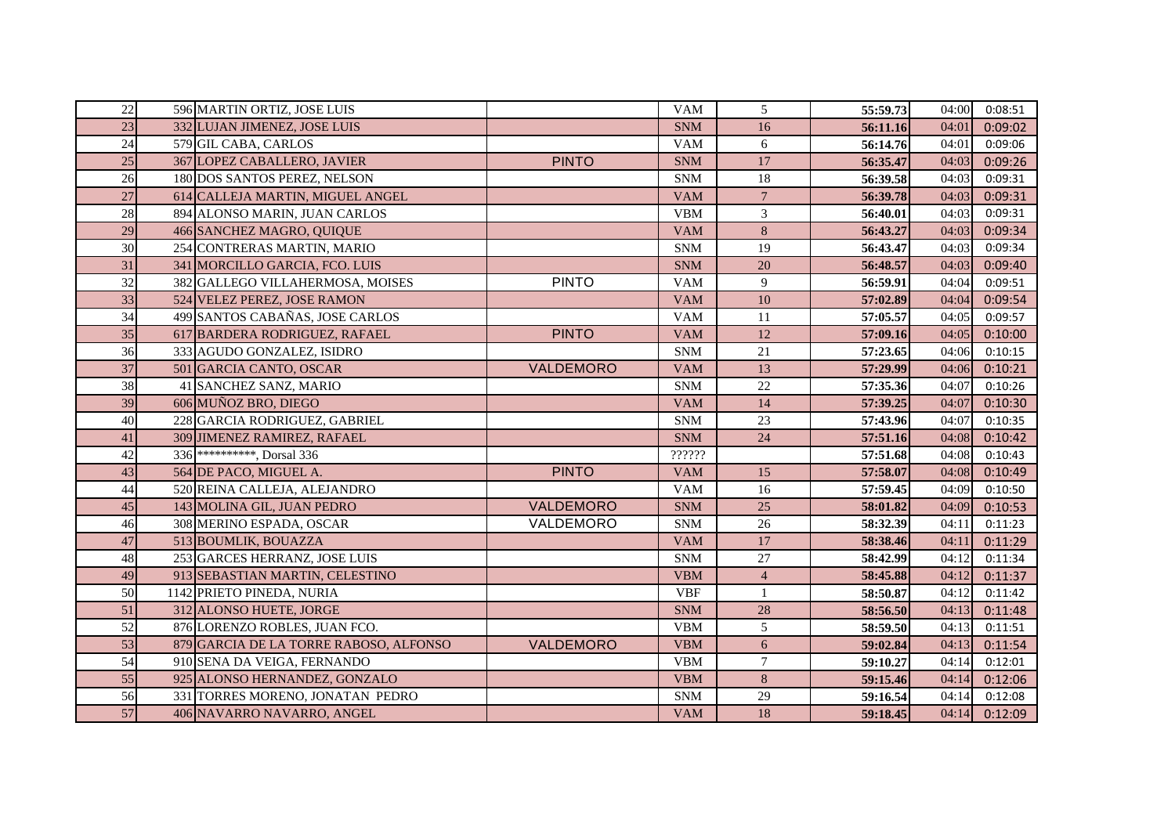| 22 | 596 MARTIN ORTIZ, JOSE LUIS            |                  | <b>VAM</b> | 5              | 55:59.73 | 04:00 | 0:08:51 |
|----|----------------------------------------|------------------|------------|----------------|----------|-------|---------|
| 23 | 332 LUJAN JIMENEZ, JOSE LUIS           |                  | <b>SNM</b> | 16             | 56:11.16 | 04:01 | 0:09:02 |
| 24 | 579 GIL CABA, CARLOS                   |                  | <b>VAM</b> | 6              | 56:14.76 | 04:01 | 0:09:06 |
| 25 | 367 LOPEZ CABALLERO, JAVIER            | <b>PINTO</b>     | <b>SNM</b> | 17             | 56:35.47 | 04:03 | 0:09:26 |
| 26 | 180 DOS SANTOS PEREZ, NELSON           |                  | <b>SNM</b> | 18             | 56:39.58 | 04:03 | 0:09:31 |
| 27 | 614 CALLEJA MARTIN, MIGUEL ANGEL       |                  | <b>VAM</b> | $\overline{7}$ | 56:39.78 | 04:03 | 0:09:31 |
| 28 | 894 ALONSO MARIN, JUAN CARLOS          |                  | <b>VBM</b> | $\mathfrak{Z}$ | 56:40.01 | 04:03 | 0:09:31 |
| 29 | 466 SANCHEZ MAGRO, QUIQUE              |                  | <b>VAM</b> | 8              | 56:43.27 | 04:03 | 0:09:34 |
| 30 | 254 CONTRERAS MARTIN, MARIO            |                  | <b>SNM</b> | 19             | 56:43.47 | 04:03 | 0:09:34 |
| 31 | 341 MORCILLO GARCIA, FCO. LUIS         |                  | <b>SNM</b> | 20             | 56:48.57 | 04:03 | 0:09:40 |
| 32 | 382 GALLEGO VILLAHERMOSA, MOISES       | <b>PINTO</b>     | <b>VAM</b> | 9              | 56:59.91 | 04:04 | 0:09:51 |
| 33 | 524 VELEZ PEREZ, JOSE RAMON            |                  | <b>VAM</b> | 10             | 57:02.89 | 04:04 | 0:09:54 |
| 34 | 499 SANTOS CABAÑAS, JOSE CARLOS        |                  | <b>VAM</b> | 11             | 57:05.57 | 04:05 | 0:09:57 |
| 35 | 617 BARDERA RODRIGUEZ, RAFAEL          | <b>PINTO</b>     | <b>VAM</b> | 12             | 57:09.16 | 04:05 | 0:10:00 |
| 36 | 333 AGUDO GONZALEZ, ISIDRO             |                  | <b>SNM</b> | 21             | 57:23.65 | 04:06 | 0:10:15 |
| 37 | 501 GARCIA CANTO, OSCAR                | VALDEMORO        | <b>VAM</b> | 13             | 57:29.99 | 04:06 | 0:10:21 |
| 38 | 41 SANCHEZ SANZ, MARIO                 |                  | <b>SNM</b> | 22             | 57:35.36 | 04:07 | 0:10:26 |
| 39 | 606 MUÑOZ BRO, DIEGO                   |                  | <b>VAM</b> | 14             | 57:39.25 | 04:07 | 0:10:30 |
| 40 | 228 GARCIA RODRIGUEZ, GABRIEL          |                  | <b>SNM</b> | 23             | 57:43.96 | 04:07 | 0:10:35 |
| 41 | 309 JIMENEZ RAMIREZ, RAFAEL            |                  | <b>SNM</b> | 24             | 57:51.16 | 04:08 | 0:10:42 |
| 42 | 336 <sup>**********</sup> , Dorsal 336 |                  | ??????     |                | 57:51.68 | 04:08 | 0:10:43 |
| 43 | 564 DE PACO, MIGUEL A.                 | <b>PINTO</b>     | <b>VAM</b> | 15             | 57:58.07 | 04:08 | 0:10:49 |
| 44 | 520 REINA CALLEJA, ALEJANDRO           |                  | <b>VAM</b> | 16             | 57:59.45 | 04:09 | 0:10:50 |
| 45 | 143 MOLINA GIL, JUAN PEDRO             | <b>VALDEMORO</b> | <b>SNM</b> | 25             | 58:01.82 | 04:09 | 0:10:53 |
| 46 | 308 MERINO ESPADA, OSCAR               | VALDEMORO        | <b>SNM</b> | 26             | 58:32.39 | 04:11 | 0:11:23 |
| 47 | 513 BOUMLIK, BOUAZZA                   |                  | <b>VAM</b> | 17             | 58:38.46 | 04:11 | 0:11:29 |
| 48 | 253 GARCES HERRANZ, JOSE LUIS          |                  | <b>SNM</b> | 27             | 58:42.99 | 04:12 | 0:11:34 |
| 49 | 913 SEBASTIAN MARTIN, CELESTINO        |                  | <b>VBM</b> | $\overline{4}$ | 58:45.88 | 04:12 | 0:11:37 |
| 50 | 1142 PRIETO PINEDA, NURIA              |                  | <b>VBF</b> | $\mathbf{1}$   | 58:50.87 | 04:12 | 0:11:42 |
| 51 | 312 ALONSO HUETE, JORGE                |                  | <b>SNM</b> | 28             | 58:56.50 | 04:13 | 0:11:48 |
| 52 | 876 LORENZO ROBLES, JUAN FCO.          |                  | <b>VBM</b> | 5              | 58:59.50 | 04:13 | 0:11:51 |
| 53 | 879 GARCIA DE LA TORRE RABOSO, ALFONSO | <b>VALDEMORO</b> | <b>VBM</b> | 6              | 59:02.84 | 04:13 | 0:11:54 |
| 54 | 910 SENA DA VEIGA, FERNANDO            |                  | <b>VBM</b> | $\overline{7}$ | 59:10.27 | 04:14 | 0:12:01 |
| 55 | 925 ALONSO HERNANDEZ, GONZALO          |                  | <b>VBM</b> | 8              | 59:15.46 | 04:14 | 0:12:06 |
| 56 | 331 TORRES MORENO, JONATAN PEDRO       |                  | <b>SNM</b> | 29             | 59:16.54 | 04:14 | 0:12:08 |
| 57 | 406 NAVARRO NAVARRO, ANGEL             |                  | <b>VAM</b> | 18             | 59:18.45 | 04:14 | 0:12:09 |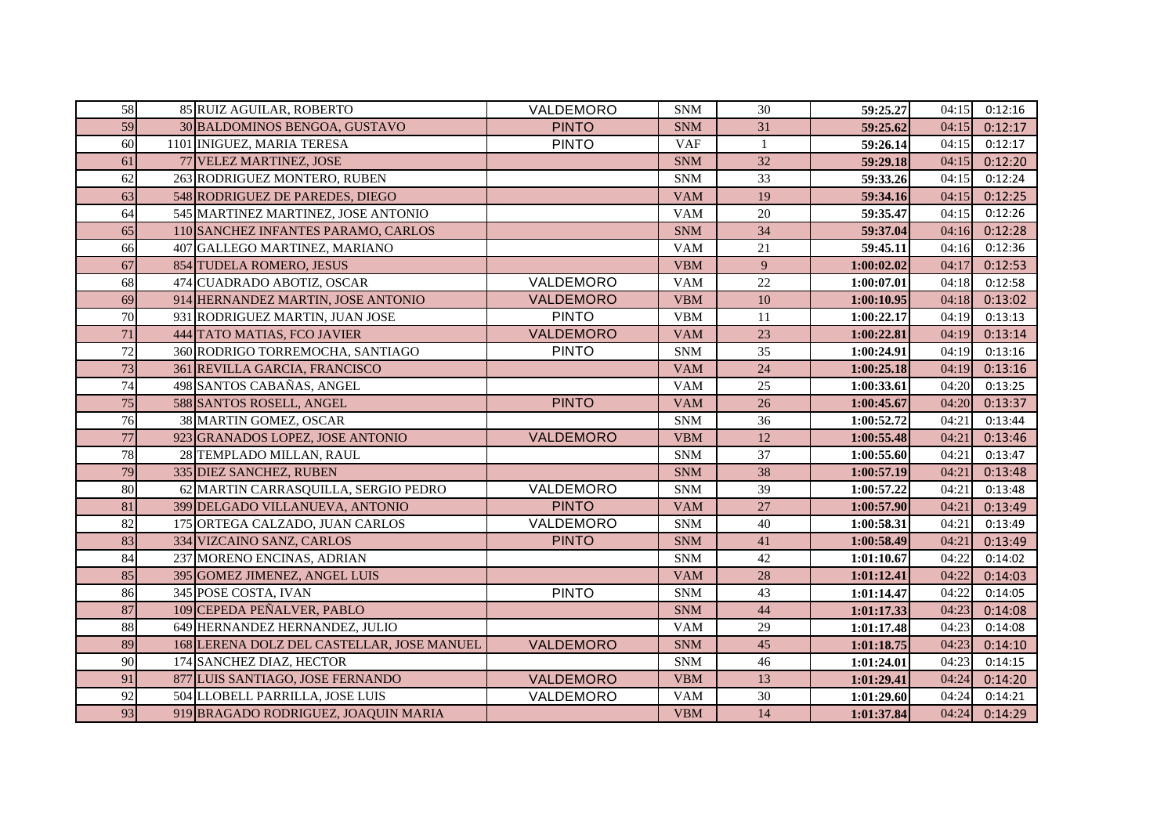| 58 | 85 RUIZ AGUILAR, ROBERTO                   | VALDEMORO        | <b>SNM</b> | 30              | 59:25.27   | 04:15 | 0:12:16 |
|----|--------------------------------------------|------------------|------------|-----------------|------------|-------|---------|
| 59 | 30 BALDOMINOS BENGOA, GUSTAVO              | <b>PINTO</b>     | <b>SNM</b> | 31              | 59:25.62   | 04:15 | 0:12:17 |
| 60 | 1101 INIGUEZ, MARIA TERESA                 | <b>PINTO</b>     | <b>VAF</b> | 1               | 59:26.14   | 04:15 | 0:12:17 |
| 61 | 77 VELEZ MARTINEZ, JOSE                    |                  | <b>SNM</b> | 32              | 59:29.18   | 04:15 | 0:12:20 |
| 62 | 263 RODRIGUEZ MONTERO, RUBEN               |                  | <b>SNM</b> | 33              | 59:33.26   | 04:15 | 0:12:24 |
| 63 | 548 RODRIGUEZ DE PAREDES, DIEGO            |                  | <b>VAM</b> | 19              | 59:34.16   | 04:15 | 0:12:25 |
| 64 | 545 MARTINEZ MARTINEZ, JOSE ANTONIO        |                  | <b>VAM</b> | 20              | 59:35.47   | 04:15 | 0:12:26 |
| 65 | 110 SANCHEZ INFANTES PARAMO, CARLOS        |                  | <b>SNM</b> | 34              | 59:37.04   | 04:16 | 0:12:28 |
| 66 | 407 GALLEGO MARTINEZ, MARIANO              |                  | <b>VAM</b> | 21              | 59:45.11   | 04:16 | 0:12:36 |
| 67 | 854 TUDELA ROMERO, JESUS                   |                  | <b>VBM</b> | 9               | 1:00:02.02 | 04:17 | 0:12:53 |
| 68 | 474 CUADRADO ABOTIZ, OSCAR                 | VALDEMORO        | <b>VAM</b> | 22              | 1:00:07.01 | 04:18 | 0:12:58 |
| 69 | 914 HERNANDEZ MARTIN, JOSE ANTONIO         | <b>VALDEMORO</b> | <b>VBM</b> | $\overline{10}$ | 1:00:10.95 | 04:18 | 0:13:02 |
| 70 | 931 RODRIGUEZ MARTIN, JUAN JOSE            | <b>PINTO</b>     | <b>VBM</b> | 11              | 1:00:22.17 | 04:19 | 0:13:13 |
| 71 | 444 TATO MATIAS, FCO JAVIER                | VALDEMORO        | <b>VAM</b> | 23              | 1:00:22.81 | 04:19 | 0:13:14 |
| 72 | 360 RODRIGO TORREMOCHA, SANTIAGO           | <b>PINTO</b>     | <b>SNM</b> | 35              | 1:00:24.91 | 04:19 | 0:13:16 |
| 73 | 361 REVILLA GARCIA, FRANCISCO              |                  | <b>VAM</b> | 24              | 1:00:25.18 | 04:19 | 0:13:16 |
| 74 | 498 SANTOS CABAÑAS, ANGEL                  |                  | <b>VAM</b> | 25              | 1:00:33.61 | 04:20 | 0:13:25 |
| 75 | 588 SANTOS ROSELL, ANGEL                   | <b>PINTO</b>     | <b>VAM</b> | 26              | 1:00:45.67 | 04:20 | 0:13:37 |
| 76 | 38 MARTIN GOMEZ, OSCAR                     |                  | <b>SNM</b> | 36              | 1:00:52.72 | 04:21 | 0:13:44 |
| 77 | 923 GRANADOS LOPEZ, JOSE ANTONIO           | VALDEMORO        | <b>VBM</b> | 12              | 1:00:55.48 | 04:21 | 0:13:46 |
| 78 | 28 TEMPLADO MILLAN, RAUL                   |                  | <b>SNM</b> | 37              | 1:00:55.60 | 04:21 | 0:13:47 |
| 79 | 335 DIEZ SANCHEZ, RUBEN                    |                  | <b>SNM</b> | 38              | 1:00:57.19 | 04:21 | 0:13:48 |
| 80 | 62 MARTIN CARRASQUILLA, SERGIO PEDRO       | <b>VALDEMORO</b> | <b>SNM</b> | 39              | 1:00:57.22 | 04:21 | 0:13:48 |
| 81 | 399 DELGADO VILLANUEVA, ANTONIO            | <b>PINTO</b>     | <b>VAM</b> | 27              | 1:00:57.90 | 04:21 | 0:13:49 |
| 82 | 175 ORTEGA CALZADO, JUAN CARLOS            | VALDEMORO        | <b>SNM</b> | 40              | 1:00:58.31 | 04:21 | 0:13:49 |
| 83 | 334 VIZCAINO SANZ, CARLOS                  | <b>PINTO</b>     | <b>SNM</b> | 41              | 1:00:58.49 | 04:21 | 0:13:49 |
| 84 | 237 MORENO ENCINAS, ADRIAN                 |                  | <b>SNM</b> | $42\,$          | 1:01:10.67 | 04:22 | 0:14:02 |
| 85 | 395 GOMEZ JIMENEZ, ANGEL LUIS              |                  | <b>VAM</b> | 28              | 1:01:12.41 | 04:22 | 0:14:03 |
| 86 | 345 POSE COSTA, IVAN                       | <b>PINTO</b>     | <b>SNM</b> | 43              | 1:01:14.47 | 04:22 | 0:14:05 |
| 87 | 109 CEPEDA PEÑALVER, PABLO                 |                  | <b>SNM</b> | 44              | 1:01:17.33 | 04:23 | 0:14:08 |
| 88 | 649 HERNANDEZ HERNANDEZ, JULIO             |                  | <b>VAM</b> | 29              | 1:01:17.48 | 04:23 | 0:14:08 |
| 89 | 168 LERENA DOLZ DEL CASTELLAR, JOSE MANUEL | VALDEMORO        | <b>SNM</b> | 45              | 1:01:18.75 | 04:23 | 0:14:10 |
| 90 | 174 SANCHEZ DIAZ, HECTOR                   |                  | <b>SNM</b> | 46              | 1:01:24.01 | 04:23 | 0:14:15 |
| 91 | 877 LUIS SANTIAGO, JOSE FERNANDO           | <b>VALDEMORO</b> | <b>VBM</b> | 13              | 1:01:29.41 | 04:24 | 0:14:20 |
| 92 | 504 LLOBELL PARRILLA, JOSE LUIS            | VALDEMORO        | <b>VAM</b> | 30              | 1:01:29.60 | 04:24 | 0:14:21 |
| 93 | 919 BRAGADO RODRIGUEZ, JOAQUIN MARIA       |                  | <b>VBM</b> | 14              | 1:01:37.84 | 04:24 | 0:14:29 |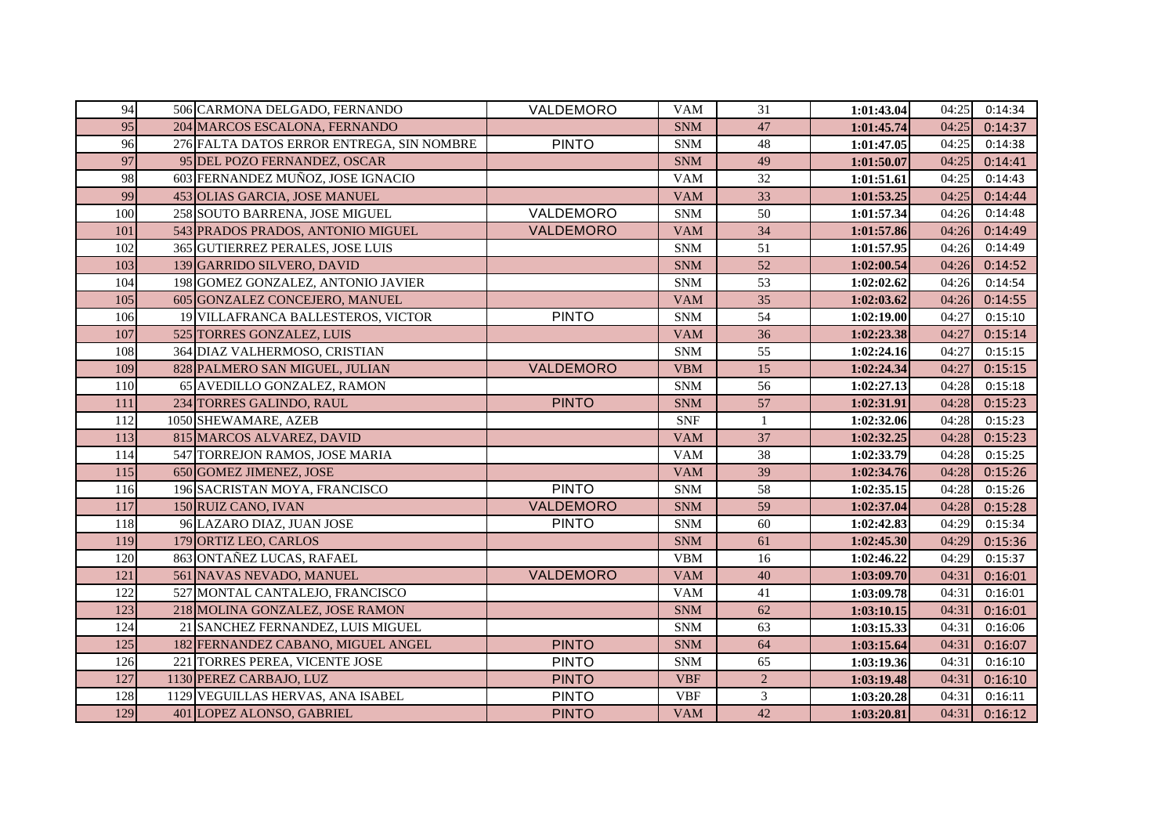| 94  | 506 CARMONA DELGADO, FERNANDO             | VALDEMORO        | <b>VAM</b> | 31              | 1:01:43.04 | 04:25 | 0:14:34 |
|-----|-------------------------------------------|------------------|------------|-----------------|------------|-------|---------|
| 95  | 204 MARCOS ESCALONA, FERNANDO             |                  | <b>SNM</b> | 47              | 1:01:45.74 | 04:25 | 0:14:37 |
| 96  | 276 FALTA DATOS ERROR ENTREGA, SIN NOMBRE | <b>PINTO</b>     | <b>SNM</b> | 48              | 1:01:47.05 | 04:25 | 0:14:38 |
| 97  | 95 DEL POZO FERNANDEZ, OSCAR              |                  | <b>SNM</b> | 49              | 1:01:50.07 | 04:25 | 0:14:41 |
| 98  | 603 FERNANDEZ MUÑOZ, JOSE IGNACIO         |                  | <b>VAM</b> | 32              | 1:01:51.61 | 04:25 | 0:14:43 |
| 99  | 453 OLIAS GARCIA, JOSE MANUEL             |                  | <b>VAM</b> | 33              | 1:01:53.25 | 04:25 | 0:14:44 |
| 100 | 258 SOUTO BARRENA, JOSE MIGUEL            | VALDEMORO        | <b>SNM</b> | 50              | 1:01:57.34 | 04:26 | 0:14:48 |
| 101 | 543 PRADOS PRADOS, ANTONIO MIGUEL         | VALDEMORO        | <b>VAM</b> | 34              | 1:01:57.86 | 04:26 | 0:14:49 |
| 102 | 365 GUTIERREZ PERALES, JOSE LUIS          |                  | <b>SNM</b> | 51              | 1:01:57.95 | 04:26 | 0:14:49 |
| 103 | 139 GARRIDO SILVERO, DAVID                |                  | <b>SNM</b> | 52              | 1:02:00.54 | 04:26 | 0:14:52 |
| 104 | 198 GOMEZ GONZALEZ, ANTONIO JAVIER        |                  | <b>SNM</b> | 53              | 1:02:02.62 | 04:26 | 0:14:54 |
| 105 | 605 GONZALEZ CONCEJERO, MANUEL            |                  | <b>VAM</b> | 35              | 1:02:03.62 | 04:26 | 0:14:55 |
| 106 | 19 VILLAFRANCA BALLESTEROS, VICTOR        | <b>PINTO</b>     | <b>SNM</b> | 54              | 1:02:19.00 | 04:27 | 0:15:10 |
| 107 | 525 TORRES GONZALEZ, LUIS                 |                  | <b>VAM</b> | 36              | 1:02:23.38 | 04:27 | 0:15:14 |
| 108 | 364 DIAZ VALHERMOSO, CRISTIAN             |                  | <b>SNM</b> | 55              | 1:02:24.16 | 04:27 | 0:15:15 |
| 109 | 828 PALMERO SAN MIGUEL, JULIAN            | VALDEMORO        | <b>VBM</b> | 15              | 1:02:24.34 | 04:27 | 0:15:15 |
| 110 | 65 AVEDILLO GONZALEZ, RAMON               |                  | <b>SNM</b> | 56              | 1:02:27.13 | 04:28 | 0:15:18 |
| 111 | 234 TORRES GALINDO, RAUL                  | <b>PINTO</b>     | <b>SNM</b> | 57              | 1:02:31.91 | 04:28 | 0:15:23 |
| 112 | 1050 SHEWAMARE, AZEB                      |                  | <b>SNF</b> | $\mathbf{1}$    | 1:02:32.06 | 04:28 | 0:15:23 |
| 113 | 815 MARCOS ALVAREZ, DAVID                 |                  | <b>VAM</b> | $\overline{37}$ | 1:02:32.25 | 04:28 | 0:15:23 |
| 114 | 547 TORREJON RAMOS, JOSE MARIA            |                  | <b>VAM</b> | 38              | 1:02:33.79 | 04:28 | 0:15:25 |
| 115 | 650 GOMEZ JIMENEZ, JOSE                   |                  | <b>VAM</b> | 39              | 1:02:34.76 | 04:28 | 0:15:26 |
| 116 | 196 SACRISTAN MOYA, FRANCISCO             | <b>PINTO</b>     | <b>SNM</b> | 58              | 1:02:35.15 | 04:28 | 0:15:26 |
| 117 | 150 RUIZ CANO, IVAN                       | <b>VALDEMORO</b> | <b>SNM</b> | 59              | 1:02:37.04 | 04:28 | 0:15:28 |
| 118 | 96 LAZARO DIAZ, JUAN JOSE                 | <b>PINTO</b>     | <b>SNM</b> | 60              | 1:02:42.83 | 04:29 | 0:15:34 |
| 119 | 179 ORTIZ LEO, CARLOS                     |                  | <b>SNM</b> | 61              | 1:02:45.30 | 04:29 | 0:15:36 |
| 120 | 863 ONTAÑEZ LUCAS, RAFAEL                 |                  | <b>VBM</b> | 16              | 1:02:46.22 | 04:29 | 0:15:37 |
| 121 | 561 NAVAS NEVADO, MANUEL                  | VALDEMORO        | <b>VAM</b> | 40              | 1:03:09.70 | 04:31 | 0:16:01 |
| 122 | 527 MONTAL CANTALEJO, FRANCISCO           |                  | <b>VAM</b> | 41              | 1:03:09.78 | 04:31 | 0:16:01 |
| 123 | 218 MOLINA GONZALEZ, JOSE RAMON           |                  | <b>SNM</b> | 62              | 1:03:10.15 | 04:31 | 0:16:01 |
| 124 | 21 SANCHEZ FERNANDEZ, LUIS MIGUEL         |                  | <b>SNM</b> | 63              | 1:03:15.33 | 04:31 | 0:16:06 |
| 125 | 182 FERNANDEZ CABANO, MIGUEL ANGEL        | <b>PINTO</b>     | <b>SNM</b> | 64              | 1:03:15.64 | 04:31 | 0:16:07 |
| 126 | 221 TORRES PEREA, VICENTE JOSE            | <b>PINTO</b>     | <b>SNM</b> | 65              | 1:03:19.36 | 04:31 | 0:16:10 |
| 127 | 1130 PEREZ CARBAJO, LUZ                   | <b>PINTO</b>     | <b>VBF</b> | $\overline{2}$  | 1:03:19.48 | 04:31 | 0:16:10 |
| 128 | 1129 VEGUILLAS HERVAS, ANA ISABEL         | <b>PINTO</b>     | <b>VBF</b> | $\overline{3}$  | 1:03:20.28 | 04:31 | 0:16:11 |
| 129 | 401 LOPEZ ALONSO, GABRIEL                 | <b>PINTO</b>     | <b>VAM</b> | 42              | 1:03:20.81 | 04:31 | 0:16:12 |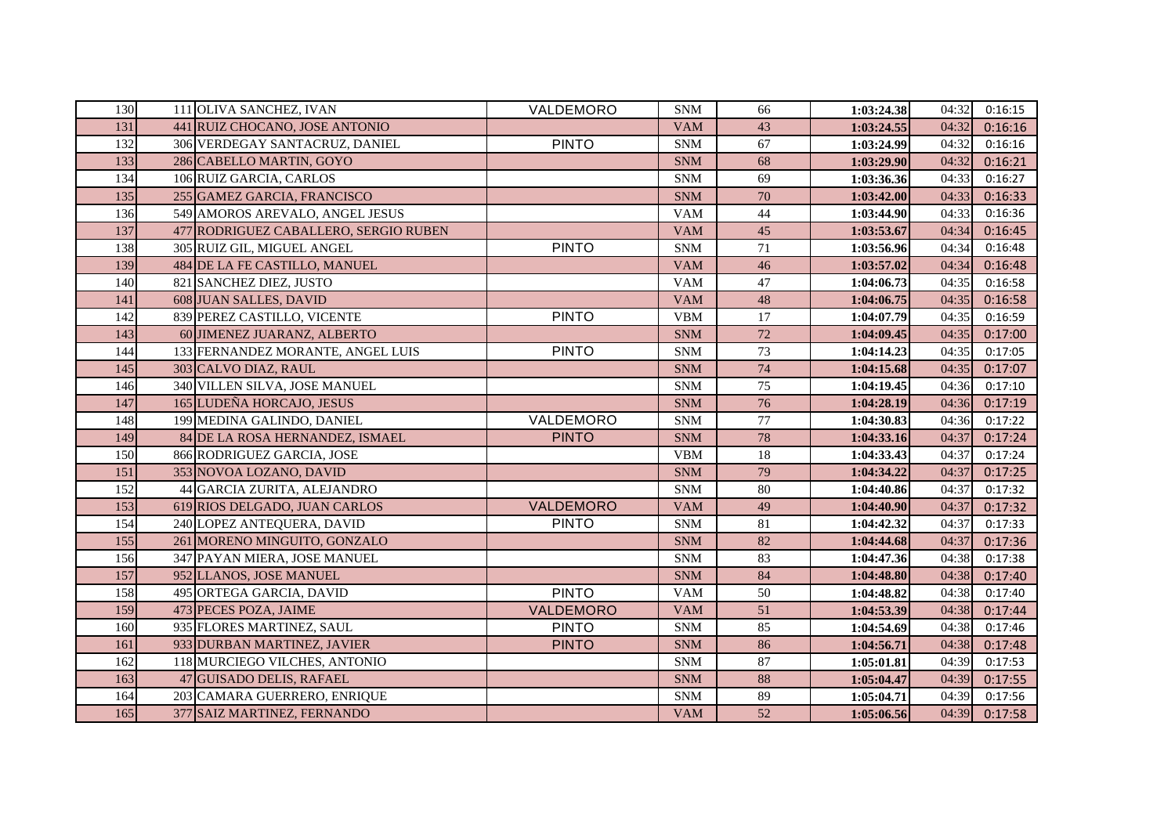| 130 | 111 OLIVA SANCHEZ, IVAN               | VALDEMORO        | <b>SNM</b> | 66              | 1:03:24.38 | 04:32 | 0:16:15 |
|-----|---------------------------------------|------------------|------------|-----------------|------------|-------|---------|
| 131 | 441 RUIZ CHOCANO, JOSE ANTONIO        |                  | <b>VAM</b> | 43              | 1:03:24.55 | 04:32 | 0:16:16 |
| 132 | 306 VERDEGAY SANTACRUZ, DANIEL        | <b>PINTO</b>     | <b>SNM</b> | 67              | 1:03:24.99 | 04:32 | 0:16:16 |
| 133 | 286 CABELLO MARTIN, GOYO              |                  | <b>SNM</b> | 68              | 1:03:29.90 | 04:32 | 0:16:21 |
| 134 | 106 RUIZ GARCIA, CARLOS               |                  | <b>SNM</b> | 69              | 1:03:36.36 | 04:33 | 0:16:27 |
| 135 | 255 GAMEZ GARCIA, FRANCISCO           |                  | <b>SNM</b> | 70              | 1:03:42.00 | 04:33 | 0:16:33 |
| 136 | 549 AMOROS AREVALO, ANGEL JESUS       |                  | <b>VAM</b> | 44              | 1:03:44.90 | 04:33 | 0:16:36 |
| 137 | 477 RODRIGUEZ CABALLERO, SERGIO RUBEN |                  | <b>VAM</b> | 45              | 1:03:53.67 | 04:34 | 0:16:45 |
| 138 | 305 RUIZ GIL, MIGUEL ANGEL            | <b>PINTO</b>     | <b>SNM</b> | 71              | 1:03:56.96 | 04:34 | 0:16:48 |
| 139 | 484 DE LA FE CASTILLO, MANUEL         |                  | <b>VAM</b> | 46              | 1:03:57.02 | 04:34 | 0:16:48 |
| 140 | 821 SANCHEZ DIEZ, JUSTO               |                  | <b>VAM</b> | 47              | 1:04:06.73 | 04:35 | 0:16:58 |
| 141 | 608 JUAN SALLES, DAVID                |                  | <b>VAM</b> | 48              | 1:04:06.75 | 04:35 | 0:16:58 |
| 142 | 839 PEREZ CASTILLO, VICENTE           | <b>PINTO</b>     | <b>VBM</b> | $\overline{17}$ | 1:04:07.79 | 04:35 | 0:16:59 |
| 143 | 60 JIMENEZ JUARANZ, ALBERTO           |                  | <b>SNM</b> | 72              | 1:04:09.45 | 04:35 | 0:17:00 |
| 144 | 133 FERNANDEZ MORANTE, ANGEL LUIS     | <b>PINTO</b>     | <b>SNM</b> | 73              | 1:04:14.23 | 04:35 | 0:17:05 |
| 145 | 303 CALVO DIAZ, RAUL                  |                  | <b>SNM</b> | 74              | 1:04:15.68 | 04:35 | 0:17:07 |
| 146 | 340 VILLEN SILVA, JOSE MANUEL         |                  | <b>SNM</b> | 75              | 1:04:19.45 | 04:36 | 0:17:10 |
| 147 | 165 LUDEÑA HORCAJO, JESUS             |                  | <b>SNM</b> | 76              | 1:04:28.19 | 04:36 | 0:17:19 |
| 148 | 199 MEDINA GALINDO, DANIEL            | VALDEMORO        | <b>SNM</b> | 77              | 1:04:30.83 | 04:36 | 0:17:22 |
| 149 | 84 DE LA ROSA HERNANDEZ, ISMAEL       | <b>PINTO</b>     | <b>SNM</b> | 78              | 1:04:33.16 | 04:37 | 0:17:24 |
| 150 | 866 RODRIGUEZ GARCIA, JOSE            |                  | <b>VBM</b> | 18              | 1:04:33.43 | 04:37 | 0:17:24 |
| 151 | 353 NOVOA LOZANO, DAVID               |                  | <b>SNM</b> | 79              | 1:04:34.22 | 04:37 | 0:17:25 |
| 152 | 44 GARCIA ZURITA, ALEJANDRO           |                  | <b>SNM</b> | 80              | 1:04:40.86 | 04:37 | 0:17:32 |
| 153 | 619 RIOS DELGADO, JUAN CARLOS         | <b>VALDEMORO</b> | <b>VAM</b> | 49              | 1:04:40.90 | 04:37 | 0:17:32 |
| 154 | 240 LOPEZ ANTEQUERA, DAVID            | <b>PINTO</b>     | <b>SNM</b> | 81              | 1:04:42.32 | 04:37 | 0:17:33 |
| 155 | 261 MORENO MINGUITO, GONZALO          |                  | <b>SNM</b> | 82              | 1:04:44.68 | 04:37 | 0:17:36 |
| 156 | 347 PAYAN MIERA, JOSE MANUEL          |                  | <b>SNM</b> | 83              | 1:04:47.36 | 04:38 | 0:17:38 |
| 157 | 952 LLANOS, JOSE MANUEL               |                  | <b>SNM</b> | 84              | 1:04:48.80 | 04:38 | 0:17:40 |
| 158 | 495 ORTEGA GARCIA, DAVID              | <b>PINTO</b>     | <b>VAM</b> | 50              | 1:04:48.82 | 04:38 | 0:17:40 |
| 159 | 473 PECES POZA, JAIME                 | <b>VALDEMORO</b> | <b>VAM</b> | 51              | 1:04:53.39 | 04:38 | 0:17:44 |
| 160 | 935 FLORES MARTINEZ, SAUL             | <b>PINTO</b>     | <b>SNM</b> | 85              | 1:04:54.69 | 04:38 | 0:17:46 |
| 161 | 933 DURBAN MARTINEZ, JAVIER           | <b>PINTO</b>     | <b>SNM</b> | 86              | 1:04:56.71 | 04:38 | 0:17:48 |
| 162 | 118 MURCIEGO VILCHES, ANTONIO         |                  | <b>SNM</b> | 87              | 1:05:01.81 | 04:39 | 0:17:53 |
| 163 | 47 GUISADO DELIS, RAFAEL              |                  | <b>SNM</b> | 88              | 1:05:04.47 | 04:39 | 0:17:55 |
| 164 | 203 CAMARA GUERRERO, ENRIQUE          |                  | <b>SNM</b> | 89              | 1:05:04.71 | 04:39 | 0:17:56 |
| 165 | 377 SAIZ MARTINEZ, FERNANDO           |                  | <b>VAM</b> | 52              | 1:05:06.56 | 04:39 | 0:17:58 |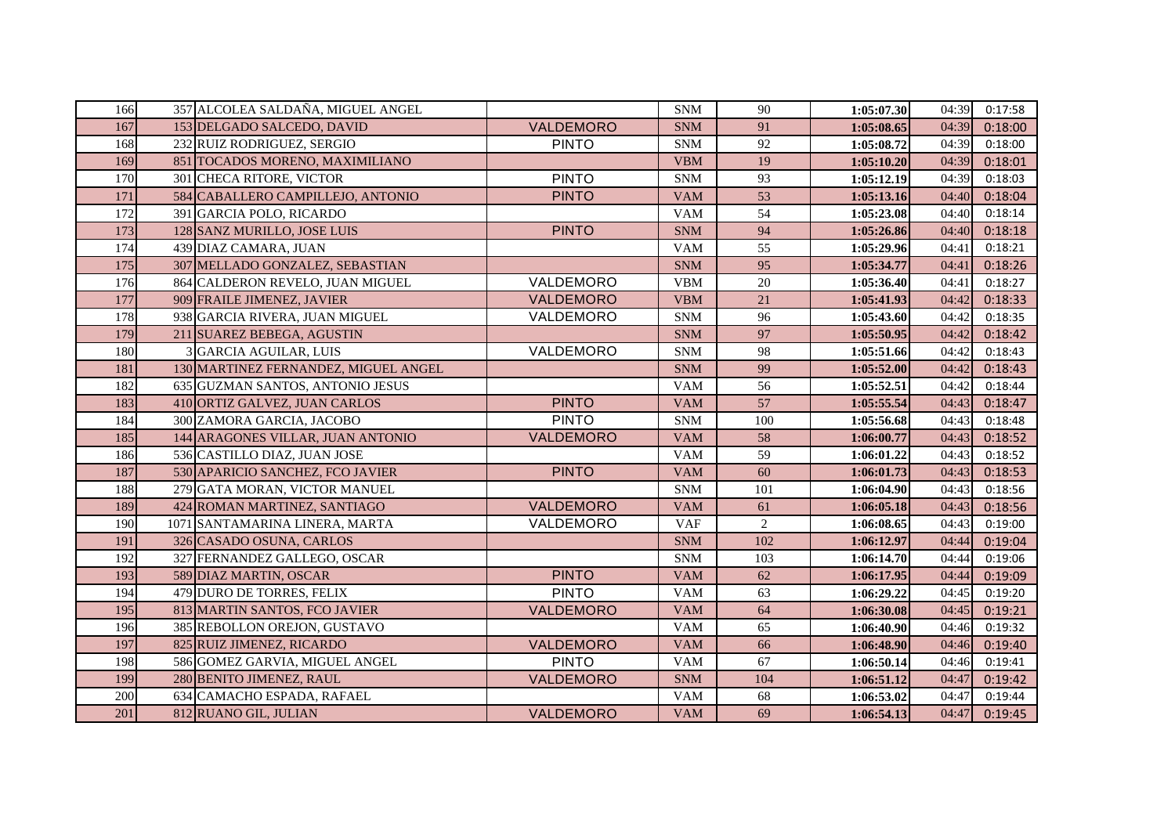| 166 | 357 ALCOLEA SALDAÑA, MIGUEL ANGEL    |                  | <b>SNM</b> | 90  | 1:05:07.30 | 04:39 | 0:17:58 |
|-----|--------------------------------------|------------------|------------|-----|------------|-------|---------|
| 167 | 153 DELGADO SALCEDO, DAVID           | VALDEMORO        | <b>SNM</b> | 91  | 1:05:08.65 | 04:39 | 0:18:00 |
| 168 | 232 RUIZ RODRIGUEZ, SERGIO           | <b>PINTO</b>     | <b>SNM</b> | 92  | 1:05:08.72 | 04:39 | 0:18:00 |
| 169 | 851 TOCADOS MORENO, MAXIMILIANO      |                  | <b>VBM</b> | 19  | 1:05:10.20 | 04:39 | 0:18:01 |
| 170 | 301 CHECA RITORE, VICTOR             | <b>PINTO</b>     | <b>SNM</b> | 93  | 1:05:12.19 | 04:39 | 0:18:03 |
| 171 | 584 CABALLERO CAMPILLEJO, ANTONIO    | <b>PINTO</b>     | <b>VAM</b> | 53  | 1:05:13.16 | 04:40 | 0:18:04 |
| 172 | 391 GARCIA POLO, RICARDO             |                  | <b>VAM</b> | 54  | 1:05:23.08 | 04:40 | 0:18:14 |
| 173 | 128 SANZ MURILLO, JOSE LUIS          | <b>PINTO</b>     | <b>SNM</b> | 94  | 1:05:26.86 | 04:40 | 0:18:18 |
| 174 | 439 DIAZ CAMARA, JUAN                |                  | <b>VAM</b> | 55  | 1:05:29.96 | 04:41 | 0:18:21 |
| 175 | 307 MELLADO GONZALEZ, SEBASTIAN      |                  | <b>SNM</b> | 95  | 1:05:34.77 | 04:41 | 0:18:26 |
| 176 | 864 CALDERON REVELO, JUAN MIGUEL     | VALDEMORO        | <b>VBM</b> | 20  | 1:05:36.40 | 04:41 | 0:18:27 |
| 177 | 909 FRAILE JIMENEZ, JAVIER           | VALDEMORO        | <b>VBM</b> | 21  | 1:05:41.93 | 04:42 | 0:18:33 |
| 178 | 938 GARCIA RIVERA, JUAN MIGUEL       | VALDEMORO        | <b>SNM</b> | 96  | 1:05:43.60 | 04:42 | 0:18:35 |
| 179 | 211 SUAREZ BEBEGA, AGUSTIN           |                  | <b>SNM</b> | 97  | 1:05:50.95 | 04:42 | 0:18:42 |
| 180 | 3 GARCIA AGUILAR, LUIS               | VALDEMORO        | <b>SNM</b> | 98  | 1:05:51.66 | 04:42 | 0:18:43 |
| 181 | 130 MARTINEZ FERNANDEZ, MIGUEL ANGEL |                  | <b>SNM</b> | 99  | 1:05:52.00 | 04:42 | 0:18:43 |
| 182 | 635 GUZMAN SANTOS, ANTONIO JESUS     |                  | <b>VAM</b> | 56  | 1:05:52.51 | 04:42 | 0:18:44 |
| 183 | 410 ORTIZ GALVEZ, JUAN CARLOS        | <b>PINTO</b>     | <b>VAM</b> | 57  | 1:05:55.54 | 04:43 | 0:18:47 |
| 184 | 300 ZAMORA GARCIA, JACOBO            | <b>PINTO</b>     | <b>SNM</b> | 100 | 1:05:56.68 | 04:43 | 0:18:48 |
| 185 | 144 ARAGONES VILLAR, JUAN ANTONIO    | VALDEMORO        | <b>VAM</b> | 58  | 1:06:00.77 | 04:43 | 0:18:52 |
| 186 | 536 CASTILLO DIAZ, JUAN JOSE         |                  | <b>VAM</b> | 59  | 1:06:01.22 | 04:43 | 0:18:52 |
| 187 | 530 APARICIO SANCHEZ, FCO JAVIER     | <b>PINTO</b>     | <b>VAM</b> | 60  | 1:06:01.73 | 04:43 | 0:18:53 |
| 188 | 279 GATA MORAN, VICTOR MANUEL        |                  | <b>SNM</b> | 101 | 1:06:04.90 | 04:43 | 0:18:56 |
| 189 | 424 ROMAN MARTINEZ, SANTIAGO         | VALDEMORO        | <b>VAM</b> | 61  | 1:06:05.18 | 04:43 | 0:18:56 |
| 190 | 1071 SANTAMARINA LINERA, MARTA       | VALDEMORO        | <b>VAF</b> | 2   | 1:06:08.65 | 04:43 | 0:19:00 |
| 191 | 326 CASADO OSUNA, CARLOS             |                  | <b>SNM</b> | 102 | 1:06:12.97 | 04:44 | 0:19:04 |
| 192 | 327 FERNANDEZ GALLEGO, OSCAR         |                  | <b>SNM</b> | 103 | 1:06:14.70 | 04:44 | 0:19:06 |
| 193 | 589 DIAZ MARTIN, OSCAR               | <b>PINTO</b>     | <b>VAM</b> | 62  | 1:06:17.95 | 04:44 | 0:19:09 |
| 194 | 479 DURO DE TORRES, FELIX            | <b>PINTO</b>     | <b>VAM</b> | 63  | 1:06:29.22 | 04:45 | 0:19:20 |
| 195 | 813 MARTIN SANTOS, FCO JAVIER        | VALDEMORO        | <b>VAM</b> | 64  | 1:06:30.08 | 04:45 | 0:19:21 |
| 196 | 385 REBOLLON OREJON, GUSTAVO         |                  | <b>VAM</b> | 65  | 1:06:40.90 | 04:46 | 0:19:32 |
| 197 | 825 RUIZ JIMENEZ, RICARDO            | VALDEMORO        | <b>VAM</b> | 66  | 1:06:48.90 | 04:46 | 0:19:40 |
| 198 | 586 GOMEZ GARVIA, MIGUEL ANGEL       | <b>PINTO</b>     | <b>VAM</b> | 67  | 1:06:50.14 | 04:46 | 0:19:41 |
| 199 | 280 BENITO JIMENEZ, RAUL             | VALDEMORO        | <b>SNM</b> | 104 | 1:06:51.12 | 04:47 | 0:19:42 |
| 200 | 634 CAMACHO ESPADA, RAFAEL           |                  | <b>VAM</b> | 68  | 1:06:53.02 | 04:47 | 0:19:44 |
| 201 | 812 RUANO GIL, JULIAN                | <b>VALDEMORO</b> | <b>VAM</b> | 69  | 1:06:54.13 | 04:47 | 0:19:45 |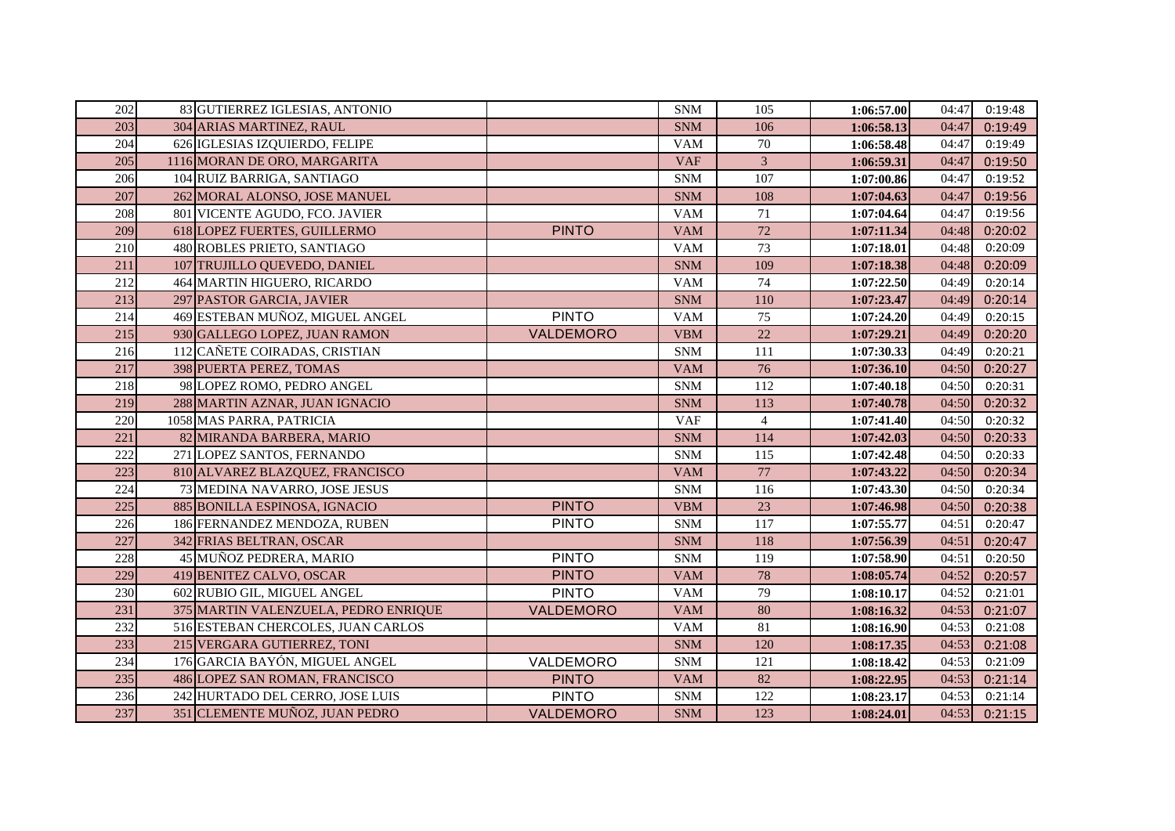| 202 | 83 GUTIERREZ IGLESIAS, ANTONIO       |                  | <b>SNM</b> | 105            | 1:06:57.00 | 04:47 | 0:19:48 |
|-----|--------------------------------------|------------------|------------|----------------|------------|-------|---------|
| 203 | 304 ARIAS MARTINEZ, RAUL             |                  | <b>SNM</b> | 106            | 1:06:58.13 | 04:47 | 0:19:49 |
| 204 | 626 IGLESIAS IZQUIERDO, FELIPE       |                  | <b>VAM</b> | 70             | 1:06:58.48 | 04:47 | 0:19:49 |
| 205 | 1116 MORAN DE ORO, MARGARITA         |                  | <b>VAF</b> | $\overline{3}$ | 1:06:59.31 | 04:47 | 0:19:50 |
| 206 | 104 RUIZ BARRIGA, SANTIAGO           |                  | <b>SNM</b> | 107            | 1:07:00.86 | 04:47 | 0:19:52 |
| 207 | 262 MORAL ALONSO, JOSE MANUEL        |                  | <b>SNM</b> | 108            | 1:07:04.63 | 04:47 | 0:19:56 |
| 208 | 801 VICENTE AGUDO, FCO. JAVIER       |                  | <b>VAM</b> | 71             | 1:07:04.64 | 04:47 | 0:19:56 |
| 209 | 618 LOPEZ FUERTES, GUILLERMO         | <b>PINTO</b>     | <b>VAM</b> | 72             | 1:07:11.34 | 04:48 | 0:20:02 |
| 210 | 480 ROBLES PRIETO, SANTIAGO          |                  | <b>VAM</b> | 73             | 1:07:18.01 | 04:48 | 0:20:09 |
| 211 | 107 TRUJILLO QUEVEDO, DANIEL         |                  | <b>SNM</b> | 109            | 1:07:18.38 | 04:48 | 0:20:09 |
| 212 | 464 MARTIN HIGUERO, RICARDO          |                  | <b>VAM</b> | 74             | 1:07:22.50 | 04:49 | 0:20:14 |
| 213 | 297 PASTOR GARCIA, JAVIER            |                  | <b>SNM</b> | 110            | 1:07:23.47 | 04:49 | 0:20:14 |
| 214 | 469 ESTEBAN MUÑOZ, MIGUEL ANGEL      | <b>PINTO</b>     | <b>VAM</b> | 75             | 1:07:24.20 | 04:49 | 0:20:15 |
| 215 | 930 GALLEGO LOPEZ, JUAN RAMON        | VALDEMORO        | <b>VBM</b> | $22\,$         | 1:07:29.21 | 04:49 | 0:20:20 |
| 216 | 112 CAÑETE COIRADAS, CRISTIAN        |                  | <b>SNM</b> | 111            | 1:07:30.33 | 04:49 | 0:20:21 |
| 217 | 398 PUERTA PEREZ, TOMAS              |                  | <b>VAM</b> | 76             | 1:07:36.10 | 04:50 | 0:20:27 |
| 218 | 98 LOPEZ ROMO, PEDRO ANGEL           |                  | <b>SNM</b> | 112            | 1:07:40.18 | 04:50 | 0:20:31 |
| 219 | 288 MARTIN AZNAR, JUAN IGNACIO       |                  | <b>SNM</b> | 113            | 1:07:40.78 | 04:50 | 0:20:32 |
| 220 | 1058 MAS PARRA, PATRICIA             |                  | <b>VAF</b> | $\overline{4}$ | 1:07:41.40 | 04:50 | 0:20:32 |
| 221 | 82 MIRANDA BARBERA, MARIO            |                  | <b>SNM</b> | 114            | 1:07:42.03 | 04:50 | 0:20:33 |
| 222 | 271 LOPEZ SANTOS, FERNANDO           |                  | <b>SNM</b> | 115            | 1:07:42.48 | 04:50 | 0:20:33 |
| 223 | 810 ALVAREZ BLAZQUEZ, FRANCISCO      |                  | <b>VAM</b> | 77             | 1:07:43.22 | 04:50 | 0:20:34 |
| 224 | 73 MEDINA NAVARRO, JOSE JESUS        |                  | <b>SNM</b> | 116            | 1:07:43.30 | 04:50 | 0:20:34 |
| 225 | 885 BONILLA ESPINOSA, IGNACIO        | <b>PINTO</b>     | <b>VBM</b> | 23             | 1:07:46.98 | 04:50 | 0:20:38 |
| 226 | 186 FERNANDEZ MENDOZA, RUBEN         | <b>PINTO</b>     | <b>SNM</b> | 117            | 1:07:55.77 | 04:51 | 0:20:47 |
| 227 | 342 FRIAS BELTRAN, OSCAR             |                  | <b>SNM</b> | 118            | 1:07:56.39 | 04:51 | 0:20:47 |
| 228 | 45 MUÑOZ PEDRERA, MARIO              | <b>PINTO</b>     | <b>SNM</b> | 119            | 1:07:58.90 | 04:51 | 0:20:50 |
| 229 | 419 BENITEZ CALVO, OSCAR             | <b>PINTO</b>     | <b>VAM</b> | 78             | 1:08:05.74 | 04:52 | 0:20:57 |
| 230 | 602 RUBIO GIL, MIGUEL ANGEL          | <b>PINTO</b>     | <b>VAM</b> | 79             | 1:08:10.17 | 04:52 | 0:21:01 |
| 231 | 375 MARTIN VALENZUELA, PEDRO ENRIQUE | VALDEMORO        | <b>VAM</b> | 80             | 1:08:16.32 | 04:53 | 0:21:07 |
| 232 | 516 ESTEBAN CHERCOLES, JUAN CARLOS   |                  | <b>VAM</b> | 81             | 1:08:16.90 | 04:53 | 0:21:08 |
| 233 | 215 VERGARA GUTIERREZ, TONI          |                  | <b>SNM</b> | 120            | 1:08:17.35 | 04:53 | 0:21:08 |
| 234 | 176 GARCIA BAYÓN, MIGUEL ANGEL       | VALDEMORO        | <b>SNM</b> | 121            | 1:08:18.42 | 04:53 | 0:21:09 |
| 235 | 486 LOPEZ SAN ROMAN, FRANCISCO       | <b>PINTO</b>     | <b>VAM</b> | 82             | 1:08:22.95 | 04:53 | 0:21:14 |
| 236 | 242 HURTADO DEL CERRO, JOSE LUIS     | <b>PINTO</b>     | <b>SNM</b> | 122            | 1:08:23.17 | 04:53 | 0:21:14 |
| 237 | 351 CLEMENTE MUÑOZ, JUAN PEDRO       | <b>VALDEMORO</b> | <b>SNM</b> | 123            | 1:08:24.01 | 04:53 | 0:21:15 |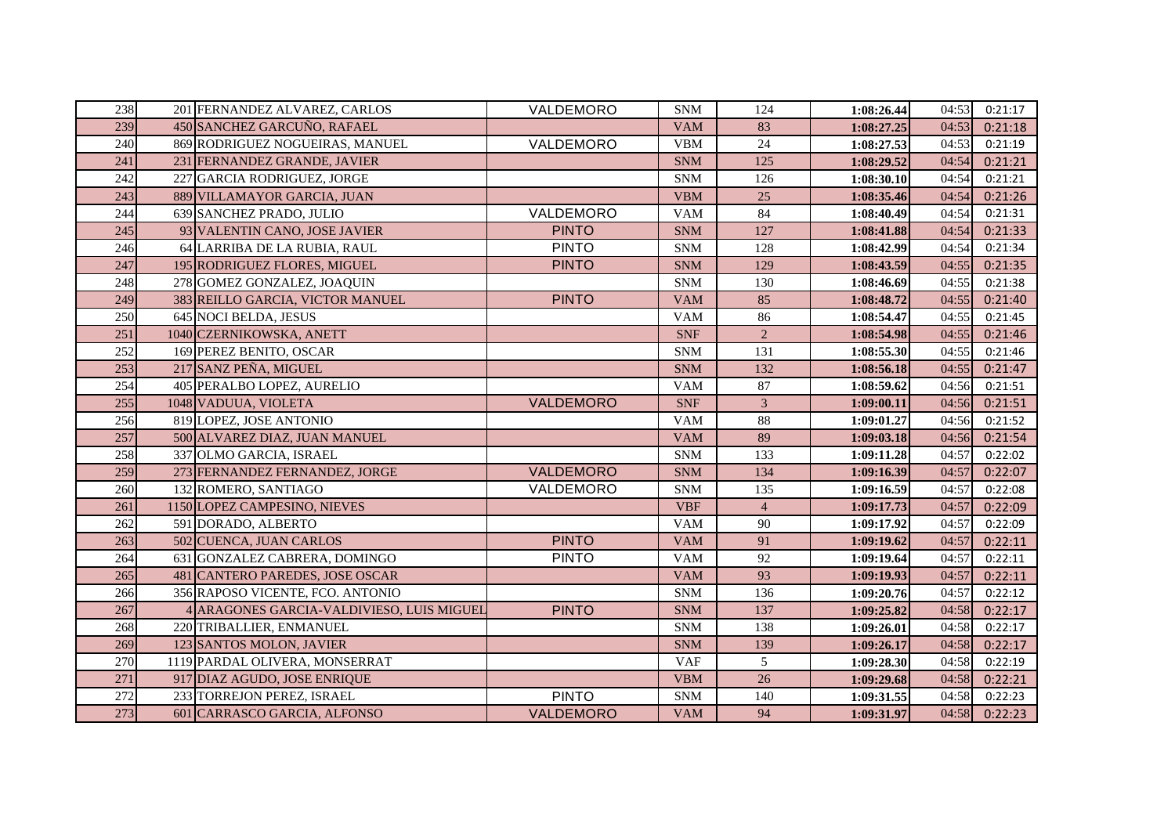| 238 | 201 FERNANDEZ ALVAREZ, CARLOS             | VALDEMORO        | <b>SNM</b> | 124            | 1:08:26.44 | 04:53 | 0:21:17 |
|-----|-------------------------------------------|------------------|------------|----------------|------------|-------|---------|
| 239 | 450 SANCHEZ GARCUÑO, RAFAEL               |                  | <b>VAM</b> | 83             | 1:08:27.25 | 04:53 | 0:21:18 |
| 240 | 869 RODRIGUEZ NOGUEIRAS, MANUEL           | VALDEMORO        | <b>VBM</b> | 24             | 1:08:27.53 | 04:53 | 0:21:19 |
| 241 | 231 FERNANDEZ GRANDE, JAVIER              |                  | <b>SNM</b> | 125            | 1:08:29.52 | 04:54 | 0:21:21 |
| 242 | 227 GARCIA RODRIGUEZ, JORGE               |                  | <b>SNM</b> | 126            | 1:08:30.10 | 04:54 | 0:21:21 |
| 243 | 889 VILLAMAYOR GARCIA, JUAN               |                  | <b>VBM</b> | 25             | 1:08:35.46 | 04:54 | 0:21:26 |
| 244 | 639 SANCHEZ PRADO, JULIO                  | VALDEMORO        | <b>VAM</b> | 84             | 1:08:40.49 | 04:54 | 0:21:31 |
| 245 | 93 VALENTIN CANO, JOSE JAVIER             | <b>PINTO</b>     | <b>SNM</b> | 127            | 1:08:41.88 | 04:54 | 0:21:33 |
| 246 | 64 LARRIBA DE LA RUBIA, RAUL              | <b>PINTO</b>     | <b>SNM</b> | 128            | 1:08:42.99 | 04:54 | 0:21:34 |
| 247 | 195 RODRIGUEZ FLORES, MIGUEL              | <b>PINTO</b>     | <b>SNM</b> | 129            | 1:08:43.59 | 04:55 | 0:21:35 |
| 248 | 278 GOMEZ GONZALEZ, JOAQUIN               |                  | <b>SNM</b> | 130            | 1:08:46.69 | 04:55 | 0:21:38 |
| 249 | 383 REILLO GARCIA, VICTOR MANUEL          | <b>PINTO</b>     | <b>VAM</b> | 85             | 1:08:48.72 | 04:55 | 0:21:40 |
| 250 | 645 NOCI BELDA, JESUS                     |                  | <b>VAM</b> | 86             | 1:08:54.47 | 04:55 | 0:21:45 |
| 251 | 1040 CZERNIKOWSKA, ANETT                  |                  | <b>SNF</b> | $\overline{2}$ | 1:08:54.98 | 04:55 | 0:21:46 |
| 252 | 169 PEREZ BENITO, OSCAR                   |                  | <b>SNM</b> | 131            | 1:08:55.30 | 04:55 | 0:21:46 |
| 253 | 217 SANZ PEÑA, MIGUEL                     |                  | <b>SNM</b> | 132            | 1:08:56.18 | 04:55 | 0:21:47 |
| 254 | 405 PERALBO LOPEZ, AURELIO                |                  | <b>VAM</b> | 87             | 1:08:59.62 | 04:56 | 0:21:51 |
| 255 | 1048 VADUUA, VIOLETA                      | VALDEMORO        | <b>SNF</b> | 3              | 1:09:00.11 | 04:56 | 0:21:51 |
| 256 | 819 LOPEZ, JOSE ANTONIO                   |                  | <b>VAM</b> | 88             | 1:09:01.27 | 04:56 | 0:21:52 |
| 257 | 500 ALVAREZ DIAZ, JUAN MANUEL             |                  | <b>VAM</b> | 89             | 1:09:03.18 | 04:56 | 0:21:54 |
| 258 | 337 OLMO GARCIA, ISRAEL                   |                  | <b>SNM</b> | 133            | 1:09:11.28 | 04:57 | 0:22:02 |
| 259 | 273 FERNANDEZ FERNANDEZ, JORGE            | <b>VALDEMORO</b> | <b>SNM</b> | 134            | 1:09:16.39 | 04:57 | 0:22:07 |
| 260 | 132 ROMERO, SANTIAGO                      | VALDEMORO        | <b>SNM</b> | 135            | 1:09:16.59 | 04:57 | 0:22:08 |
| 261 | 1150 LOPEZ CAMPESINO, NIEVES              |                  | <b>VBF</b> | $\overline{4}$ | 1:09:17.73 | 04:57 | 0:22:09 |
| 262 | 591 DORADO, ALBERTO                       |                  | <b>VAM</b> | 90             | 1:09:17.92 | 04:57 | 0:22:09 |
| 263 | 502 CUENCA, JUAN CARLOS                   | <b>PINTO</b>     | <b>VAM</b> | 91             | 1:09:19.62 | 04:57 | 0:22:11 |
| 264 | 631 GONZALEZ CABRERA, DOMINGO             | <b>PINTO</b>     | <b>VAM</b> | 92             | 1:09:19.64 | 04:57 | 0:22:11 |
| 265 | 481 CANTERO PAREDES, JOSE OSCAR           |                  | <b>VAM</b> | 93             | 1:09:19.93 | 04:57 | 0:22:11 |
| 266 | 356 RAPOSO VICENTE, FCO. ANTONIO          |                  | <b>SNM</b> | 136            | 1:09:20.76 | 04:57 | 0:22:12 |
| 267 | 4 ARAGONES GARCIA-VALDIVIESO, LUIS MIGUEL | <b>PINTO</b>     | <b>SNM</b> | 137            | 1:09:25.82 | 04:58 | 0:22:17 |
| 268 | 220 TRIBALLIER, ENMANUEL                  |                  | <b>SNM</b> | 138            | 1:09:26.01 | 04:58 | 0:22:17 |
| 269 | 123 SANTOS MOLON, JAVIER                  |                  | <b>SNM</b> | 139            | 1:09:26.17 | 04:58 | 0:22:17 |
| 270 | 1119 PARDAL OLIVERA, MONSERRAT            |                  | <b>VAF</b> | 5              | 1:09:28.30 | 04:58 | 0:22:19 |
| 271 | 917 DIAZ AGUDO, JOSE ENRIQUE              |                  | <b>VBM</b> | 26             | 1:09:29.68 | 04:58 | 0:22:21 |
| 272 | 233 TORREJON PEREZ, ISRAEL                | <b>PINTO</b>     | <b>SNM</b> | 140            | 1:09:31.55 | 04:58 | 0:22:23 |
| 273 | 601 CARRASCO GARCIA, ALFONSO              | VALDEMORO        | <b>VAM</b> | 94             | 1:09:31.97 | 04:58 | 0:22:23 |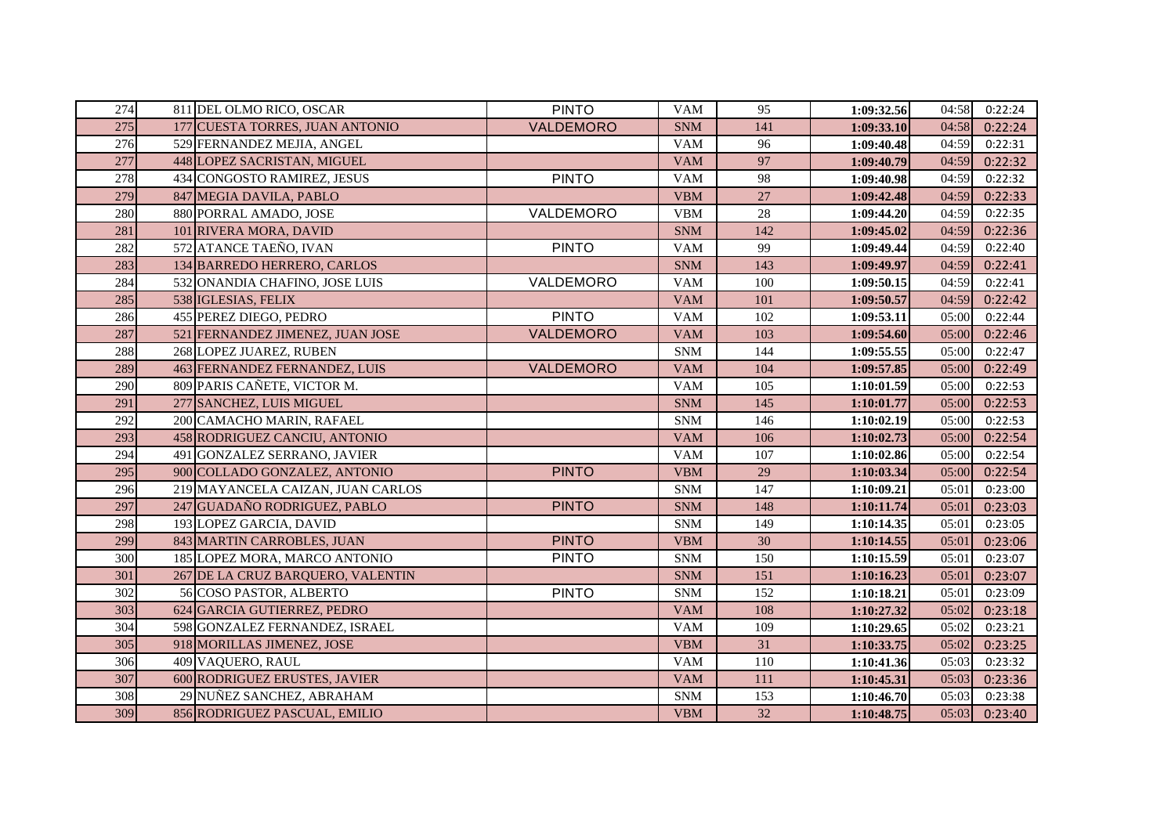| 274 | 811 DEL OLMO RICO, OSCAR          | <b>PINTO</b>     | <b>VAM</b> | 95     | 1:09:32.56 | 04:58 | 0:22:24 |
|-----|-----------------------------------|------------------|------------|--------|------------|-------|---------|
| 275 | 177 CUESTA TORRES, JUAN ANTONIO   | VALDEMORO        | <b>SNM</b> | 141    | 1:09:33.10 | 04:58 | 0:22:24 |
| 276 | 529 FERNANDEZ MEJIA, ANGEL        |                  | <b>VAM</b> | 96     | 1:09:40.48 | 04:59 | 0:22:31 |
| 277 | 448 LOPEZ SACRISTAN, MIGUEL       |                  | <b>VAM</b> | 97     | 1:09:40.79 | 04:59 | 0:22:32 |
| 278 | 434 CONGOSTO RAMIREZ, JESUS       | <b>PINTO</b>     | <b>VAM</b> | 98     | 1:09:40.98 | 04:59 | 0:22:32 |
| 279 | 847 MEGIA DAVILA, PABLO           |                  | <b>VBM</b> | 27     | 1:09:42.48 | 04:59 | 0:22:33 |
| 280 | 880 PORRAL AMADO, JOSE            | VALDEMORO        | <b>VBM</b> | $28\,$ | 1:09:44.20 | 04:59 | 0:22:35 |
| 281 | 101 RIVERA MORA, DAVID            |                  | <b>SNM</b> | 142    | 1:09:45.02 | 04:59 | 0:22:36 |
| 282 | 572 ATANCE TAEÑO, IVAN            | <b>PINTO</b>     | <b>VAM</b> | 99     | 1:09:49.44 | 04:59 | 0:22:40 |
| 283 | 134 BARREDO HERRERO, CARLOS       |                  | <b>SNM</b> | 143    | 1:09:49.97 | 04:59 | 0:22:41 |
| 284 | 532 ONANDIA CHAFINO, JOSE LUIS    | VALDEMORO        | <b>VAM</b> | 100    | 1:09:50.15 | 04:59 | 0:22:41 |
| 285 | 538 IGLESIAS, FELIX               |                  | <b>VAM</b> | 101    | 1:09:50.57 | 04:59 | 0:22:42 |
| 286 | 455 PEREZ DIEGO, PEDRO            | <b>PINTO</b>     | <b>VAM</b> | 102    | 1:09:53.11 | 05:00 | 0:22:44 |
| 287 | 521 FERNANDEZ JIMENEZ, JUAN JOSE  | <b>VALDEMORO</b> | <b>VAM</b> | 103    | 1:09:54.60 | 05:00 | 0:22:46 |
| 288 | 268 LOPEZ JUAREZ, RUBEN           |                  | <b>SNM</b> | 144    | 1:09:55.55 | 05:00 | 0:22:47 |
| 289 | 463 FERNANDEZ FERNANDEZ, LUIS     | VALDEMORO        | <b>VAM</b> | 104    | 1:09:57.85 | 05:00 | 0:22:49 |
| 290 | 809 PARIS CAÑETE, VICTOR M.       |                  | <b>VAM</b> | 105    | 1:10:01.59 | 05:00 | 0:22:53 |
| 291 | 277 SANCHEZ, LUIS MIGUEL          |                  | <b>SNM</b> | 145    | 1:10:01.77 | 05:00 | 0:22:53 |
| 292 | 200 CAMACHO MARIN, RAFAEL         |                  | <b>SNM</b> | 146    | 1:10:02.19 | 05:00 | 0:22:53 |
| 293 | 458 RODRIGUEZ CANCIU, ANTONIO     |                  | <b>VAM</b> | 106    | 1:10:02.73 | 05:00 | 0:22:54 |
| 294 | 491 GONZALEZ SERRANO, JAVIER      |                  | <b>VAM</b> | 107    | 1:10:02.86 | 05:00 | 0:22:54 |
| 295 | 900 COLLADO GONZALEZ, ANTONIO     | <b>PINTO</b>     | <b>VBM</b> | 29     | 1:10:03.34 | 05:00 | 0:22:54 |
| 296 | 219 MAYANCELA CAIZAN, JUAN CARLOS |                  | <b>SNM</b> | 147    | 1:10:09.21 | 05:01 | 0:23:00 |
| 297 | 247 GUADAÑO RODRIGUEZ, PABLO      | <b>PINTO</b>     | <b>SNM</b> | 148    | 1:10:11.74 | 05:01 | 0:23:03 |
| 298 | 193 LOPEZ GARCIA, DAVID           |                  | <b>SNM</b> | 149    | 1:10:14.35 | 05:01 | 0:23:05 |
| 299 | 843 MARTIN CARROBLES, JUAN        | <b>PINTO</b>     | <b>VBM</b> | 30     | 1:10:14.55 | 05:01 | 0:23:06 |
| 300 | 185 LOPEZ MORA, MARCO ANTONIO     | <b>PINTO</b>     | <b>SNM</b> | 150    | 1:10:15.59 | 05:01 | 0:23:07 |
| 301 | 267 DE LA CRUZ BARQUERO, VALENTIN |                  | <b>SNM</b> | 151    | 1:10:16.23 | 05:01 | 0:23:07 |
| 302 | 56 COSO PASTOR, ALBERTO           | <b>PINTO</b>     | <b>SNM</b> | 152    | 1:10:18.21 | 05:01 | 0:23:09 |
| 303 | 624 GARCIA GUTIERREZ, PEDRO       |                  | <b>VAM</b> | 108    | 1:10:27.32 | 05:02 | 0:23:18 |
| 304 | 598 GONZALEZ FERNANDEZ, ISRAEL    |                  | <b>VAM</b> | 109    | 1:10:29.65 | 05:02 | 0:23:21 |
| 305 | 918 MORILLAS JIMENEZ, JOSE        |                  | <b>VBM</b> | 31     | 1:10:33.75 | 05:02 | 0:23:25 |
| 306 | 409 VAQUERO, RAUL                 |                  | <b>VAM</b> | 110    | 1:10:41.36 | 05:03 | 0:23:32 |
| 307 | 600 RODRIGUEZ ERUSTES, JAVIER     |                  | <b>VAM</b> | 111    | 1:10:45.31 | 05:03 | 0:23:36 |
| 308 | 29 NUÑEZ SANCHEZ, ABRAHAM         |                  | <b>SNM</b> | 153    | 1:10:46.70 | 05:03 | 0:23:38 |
| 309 | 856 RODRIGUEZ PASCUAL, EMILIO     |                  | <b>VBM</b> | 32     | 1:10:48.75 | 05:03 | 0:23:40 |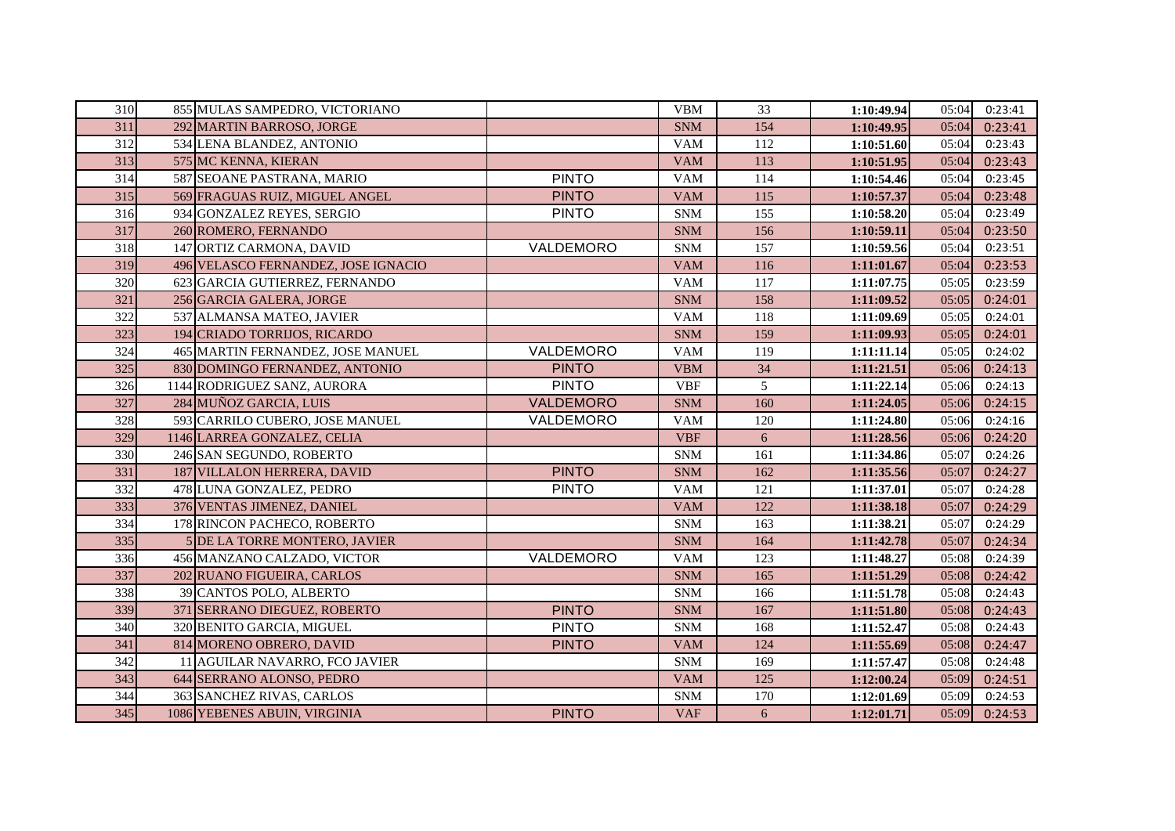| 310 | 855 MULAS SAMPEDRO, VICTORIANO      |              | <b>VBM</b> | 33              | 1:10:49.94 | 05:04 | 0:23:41 |
|-----|-------------------------------------|--------------|------------|-----------------|------------|-------|---------|
| 311 | 292 MARTIN BARROSO, JORGE           |              | <b>SNM</b> | 154             | 1:10:49.95 | 05:04 | 0:23:41 |
| 312 | 534 LENA BLANDEZ, ANTONIO           |              | <b>VAM</b> | 112             | 1:10:51.60 | 05:04 | 0:23:43 |
| 313 | 575 MC KENNA, KIERAN                |              | <b>VAM</b> | 113             | 1:10:51.95 | 05:04 | 0:23:43 |
| 314 | 587 SEOANE PASTRANA, MARIO          | <b>PINTO</b> | <b>VAM</b> | 114             | 1:10:54.46 | 05:04 | 0:23:45 |
| 315 | 569 FRAGUAS RUIZ, MIGUEL ANGEL      | <b>PINTO</b> | <b>VAM</b> | 115             | 1:10:57.37 | 05:04 | 0:23:48 |
| 316 | 934 GONZALEZ REYES, SERGIO          | <b>PINTO</b> | <b>SNM</b> | 155             | 1:10:58.20 | 05:04 | 0:23:49 |
| 317 | 260 ROMERO, FERNANDO                |              | <b>SNM</b> | 156             | 1:10:59.11 | 05:04 | 0:23:50 |
| 318 | 147 ORTIZ CARMONA, DAVID            | VALDEMORO    | <b>SNM</b> | 157             | 1:10:59.56 | 05:04 | 0:23:51 |
| 319 | 496 VELASCO FERNANDEZ, JOSE IGNACIO |              | <b>VAM</b> | 116             | 1:11:01.67 | 05:04 | 0:23:53 |
| 320 | 623 GARCIA GUTIERREZ, FERNANDO      |              | <b>VAM</b> | 117             | 1:11:07.75 | 05:05 | 0:23:59 |
| 321 | 256 GARCIA GALERA, JORGE            |              | <b>SNM</b> | 158             | 1:11:09.52 | 05:05 | 0:24:01 |
| 322 | 537 ALMANSA MATEO, JAVIER           |              | <b>VAM</b> | 118             | 1:11:09.69 | 05:05 | 0:24:01 |
| 323 | 194 CRIADO TORRIJOS, RICARDO        |              | <b>SNM</b> | 159             | 1:11:09.93 | 05:05 | 0:24:01 |
| 324 | 465 MARTIN FERNANDEZ, JOSE MANUEL   | VALDEMORO    | <b>VAM</b> | 119             | 1:11:11.14 | 05:05 | 0:24:02 |
| 325 | 830 DOMINGO FERNANDEZ, ANTONIO      | <b>PINTO</b> | <b>VBM</b> | 34              | 1:11:21.51 | 05:06 | 0:24:13 |
| 326 | 1144 RODRIGUEZ SANZ, AURORA         | <b>PINTO</b> | <b>VBF</b> | $5\overline{)}$ | 1:11:22.14 | 05:06 | 0:24:13 |
| 327 | 284 MUÑOZ GARCIA, LUIS              | VALDEMORO    | <b>SNM</b> | 160             | 1:11:24.05 | 05:06 | 0:24:15 |
| 328 | 593 CARRILO CUBERO, JOSE MANUEL     | VALDEMORO    | <b>VAM</b> | 120             | 1:11:24.80 | 05:06 | 0:24:16 |
| 329 | 1146 LARREA GONZALEZ, CELIA         |              | <b>VBF</b> | 6               | 1:11:28.56 | 05:06 | 0:24:20 |
| 330 | 246 SAN SEGUNDO, ROBERTO            |              | <b>SNM</b> | 161             | 1:11:34.86 | 05:07 | 0:24:26 |
| 331 | 187 VILLALON HERRERA, DAVID         | <b>PINTO</b> | <b>SNM</b> | 162             | 1:11:35.56 | 05:07 | 0:24:27 |
| 332 | 478 LUNA GONZALEZ, PEDRO            | <b>PINTO</b> | <b>VAM</b> | 121             | 1:11:37.01 | 05:07 | 0:24:28 |
| 333 | 376 VENTAS JIMENEZ, DANIEL          |              | <b>VAM</b> | 122             | 1:11:38.18 | 05:07 | 0:24:29 |
| 334 | 178 RINCON PACHECO, ROBERTO         |              | <b>SNM</b> | 163             | 1:11:38.21 | 05:07 | 0:24:29 |
| 335 | 5 DE LA TORRE MONTERO, JAVIER       |              | <b>SNM</b> | 164             | 1:11:42.78 | 05:07 | 0:24:34 |
| 336 | 456 MANZANO CALZADO, VICTOR         | VALDEMORO    | <b>VAM</b> | 123             | 1:11:48.27 | 05:08 | 0:24:39 |
| 337 | 202 RUANO FIGUEIRA, CARLOS          |              | <b>SNM</b> | 165             | 1:11:51.29 | 05:08 | 0:24:42 |
| 338 | 39 CANTOS POLO, ALBERTO             |              | <b>SNM</b> | 166             | 1:11:51.78 | 05:08 | 0:24:43 |
| 339 | 371 SERRANO DIEGUEZ, ROBERTO        | <b>PINTO</b> | <b>SNM</b> | 167             | 1:11:51.80 | 05:08 | 0:24:43 |
| 340 | 320 BENITO GARCIA, MIGUEL           | <b>PINTO</b> | <b>SNM</b> | 168             | 1:11:52.47 | 05:08 | 0:24:43 |
| 341 | 814 MORENO OBRERO, DAVID            | <b>PINTO</b> | <b>VAM</b> | 124             | 1:11:55.69 | 05:08 | 0:24:47 |
| 342 | 11 AGUILAR NAVARRO, FCO JAVIER      |              | <b>SNM</b> | 169             | 1:11:57.47 | 05:08 | 0:24:48 |
| 343 | 644 SERRANO ALONSO, PEDRO           |              | <b>VAM</b> | 125             | 1:12:00.24 | 05:09 | 0:24:51 |
| 344 | 363 SANCHEZ RIVAS, CARLOS           |              | <b>SNM</b> | 170             | 1:12:01.69 | 05:09 | 0:24:53 |
| 345 | 1086 YEBENES ABUIN, VIRGINIA        | <b>PINTO</b> | <b>VAF</b> | 6               | 1:12:01.71 | 05:09 | 0:24:53 |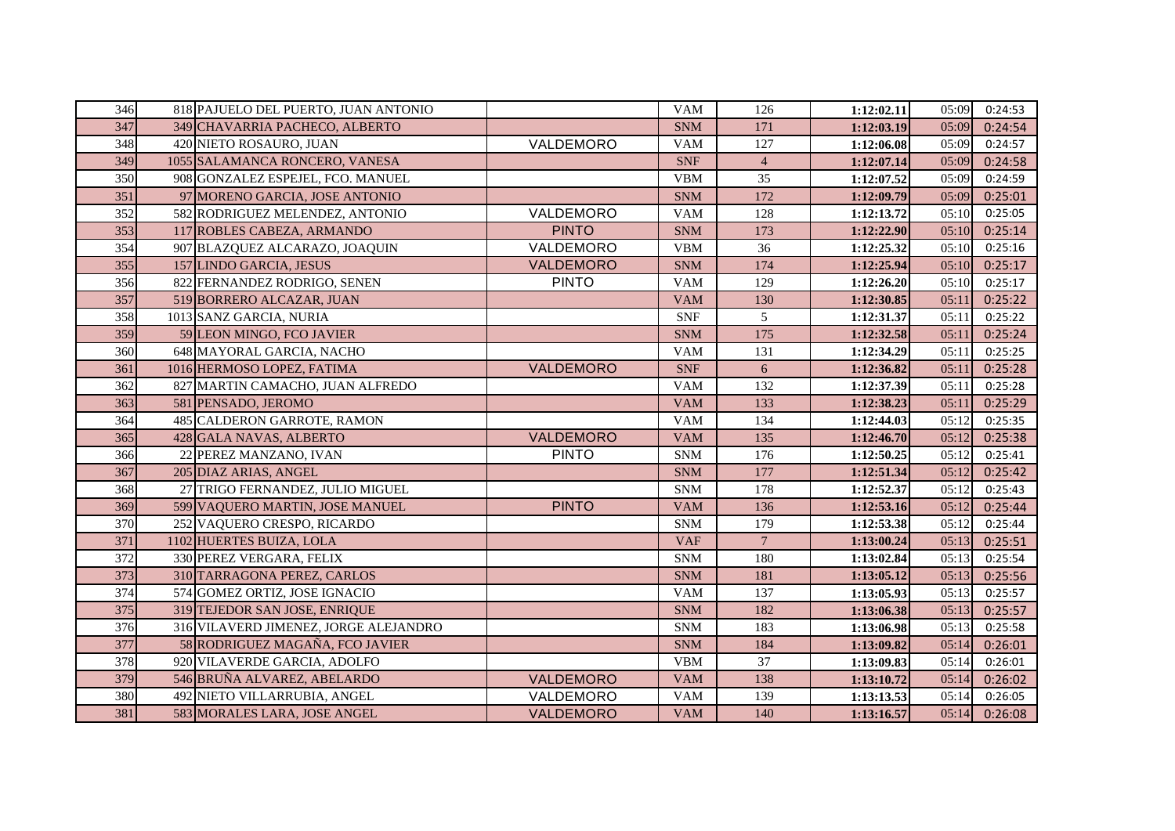| 346 | 818 PAJUELO DEL PUERTO, JUAN ANTONIO  |                  | <b>VAM</b> | 126            | 1:12:02.11 | 05:09 | 0:24:53 |
|-----|---------------------------------------|------------------|------------|----------------|------------|-------|---------|
| 347 | 349 CHAVARRIA PACHECO, ALBERTO        |                  | <b>SNM</b> | 171            | 1:12:03.19 | 05:09 | 0:24:54 |
| 348 | 420 NIETO ROSAURO, JUAN               | VALDEMORO        | <b>VAM</b> | 127            | 1:12:06.08 | 05:09 | 0:24:57 |
| 349 | 1055 SALAMANCA RONCERO, VANESA        |                  | <b>SNF</b> | $\overline{4}$ | 1:12:07.14 | 05:09 | 0:24:58 |
| 350 | 908 GONZALEZ ESPEJEL, FCO. MANUEL     |                  | <b>VBM</b> | 35             | 1:12:07.52 | 05:09 | 0:24:59 |
| 351 | 97 MORENO GARCIA, JOSE ANTONIO        |                  | <b>SNM</b> | 172            | 1:12:09.79 | 05:09 | 0:25:01 |
| 352 | 582 RODRIGUEZ MELENDEZ, ANTONIO       | VALDEMORO        | <b>VAM</b> | 128            | 1:12:13.72 | 05:10 | 0:25:05 |
| 353 | 117 ROBLES CABEZA, ARMANDO            | <b>PINTO</b>     | <b>SNM</b> | 173            | 1:12:22.90 | 05:10 | 0:25:14 |
| 354 | 907 BLAZQUEZ ALCARAZO, JOAQUIN        | VALDEMORO        | <b>VBM</b> | 36             | 1:12:25.32 | 05:10 | 0:25:16 |
| 355 | 157 LINDO GARCIA, JESUS               | VALDEMORO        | <b>SNM</b> | 174            | 1:12:25.94 | 05:10 | 0:25:17 |
| 356 | 822 FERNANDEZ RODRIGO, SENEN          | <b>PINTO</b>     | <b>VAM</b> | 129            | 1:12:26.20 | 05:10 | 0:25:17 |
| 357 | 519 BORRERO ALCAZAR, JUAN             |                  | <b>VAM</b> | 130            | 1:12:30.85 | 05:11 | 0:25:22 |
| 358 | 1013 SANZ GARCIA, NURIA               |                  | <b>SNF</b> | 5              | 1:12:31.37 | 05:11 | 0:25:22 |
| 359 | 59 LEON MINGO, FCO JAVIER             |                  | <b>SNM</b> | 175            | 1:12:32.58 | 05:11 | 0:25:24 |
| 360 | 648 MAYORAL GARCIA, NACHO             |                  | <b>VAM</b> | 131            | 1:12:34.29 | 05:11 | 0:25:25 |
| 361 | 1016 HERMOSO LOPEZ, FATIMA            | VALDEMORO        | <b>SNF</b> | 6              | 1:12:36.82 | 05:11 | 0:25:28 |
| 362 | 827 MARTIN CAMACHO, JUAN ALFREDO      |                  | <b>VAM</b> | 132            | 1:12:37.39 | 05:11 | 0:25:28 |
| 363 | 581 PENSADO, JEROMO                   |                  | <b>VAM</b> | 133            | 1:12:38.23 | 05:11 | 0:25:29 |
| 364 | 485 CALDERON GARROTE, RAMON           |                  | <b>VAM</b> | 134            | 1:12:44.03 | 05:12 | 0:25:35 |
| 365 | 428 GALA NAVAS, ALBERTO               | <b>VALDEMORO</b> | <b>VAM</b> | 135            | 1:12:46.70 | 05:12 | 0:25:38 |
| 366 | 22 PEREZ MANZANO, IVAN                | <b>PINTO</b>     | <b>SNM</b> | 176            | 1:12:50.25 | 05:12 | 0:25:41 |
| 367 | 205 DIAZ ARIAS, ANGEL                 |                  | <b>SNM</b> | 177            | 1:12:51.34 | 05:12 | 0:25:42 |
| 368 | 27 TRIGO FERNANDEZ, JULIO MIGUEL      |                  | <b>SNM</b> | 178            | 1:12:52.37 | 05:12 | 0:25:43 |
| 369 | 599 VAQUERO MARTIN, JOSE MANUEL       | <b>PINTO</b>     | <b>VAM</b> | 136            | 1:12:53.16 | 05:12 | 0:25:44 |
| 370 | 252 VAQUERO CRESPO, RICARDO           |                  | <b>SNM</b> | 179            | 1:12:53.38 | 05:12 | 0:25:44 |
| 371 | 1102 HUERTES BUIZA, LOLA              |                  | <b>VAF</b> | $\overline{7}$ | 1:13:00.24 | 05:13 | 0:25:51 |
| 372 | 330 PEREZ VERGARA, FELIX              |                  | <b>SNM</b> | 180            | 1:13:02.84 | 05:13 | 0:25:54 |
| 373 | 310 TARRAGONA PEREZ, CARLOS           |                  | <b>SNM</b> | 181            | 1:13:05.12 | 05:13 | 0:25:56 |
| 374 | 574 GOMEZ ORTIZ, JOSE IGNACIO         |                  | <b>VAM</b> | 137            | 1:13:05.93 | 05:13 | 0:25:57 |
| 375 | 319 TEJEDOR SAN JOSE, ENRIQUE         |                  | <b>SNM</b> | 182            | 1:13:06.38 | 05:13 | 0:25:57 |
| 376 | 316 VILAVERD JIMENEZ, JORGE ALEJANDRO |                  | <b>SNM</b> | 183            | 1:13:06.98 | 05:13 | 0:25:58 |
| 377 | 58 RODRIGUEZ MAGAÑA, FCO JAVIER       |                  | <b>SNM</b> | 184            | 1:13:09.82 | 05:14 | 0:26:01 |
| 378 | 920 VILAVERDE GARCIA, ADOLFO          |                  | <b>VBM</b> | 37             | 1:13:09.83 | 05:14 | 0:26:01 |
| 379 | 546 BRUÑA ALVAREZ, ABELARDO           | VALDEMORO        | <b>VAM</b> | 138            | 1:13:10.72 | 05:14 | 0:26:02 |
| 380 | 492 NIETO VILLARRUBIA, ANGEL          | VALDEMORO        | <b>VAM</b> | 139            | 1:13:13.53 | 05:14 | 0:26:05 |
| 381 | 583 MORALES LARA, JOSE ANGEL          | VALDEMORO        | <b>VAM</b> | 140            | 1:13:16.57 | 05:14 | 0:26:08 |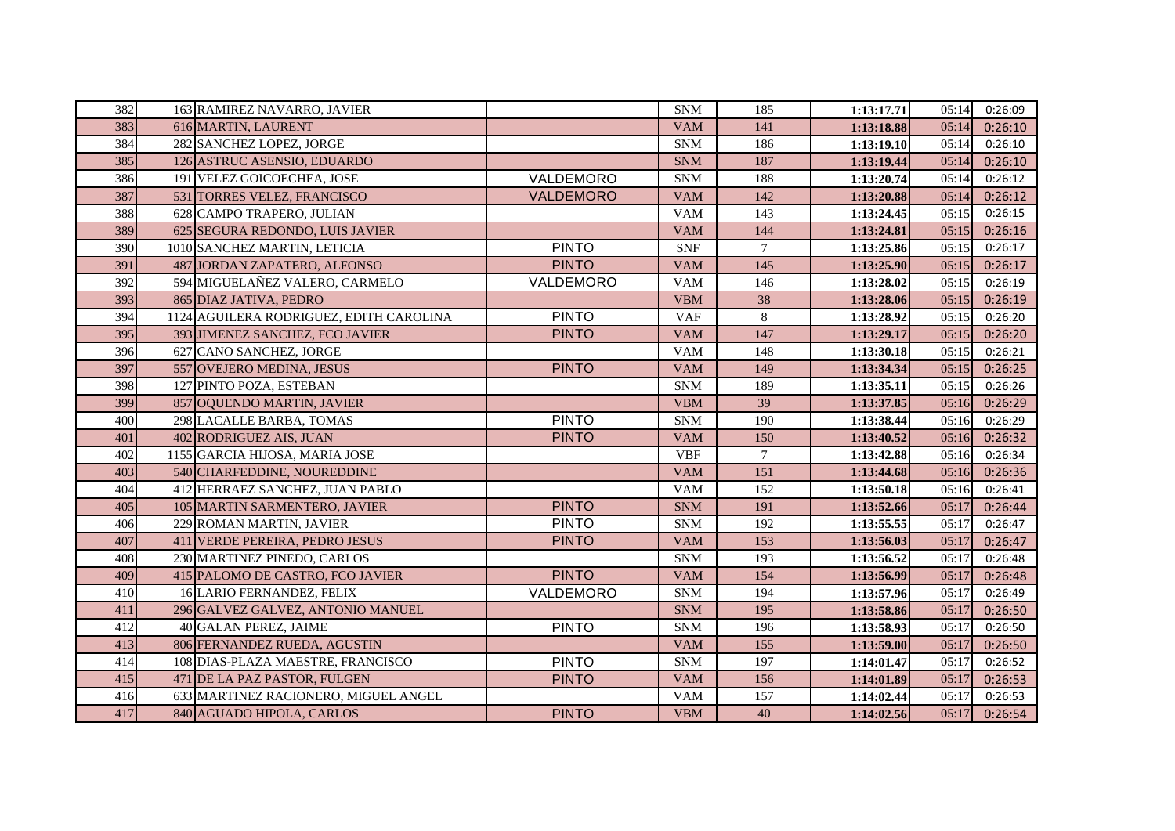| 382 | 163 RAMIREZ NAVARRO, JAVIER             |                  | <b>SNM</b> | 185    | 1:13:17.71 | 05:14 | 0:26:09 |
|-----|-----------------------------------------|------------------|------------|--------|------------|-------|---------|
| 383 | 616 MARTIN, LAURENT                     |                  | <b>VAM</b> | 141    | 1:13:18.88 | 05:14 | 0:26:10 |
| 384 | 282 SANCHEZ LOPEZ, JORGE                |                  | <b>SNM</b> | 186    | 1:13:19.10 | 05:14 | 0:26:10 |
| 385 | 126 ASTRUC ASENSIO, EDUARDO             |                  | <b>SNM</b> | 187    | 1:13:19.44 | 05:14 | 0:26:10 |
| 386 | 191 VELEZ GOICOECHEA, JOSE              | VALDEMORO        | <b>SNM</b> | 188    | 1:13:20.74 | 05:14 | 0:26:12 |
| 387 | 531 TORRES VELEZ, FRANCISCO             | <b>VALDEMORO</b> | <b>VAM</b> | 142    | 1:13:20.88 | 05:14 | 0:26:12 |
| 388 | 628 CAMPO TRAPERO, JULIAN               |                  | <b>VAM</b> | 143    | 1:13:24.45 | 05:15 | 0:26:15 |
| 389 | 625 SEGURA REDONDO, LUIS JAVIER         |                  | <b>VAM</b> | 144    | 1:13:24.81 | 05:15 | 0:26:16 |
| 390 | 1010 SANCHEZ MARTIN, LETICIA            | <b>PINTO</b>     | <b>SNF</b> | $\tau$ | 1:13:25.86 | 05:15 | 0:26:17 |
| 391 | 487 JORDAN ZAPATERO, ALFONSO            | <b>PINTO</b>     | <b>VAM</b> | 145    | 1:13:25.90 | 05:15 | 0:26:17 |
| 392 | 594 MIGUELAÑEZ VALERO, CARMELO          | VALDEMORO        | <b>VAM</b> | 146    | 1:13:28.02 | 05:15 | 0:26:19 |
| 393 | 865 DIAZ JATIVA, PEDRO                  |                  | <b>VBM</b> | 38     | 1:13:28.06 | 05:15 | 0:26:19 |
| 394 | 1124 AGUILERA RODRIGUEZ, EDITH CAROLINA | <b>PINTO</b>     | <b>VAF</b> | $8\,$  | 1:13:28.92 | 05:15 | 0:26:20 |
| 395 | 393 JIMENEZ SANCHEZ, FCO JAVIER         | <b>PINTO</b>     | <b>VAM</b> | 147    | 1:13:29.17 | 05:15 | 0:26:20 |
| 396 | 627 CANO SANCHEZ, JORGE                 |                  | <b>VAM</b> | 148    | 1:13:30.18 | 05:15 | 0:26:21 |
| 397 | 557 OVEJERO MEDINA, JESUS               | <b>PINTO</b>     | <b>VAM</b> | 149    | 1:13:34.34 | 05:15 | 0:26:25 |
| 398 | 127 PINTO POZA, ESTEBAN                 |                  | <b>SNM</b> | 189    | 1:13:35.11 | 05:15 | 0:26:26 |
| 399 | 857 OQUENDO MARTIN, JAVIER              |                  | <b>VBM</b> | 39     | 1:13:37.85 | 05:16 | 0:26:29 |
| 400 | 298 LACALLE BARBA, TOMAS                | <b>PINTO</b>     | <b>SNM</b> | 190    | 1:13:38.44 | 05:16 | 0:26:29 |
| 401 | 402 RODRIGUEZ AIS, JUAN                 | <b>PINTO</b>     | <b>VAM</b> | 150    | 1:13:40.52 | 05:16 | 0:26:32 |
| 402 | 1155 GARCIA HIJOSA, MARIA JOSE          |                  | <b>VBF</b> | $\tau$ | 1:13:42.88 | 05:16 | 0:26:34 |
| 403 | 540 CHARFEDDINE, NOUREDDINE             |                  | <b>VAM</b> | 151    | 1:13:44.68 | 05:16 | 0:26:36 |
| 404 | 412 HERRAEZ SANCHEZ, JUAN PABLO         |                  | <b>VAM</b> | 152    | 1:13:50.18 | 05:16 | 0:26:41 |
| 405 | 105 MARTIN SARMENTERO, JAVIER           | <b>PINTO</b>     | <b>SNM</b> | 191    | 1:13:52.66 | 05:17 | 0:26:44 |
| 406 | 229 ROMAN MARTIN, JAVIER                | <b>PINTO</b>     | <b>SNM</b> | 192    | 1:13:55.55 | 05:17 | 0:26:47 |
| 407 | 411 VERDE PEREIRA, PEDRO JESUS          | <b>PINTO</b>     | <b>VAM</b> | 153    | 1:13:56.03 | 05:17 | 0:26:47 |
| 408 | 230 MARTINEZ PINEDO, CARLOS             |                  | <b>SNM</b> | 193    | 1:13:56.52 | 05:17 | 0:26:48 |
| 409 | 415 PALOMO DE CASTRO, FCO JAVIER        | <b>PINTO</b>     | <b>VAM</b> | 154    | 1:13:56.99 | 05:17 | 0:26:48 |
| 410 | 16 LARIO FERNANDEZ, FELIX               | VALDEMORO        | <b>SNM</b> | 194    | 1:13:57.96 | 05:17 | 0:26:49 |
| 411 | 296 GALVEZ GALVEZ, ANTONIO MANUEL       |                  | <b>SNM</b> | 195    | 1:13:58.86 | 05:17 | 0:26:50 |
| 412 | 40 GALAN PEREZ, JAIME                   | <b>PINTO</b>     | <b>SNM</b> | 196    | 1:13:58.93 | 05:17 | 0:26:50 |
| 413 | 806 FERNANDEZ RUEDA, AGUSTIN            |                  | <b>VAM</b> | 155    | 1:13:59.00 | 05:17 | 0:26:50 |
| 414 | 108 DIAS-PLAZA MAESTRE, FRANCISCO       | <b>PINTO</b>     | <b>SNM</b> | 197    | 1:14:01.47 | 05:17 | 0:26:52 |
| 415 | 471 DE LA PAZ PASTOR, FULGEN            | <b>PINTO</b>     | <b>VAM</b> | 156    | 1:14:01.89 | 05:17 | 0:26:53 |
| 416 | 633 MARTINEZ RACIONERO, MIGUEL ANGEL    |                  | <b>VAM</b> | 157    | 1:14:02.44 | 05:17 | 0:26:53 |
| 417 | 840 AGUADO HIPOLA, CARLOS               | <b>PINTO</b>     | <b>VBM</b> | 40     | 1:14:02.56 | 05:17 | 0:26:54 |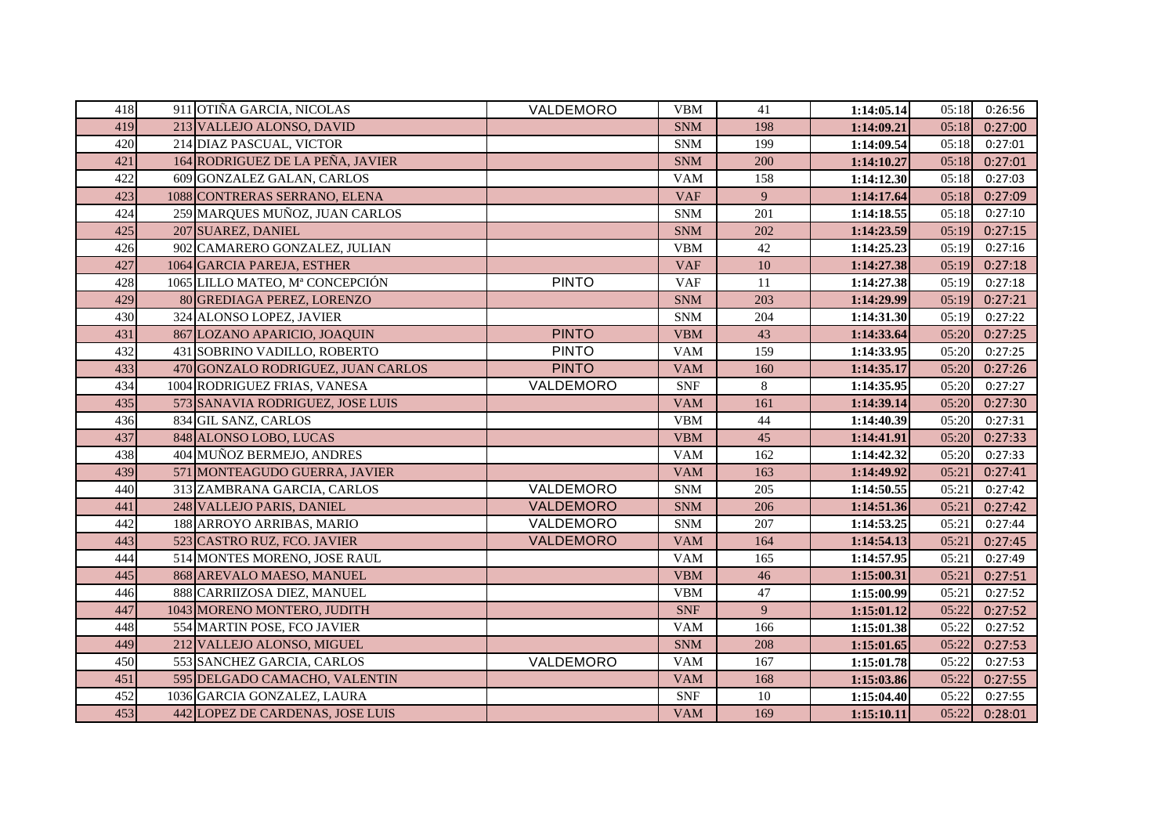| 418 | 911 OTIÑA GARCIA, NICOLAS          | VALDEMORO        | <b>VBM</b> | 41  | 1:14:05.14 | 05:18 | 0:26:56 |
|-----|------------------------------------|------------------|------------|-----|------------|-------|---------|
| 419 | 213 VALLEJO ALONSO, DAVID          |                  | <b>SNM</b> | 198 | 1:14:09.21 | 05:18 | 0:27:00 |
| 420 | 214 DIAZ PASCUAL, VICTOR           |                  | <b>SNM</b> | 199 | 1:14:09.54 | 05:18 | 0:27:01 |
| 421 | 164 RODRIGUEZ DE LA PEÑA, JAVIER   |                  | <b>SNM</b> | 200 | 1:14:10.27 | 05:18 | 0:27:01 |
| 422 | 609 GONZALEZ GALAN, CARLOS         |                  | <b>VAM</b> | 158 | 1:14:12.30 | 05:18 | 0:27:03 |
| 423 | 1088 CONTRERAS SERRANO, ELENA      |                  | <b>VAF</b> | 9   | 1:14:17.64 | 05:18 | 0:27:09 |
| 424 | 259 MARQUES MUÑOZ, JUAN CARLOS     |                  | <b>SNM</b> | 201 | 1:14:18.55 | 05:18 | 0:27:10 |
| 425 | 207 SUAREZ, DANIEL                 |                  | <b>SNM</b> | 202 | 1:14:23.59 | 05:19 | 0:27:15 |
| 426 | 902 CAMARERO GONZALEZ, JULIAN      |                  | <b>VBM</b> | 42  | 1:14:25.23 | 05:19 | 0:27:16 |
| 427 | 1064 GARCIA PAREJA, ESTHER         |                  | <b>VAF</b> | 10  | 1:14:27.38 | 05:19 | 0:27:18 |
| 428 | 1065 LILLO MATEO, Mª CONCEPCIÓN    | <b>PINTO</b>     | <b>VAF</b> | 11  | 1:14:27.38 | 05:19 | 0:27:18 |
| 429 | 80 GREDIAGA PEREZ, LORENZO         |                  | <b>SNM</b> | 203 | 1:14:29.99 | 05:19 | 0:27:21 |
| 430 | 324 ALONSO LOPEZ, JAVIER           |                  | <b>SNM</b> | 204 | 1:14:31.30 | 05:19 | 0:27:22 |
| 431 | 867 LOZANO APARICIO, JOAQUIN       | <b>PINTO</b>     | <b>VBM</b> | 43  | 1:14:33.64 | 05:20 | 0:27:25 |
| 432 | 431 SOBRINO VADILLO, ROBERTO       | <b>PINTO</b>     | <b>VAM</b> | 159 | 1:14:33.95 | 05:20 | 0:27:25 |
| 433 | 470 GONZALO RODRIGUEZ, JUAN CARLOS | <b>PINTO</b>     | <b>VAM</b> | 160 | 1:14:35.17 | 05:20 | 0:27:26 |
| 434 | 1004 RODRIGUEZ FRIAS, VANESA       | VALDEMORO        | <b>SNF</b> | 8   | 1:14:35.95 | 05:20 | 0:27:27 |
| 435 | 573 SANAVIA RODRIGUEZ, JOSE LUIS   |                  | <b>VAM</b> | 161 | 1:14:39.14 | 05:20 | 0:27:30 |
| 436 | 834 GIL SANZ, CARLOS               |                  | <b>VBM</b> | 44  | 1:14:40.39 | 05:20 | 0:27:31 |
| 437 | 848 ALONSO LOBO, LUCAS             |                  | <b>VBM</b> | 45  | 1:14:41.91 | 05:20 | 0:27:33 |
| 438 | 404 MUÑOZ BERMEJO, ANDRES          |                  | <b>VAM</b> | 162 | 1:14:42.32 | 05:20 | 0:27:33 |
| 439 | 571 MONTEAGUDO GUERRA, JAVIER      |                  | <b>VAM</b> | 163 | 1:14:49.92 | 05:21 | 0:27:41 |
| 440 | 313 ZAMBRANA GARCIA, CARLOS        | VALDEMORO        | <b>SNM</b> | 205 | 1:14:50.55 | 05:21 | 0:27:42 |
| 441 | 248 VALLEJO PARIS, DANIEL          | <b>VALDEMORO</b> | <b>SNM</b> | 206 | 1:14:51.36 | 05:21 | 0:27:42 |
| 442 | 188 ARROYO ARRIBAS, MARIO          | VALDEMORO        | <b>SNM</b> | 207 | 1:14:53.25 | 05:21 | 0:27:44 |
| 443 | 523 CASTRO RUZ, FCO. JAVIER        | VALDEMORO        | <b>VAM</b> | 164 | 1:14:54.13 | 05:21 | 0:27:45 |
| 444 | 514 MONTES MORENO, JOSE RAUL       |                  | <b>VAM</b> | 165 | 1:14:57.95 | 05:21 | 0:27:49 |
| 445 | 868 AREVALO MAESO, MANUEL          |                  | <b>VBM</b> | 46  | 1:15:00.31 | 05:21 | 0:27:51 |
| 446 | 888 CARRIIZOSA DIEZ, MANUEL        |                  | <b>VBM</b> | 47  | 1:15:00.99 | 05:21 | 0:27:52 |
| 447 | 1043 MORENO MONTERO, JUDITH        |                  | <b>SNF</b> | 9   | 1:15:01.12 | 05:22 | 0:27:52 |
| 448 | 554 MARTIN POSE, FCO JAVIER        |                  | <b>VAM</b> | 166 | 1:15:01.38 | 05:22 | 0:27:52 |
| 449 | 212 VALLEJO ALONSO, MIGUEL         |                  | <b>SNM</b> | 208 | 1:15:01.65 | 05:22 | 0:27:53 |
| 450 | 553 SANCHEZ GARCIA, CARLOS         | VALDEMORO        | <b>VAM</b> | 167 | 1:15:01.78 | 05:22 | 0:27:53 |
| 451 | 595 DELGADO CAMACHO, VALENTIN      |                  | <b>VAM</b> | 168 | 1:15:03.86 | 05:22 | 0:27:55 |
| 452 | 1036 GARCIA GONZALEZ, LAURA        |                  | <b>SNF</b> | 10  | 1:15:04.40 | 05:22 | 0:27:55 |
| 453 | 442 LOPEZ DE CARDENAS, JOSE LUIS   |                  | <b>VAM</b> | 169 | 1:15:10.11 | 05:22 | 0:28:01 |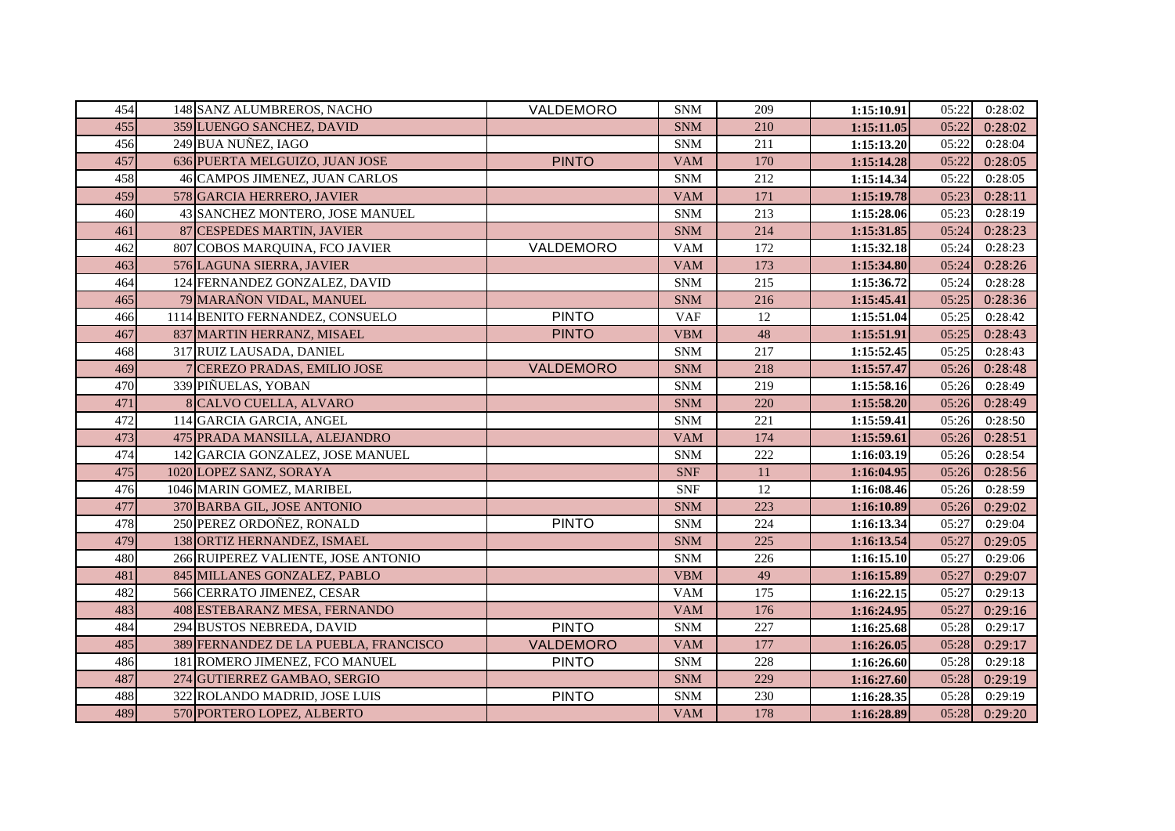| 454 | 148 SANZ ALUMBREROS, NACHO            | VALDEMORO        | <b>SNM</b> | 209 | 1:15:10.91 | 05:22 | 0:28:02 |
|-----|---------------------------------------|------------------|------------|-----|------------|-------|---------|
| 455 | 359 LUENGO SANCHEZ, DAVID             |                  | <b>SNM</b> | 210 | 1:15:11.05 | 05:22 | 0:28:02 |
| 456 | 249 BUA NUÑEZ, IAGO                   |                  | <b>SNM</b> | 211 | 1:15:13.20 | 05:22 | 0:28:04 |
| 457 | 636 PUERTA MELGUIZO, JUAN JOSE        | <b>PINTO</b>     | <b>VAM</b> | 170 | 1:15:14.28 | 05:22 | 0:28:05 |
| 458 | 46 CAMPOS JIMENEZ, JUAN CARLOS        |                  | <b>SNM</b> | 212 | 1:15:14.34 | 05:22 | 0:28:05 |
| 459 | 578 GARCIA HERRERO, JAVIER            |                  | <b>VAM</b> | 171 | 1:15:19.78 | 05:23 | 0:28:11 |
| 460 | 43 SANCHEZ MONTERO, JOSE MANUEL       |                  | <b>SNM</b> | 213 | 1:15:28.06 | 05:23 | 0:28:19 |
| 461 | 87 CESPEDES MARTIN, JAVIER            |                  | <b>SNM</b> | 214 | 1:15:31.85 | 05:24 | 0:28:23 |
| 462 | 807 COBOS MARQUINA, FCO JAVIER        | VALDEMORO        | <b>VAM</b> | 172 | 1:15:32.18 | 05:24 | 0:28:23 |
| 463 | 576 LAGUNA SIERRA, JAVIER             |                  | <b>VAM</b> | 173 | 1:15:34.80 | 05:24 | 0:28:26 |
| 464 | 124 FERNANDEZ GONZALEZ, DAVID         |                  | <b>SNM</b> | 215 | 1:15:36.72 | 05:24 | 0:28:28 |
| 465 | 79 MARAÑON VIDAL, MANUEL              |                  | <b>SNM</b> | 216 | 1:15:45.41 | 05:25 | 0:28:36 |
| 466 | 1114 BENITO FERNANDEZ, CONSUELO       | <b>PINTO</b>     | <b>VAF</b> | 12  | 1:15:51.04 | 05:25 | 0:28:42 |
| 467 | 837 MARTIN HERRANZ, MISAEL            | <b>PINTO</b>     | <b>VBM</b> | 48  | 1:15:51.91 | 05:25 | 0:28:43 |
| 468 | 317 RUIZ LAUSADA, DANIEL              |                  | <b>SNM</b> | 217 | 1:15:52.45 | 05:25 | 0:28:43 |
| 469 | <b>CEREZO PRADAS, EMILIO JOSE</b>     | VALDEMORO        | <b>SNM</b> | 218 | 1:15:57.47 | 05:26 | 0:28:48 |
| 470 | 339 PIÑUELAS, YOBAN                   |                  | <b>SNM</b> | 219 | 1:15:58.16 | 05:26 | 0:28:49 |
| 471 | 8 CALVO CUELLA, ALVARO                |                  | <b>SNM</b> | 220 | 1:15:58.20 | 05:26 | 0:28:49 |
| 472 | 114 GARCIA GARCIA, ANGEL              |                  | <b>SNM</b> | 221 | 1:15:59.41 | 05:26 | 0:28:50 |
| 473 | 475 PRADA MANSILLA, ALEJANDRO         |                  | <b>VAM</b> | 174 | 1:15:59.61 | 05:26 | 0:28:51 |
| 474 | 142 GARCIA GONZALEZ, JOSE MANUEL      |                  | <b>SNM</b> | 222 | 1:16:03.19 | 05:26 | 0:28:54 |
| 475 | 1020 LOPEZ SANZ, SORAYA               |                  | <b>SNF</b> | 11  | 1:16:04.95 | 05:26 | 0:28:56 |
| 476 | 1046 MARIN GOMEZ, MARIBEL             |                  | <b>SNF</b> | 12  | 1:16:08.46 | 05:26 | 0:28:59 |
| 477 | 370 BARBA GIL, JOSE ANTONIO           |                  | <b>SNM</b> | 223 | 1:16:10.89 | 05:26 | 0:29:02 |
| 478 | 250 PEREZ ORDOÑEZ, RONALD             | <b>PINTO</b>     | <b>SNM</b> | 224 | 1:16:13.34 | 05:27 | 0:29:04 |
| 479 | 138 ORTIZ HERNANDEZ, ISMAEL           |                  | <b>SNM</b> | 225 | 1:16:13.54 | 05:27 | 0:29:05 |
| 480 | 266 RUIPEREZ VALIENTE, JOSE ANTONIO   |                  | <b>SNM</b> | 226 | 1:16:15.10 | 05:27 | 0:29:06 |
| 481 | 845 MILLANES GONZALEZ, PABLO          |                  | <b>VBM</b> | 49  | 1:16:15.89 | 05:27 | 0:29:07 |
| 482 | 566 CERRATO JIMENEZ, CESAR            |                  | <b>VAM</b> | 175 | 1:16:22.15 | 05:27 | 0:29:13 |
| 483 | 408 ESTEBARANZ MESA, FERNANDO         |                  | <b>VAM</b> | 176 | 1:16:24.95 | 05:27 | 0:29:16 |
| 484 | 294 BUSTOS NEBREDA, DAVID             | <b>PINTO</b>     | <b>SNM</b> | 227 | 1:16:25.68 | 05:28 | 0:29:17 |
| 485 | 389 FERNANDEZ DE LA PUEBLA, FRANCISCO | <b>VALDEMORO</b> | <b>VAM</b> | 177 | 1:16:26.05 | 05:28 | 0:29:17 |
| 486 | 181 ROMERO JIMENEZ, FCO MANUEL        | <b>PINTO</b>     | <b>SNM</b> | 228 | 1:16:26.60 | 05:28 | 0:29:18 |
| 487 | 274 GUTIERREZ GAMBAO, SERGIO          |                  | <b>SNM</b> | 229 | 1:16:27.60 | 05:28 | 0:29:19 |
| 488 | 322 ROLANDO MADRID, JOSE LUIS         | <b>PINTO</b>     | <b>SNM</b> | 230 | 1:16:28.35 | 05:28 | 0:29:19 |
| 489 | 570 PORTERO LOPEZ, ALBERTO            |                  | <b>VAM</b> | 178 | 1:16:28.89 | 05:28 | 0:29:20 |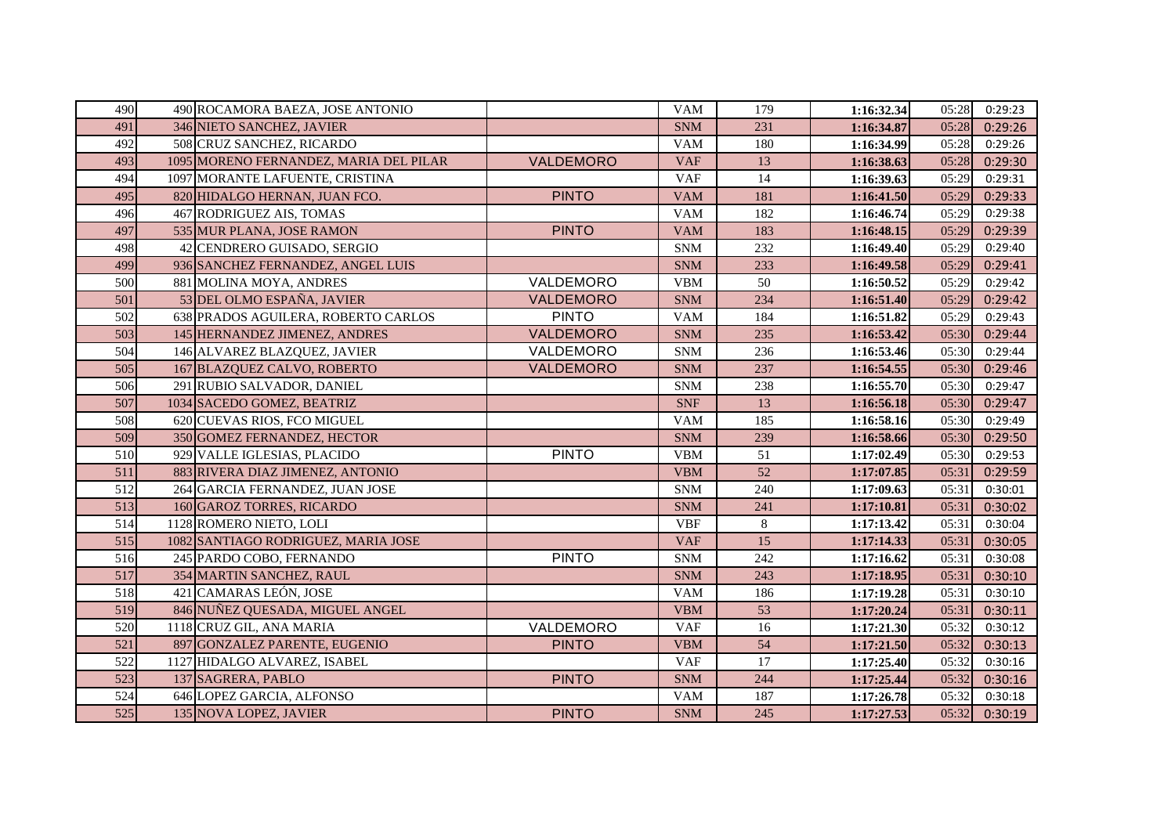| 490 | 490 ROCAMORA BAEZA, JOSE ANTONIO       |                  | <b>VAM</b> | 179 | 1:16:32.34 | 05:28 | 0:29:23 |
|-----|----------------------------------------|------------------|------------|-----|------------|-------|---------|
| 491 | 346 NIETO SANCHEZ, JAVIER              |                  | <b>SNM</b> | 231 | 1:16:34.87 | 05:28 | 0:29:26 |
| 492 | 508 CRUZ SANCHEZ, RICARDO              |                  | <b>VAM</b> | 180 | 1:16:34.99 | 05:28 | 0:29:26 |
| 493 | 1095 MORENO FERNANDEZ, MARIA DEL PILAR | VALDEMORO        | <b>VAF</b> | 13  | 1:16:38.63 | 05:28 | 0:29:30 |
| 494 | 1097 MORANTE LAFUENTE, CRISTINA        |                  | <b>VAF</b> | 14  | 1:16:39.63 | 05:29 | 0:29:31 |
| 495 | 820 HIDALGO HERNAN, JUAN FCO.          | <b>PINTO</b>     | <b>VAM</b> | 181 | 1:16:41.50 | 05:29 | 0:29:33 |
| 496 | 467 RODRIGUEZ AIS, TOMAS               |                  | <b>VAM</b> | 182 | 1:16:46.74 | 05:29 | 0:29:38 |
| 497 | 535 MUR PLANA, JOSE RAMON              | <b>PINTO</b>     | <b>VAM</b> | 183 | 1:16:48.15 | 05:29 | 0:29:39 |
| 498 | 42 CENDRERO GUISADO, SERGIO            |                  | <b>SNM</b> | 232 | 1:16:49.40 | 05:29 | 0:29:40 |
| 499 | 936 SANCHEZ FERNANDEZ, ANGEL LUIS      |                  | <b>SNM</b> | 233 | 1:16:49.58 | 05:29 | 0:29:41 |
| 500 | 881 MOLINA MOYA, ANDRES                | VALDEMORO        | <b>VBM</b> | 50  | 1:16:50.52 | 05:29 | 0:29:42 |
| 501 | 53 DEL OLMO ESPAÑA, JAVIER             | <b>VALDEMORO</b> | <b>SNM</b> | 234 | 1:16:51.40 | 05:29 | 0:29:42 |
| 502 | 638 PRADOS AGUILERA, ROBERTO CARLOS    | <b>PINTO</b>     | <b>VAM</b> | 184 | 1:16:51.82 | 05:29 | 0:29:43 |
| 503 | 145 HERNANDEZ JIMENEZ, ANDRES          | VALDEMORO        | <b>SNM</b> | 235 | 1:16:53.42 | 05:30 | 0:29:44 |
| 504 | 146 ALVAREZ BLAZQUEZ, JAVIER           | VALDEMORO        | <b>SNM</b> | 236 | 1:16:53.46 | 05:30 | 0:29:44 |
| 505 | 167 BLAZQUEZ CALVO, ROBERTO            | VALDEMORO        | <b>SNM</b> | 237 | 1:16:54.55 | 05:30 | 0:29:46 |
| 506 | 291 RUBIO SALVADOR, DANIEL             |                  | <b>SNM</b> | 238 | 1:16:55.70 | 05:30 | 0:29:47 |
| 507 | 1034 SACEDO GOMEZ, BEATRIZ             |                  | <b>SNF</b> | 13  | 1:16:56.18 | 05:30 | 0:29:47 |
| 508 | 620 CUEVAS RIOS, FCO MIGUEL            |                  | <b>VAM</b> | 185 | 1:16:58.16 | 05:30 | 0:29:49 |
| 509 | 350 GOMEZ FERNANDEZ, HECTOR            |                  | <b>SNM</b> | 239 | 1:16:58.66 | 05:30 | 0:29:50 |
| 510 | 929 VALLE IGLESIAS, PLACIDO            | <b>PINTO</b>     | <b>VBM</b> | 51  | 1:17:02.49 | 05:30 | 0:29:53 |
| 511 | 883 RIVERA DIAZ JIMENEZ, ANTONIO       |                  | <b>VBM</b> | 52  | 1:17:07.85 | 05:31 | 0:29:59 |
| 512 | 264 GARCIA FERNANDEZ, JUAN JOSE        |                  | <b>SNM</b> | 240 | 1:17:09.63 | 05:31 | 0:30:01 |
| 513 | 160 GAROZ TORRES, RICARDO              |                  | <b>SNM</b> | 241 | 1:17:10.81 | 05:31 | 0:30:02 |
| 514 | 1128 ROMERO NIETO, LOLI                |                  | <b>VBF</b> | 8   | 1:17:13.42 | 05:31 | 0:30:04 |
| 515 | 1082 SANTIAGO RODRIGUEZ, MARIA JOSE    |                  | <b>VAF</b> | 15  | 1:17:14.33 | 05:31 | 0:30:05 |
| 516 | 245 PARDO COBO, FERNANDO               | <b>PINTO</b>     | <b>SNM</b> | 242 | 1:17:16.62 | 05:31 | 0:30:08 |
| 517 | 354 MARTIN SANCHEZ, RAUL               |                  | <b>SNM</b> | 243 | 1:17:18.95 | 05:31 | 0:30:10 |
| 518 | 421 CAMARAS LEÓN, JOSE                 |                  | <b>VAM</b> | 186 | 1:17:19.28 | 05:31 | 0:30:10 |
| 519 | 846 NUÑEZ QUESADA, MIGUEL ANGEL        |                  | <b>VBM</b> | 53  | 1:17:20.24 | 05:31 | 0:30:11 |
| 520 | 1118 CRUZ GIL, ANA MARIA               | VALDEMORO        | <b>VAF</b> | 16  | 1:17:21.30 | 05:32 | 0:30:12 |
| 521 | 897 GONZALEZ PARENTE, EUGENIO          | <b>PINTO</b>     | <b>VBM</b> | 54  | 1:17:21.50 | 05:32 | 0:30:13 |
| 522 | 1127 HIDALGO ALVAREZ, ISABEL           |                  | <b>VAF</b> | 17  | 1:17:25.40 | 05:32 | 0:30:16 |
| 523 | 137 SAGRERA, PABLO                     | <b>PINTO</b>     | <b>SNM</b> | 244 | 1:17:25.44 | 05:32 | 0:30:16 |
| 524 | 646 LOPEZ GARCIA, ALFONSO              |                  | <b>VAM</b> | 187 | 1:17:26.78 | 05:32 | 0:30:18 |
| 525 | 135 NOVA LOPEZ, JAVIER                 | <b>PINTO</b>     | <b>SNM</b> | 245 | 1:17:27.53 | 05:32 | 0:30:19 |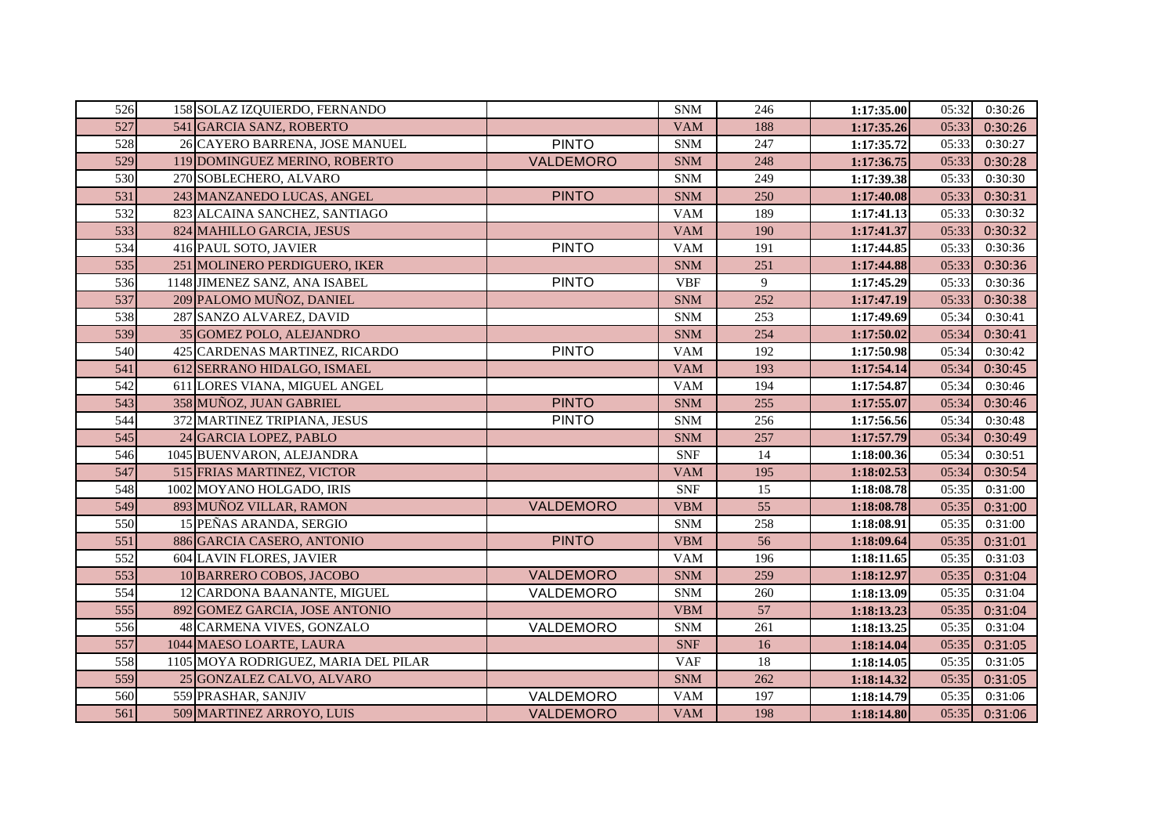| 526 | 158 SOLAZ IZQUIERDO, FERNANDO        |                  | <b>SNM</b> | 246             | 1:17:35.00 | 05:32 | 0:30:26 |
|-----|--------------------------------------|------------------|------------|-----------------|------------|-------|---------|
| 527 | 541 GARCIA SANZ, ROBERTO             |                  | <b>VAM</b> | 188             | 1:17:35.26 | 05:33 | 0:30:26 |
| 528 | 26 CAYERO BARRENA, JOSE MANUEL       | <b>PINTO</b>     | <b>SNM</b> | 247             | 1:17:35.72 | 05:33 | 0:30:27 |
| 529 | 119 DOMINGUEZ MERINO, ROBERTO        | VALDEMORO        | <b>SNM</b> | 248             | 1:17:36.75 | 05:33 | 0:30:28 |
| 530 | 270 SOBLECHERO, ALVARO               |                  | <b>SNM</b> | 249             | 1:17:39.38 | 05:33 | 0:30:30 |
| 531 | 243 MANZANEDO LUCAS, ANGEL           | <b>PINTO</b>     | <b>SNM</b> | 250             | 1:17:40.08 | 05:33 | 0:30:31 |
| 532 | 823 ALCAINA SANCHEZ, SANTIAGO        |                  | <b>VAM</b> | 189             | 1:17:41.13 | 05:33 | 0:30:32 |
| 533 | 824 MAHILLO GARCIA, JESUS            |                  | <b>VAM</b> | 190             | 1:17:41.37 | 05:33 | 0:30:32 |
| 534 | 416 PAUL SOTO, JAVIER                | <b>PINTO</b>     | <b>VAM</b> | 191             | 1:17:44.85 | 05:33 | 0:30:36 |
| 535 | 251 MOLINERO PERDIGUERO, IKER        |                  | <b>SNM</b> | 251             | 1:17:44.88 | 05:33 | 0:30:36 |
| 536 | 1148 JIMENEZ SANZ, ANA ISABEL        | <b>PINTO</b>     | <b>VBF</b> | 9               | 1:17:45.29 | 05:33 | 0:30:36 |
| 537 | 209 PALOMO MUÑOZ, DANIEL             |                  | <b>SNM</b> | 252             | 1:17:47.19 | 05:33 | 0:30:38 |
| 538 | 287 SANZO ALVAREZ, DAVID             |                  | <b>SNM</b> | 253             | 1:17:49.69 | 05:34 | 0:30:41 |
| 539 | 35 GOMEZ POLO, ALEJANDRO             |                  | <b>SNM</b> | 254             | 1:17:50.02 | 05:34 | 0:30:41 |
| 540 | 425 CARDENAS MARTINEZ, RICARDO       | <b>PINTO</b>     | <b>VAM</b> | 192             | 1:17:50.98 | 05:34 | 0:30:42 |
| 541 | 612 SERRANO HIDALGO, ISMAEL          |                  | <b>VAM</b> | 193             | 1:17:54.14 | 05:34 | 0:30:45 |
| 542 | 611 LORES VIANA, MIGUEL ANGEL        |                  | <b>VAM</b> | 194             | 1:17:54.87 | 05:34 | 0:30:46 |
| 543 | 358 MUÑOZ, JUAN GABRIEL              | <b>PINTO</b>     | <b>SNM</b> | 255             | 1:17:55.07 | 05:34 | 0:30:46 |
| 544 | 372 MARTINEZ TRIPIANA, JESUS         | <b>PINTO</b>     | <b>SNM</b> | 256             | 1:17:56.56 | 05:34 | 0:30:48 |
| 545 | 24 GARCIA LOPEZ, PABLO               |                  | <b>SNM</b> | 257             | 1:17:57.79 | 05:34 | 0:30:49 |
| 546 | 1045 BUENVARON, ALEJANDRA            |                  | <b>SNF</b> | 14              | 1:18:00.36 | 05:34 | 0:30:51 |
| 547 | 515 FRIAS MARTINEZ, VICTOR           |                  | <b>VAM</b> | 195             | 1:18:02.53 | 05:34 | 0:30:54 |
| 548 | 1002 MOYANO HOLGADO, IRIS            |                  | <b>SNF</b> | 15              | 1:18:08.78 | 05:35 | 0:31:00 |
| 549 | 893 MUÑOZ VILLAR, RAMON              | VALDEMORO        | <b>VBM</b> | $\overline{55}$ | 1:18:08.78 | 05:35 | 0:31:00 |
| 550 | 15 PEÑAS ARANDA, SERGIO              |                  | <b>SNM</b> | 258             | 1:18:08.91 | 05:35 | 0:31:00 |
| 551 | 886 GARCIA CASERO, ANTONIO           | <b>PINTO</b>     | <b>VBM</b> | 56              | 1:18:09.64 | 05:35 | 0:31:01 |
| 552 | 604 LAVIN FLORES, JAVIER             |                  | <b>VAM</b> | 196             | 1:18:11.65 | 05:35 | 0:31:03 |
| 553 | 10 BARRERO COBOS, JACOBO             | VALDEMORO        | <b>SNM</b> | 259             | 1:18:12.97 | 05:35 | 0:31:04 |
| 554 | 12 CARDONA BAANANTE, MIGUEL          | VALDEMORO        | <b>SNM</b> | 260             | 1:18:13.09 | 05:35 | 0:31:04 |
| 555 | 892 GOMEZ GARCIA, JOSE ANTONIO       |                  | <b>VBM</b> | 57              | 1:18:13.23 | 05:35 | 0:31:04 |
| 556 | 48 CARMENA VIVES, GONZALO            | VALDEMORO        | <b>SNM</b> | 261             | 1:18:13.25 | 05:35 | 0:31:04 |
| 557 | 1044 MAESO LOARTE, LAURA             |                  | <b>SNF</b> | 16              | 1:18:14.04 | 05:35 | 0:31:05 |
| 558 | 1105 MOYA RODRIGUEZ, MARIA DEL PILAR |                  | <b>VAF</b> | 18              | 1:18:14.05 | 05:35 | 0:31:05 |
| 559 | 25 GONZALEZ CALVO, ALVARO            |                  | <b>SNM</b> | 262             | 1:18:14.32 | 05:35 | 0:31:05 |
| 560 | 559 PRASHAR, SANJIV                  | VALDEMORO        | <b>VAM</b> | 197             | 1:18:14.79 | 05:35 | 0:31:06 |
| 561 | 509 MARTINEZ ARROYO, LUIS            | <b>VALDEMORO</b> | <b>VAM</b> | 198             | 1:18:14.80 | 05:35 | 0:31:06 |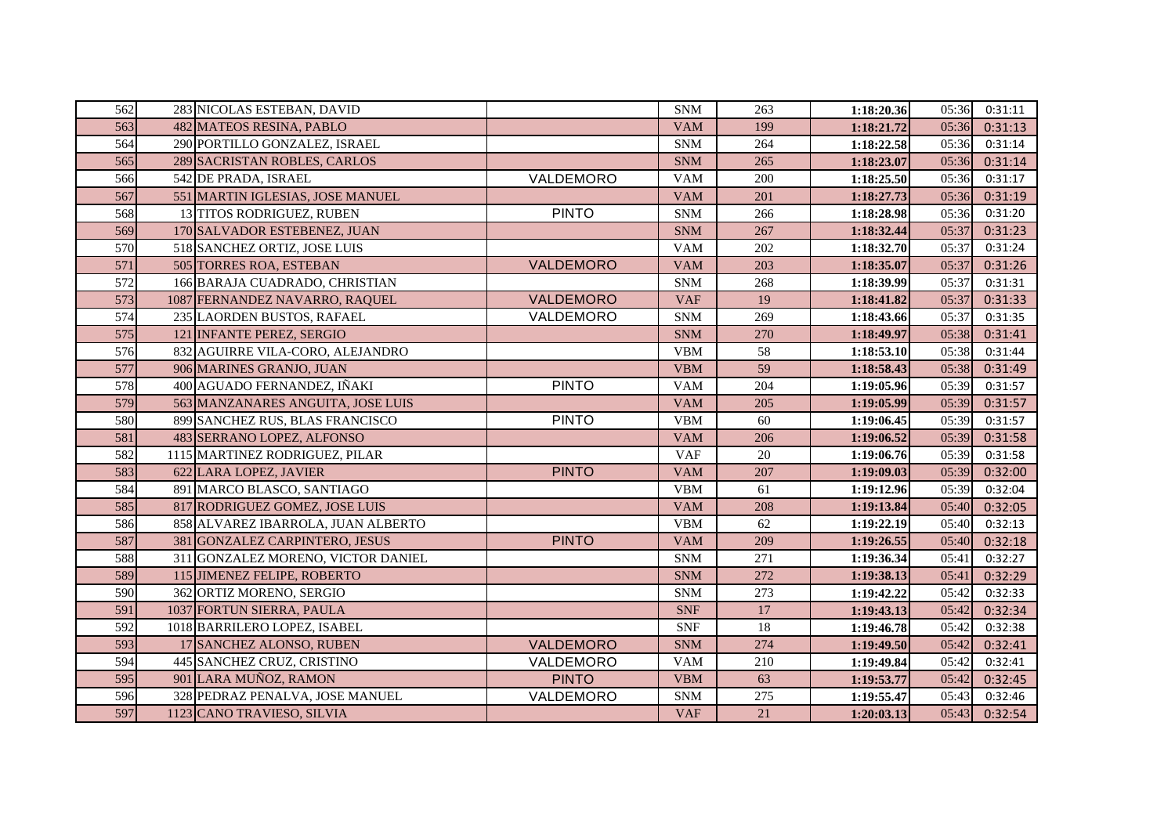| 562 | 283 NICOLAS ESTEBAN, DAVID         |                  | <b>SNM</b> | 263 | 1:18:20.36 | 05:36 | 0:31:11 |
|-----|------------------------------------|------------------|------------|-----|------------|-------|---------|
| 563 | 482 MATEOS RESINA, PABLO           |                  | <b>VAM</b> | 199 | 1:18:21.72 | 05:36 | 0:31:13 |
| 564 | 290 PORTILLO GONZALEZ, ISRAEL      |                  | <b>SNM</b> | 264 | 1:18:22.58 | 05:36 | 0:31:14 |
| 565 | 289 SACRISTAN ROBLES, CARLOS       |                  | <b>SNM</b> | 265 | 1:18:23.07 | 05:36 | 0:31:14 |
| 566 | 542 DE PRADA, ISRAEL               | VALDEMORO        | <b>VAM</b> | 200 | 1:18:25.50 | 05:36 | 0:31:17 |
| 567 | 551 MARTIN IGLESIAS, JOSE MANUEL   |                  | <b>VAM</b> | 201 | 1:18:27.73 | 05:36 | 0:31:19 |
| 568 | 13 TITOS RODRIGUEZ, RUBEN          | <b>PINTO</b>     | <b>SNM</b> | 266 | 1:18:28.98 | 05:36 | 0:31:20 |
| 569 | 170 SALVADOR ESTEBENEZ, JUAN       |                  | <b>SNM</b> | 267 | 1:18:32.44 | 05:37 | 0:31:23 |
| 570 | 518 SANCHEZ ORTIZ, JOSE LUIS       |                  | <b>VAM</b> | 202 | 1:18:32.70 | 05:37 | 0:31:24 |
| 571 | 505 TORRES ROA, ESTEBAN            | VALDEMORO        | <b>VAM</b> | 203 | 1:18:35.07 | 05:37 | 0:31:26 |
| 572 | 166 BARAJA CUADRADO, CHRISTIAN     |                  | <b>SNM</b> | 268 | 1:18:39.99 | 05:37 | 0:31:31 |
| 573 | 1087 FERNANDEZ NAVARRO, RAQUEL     | VALDEMORO        | <b>VAF</b> | 19  | 1:18:41.82 | 05:37 | 0:31:33 |
| 574 | 235 LAORDEN BUSTOS, RAFAEL         | VALDEMORO        | <b>SNM</b> | 269 | 1:18:43.66 | 05:37 | 0:31:35 |
| 575 | 121 INFANTE PEREZ, SERGIO          |                  | <b>SNM</b> | 270 | 1:18:49.97 | 05:38 | 0:31:41 |
| 576 | 832 AGUIRRE VILA-CORO, ALEJANDRO   |                  | <b>VBM</b> | 58  | 1:18:53.10 | 05:38 | 0:31:44 |
| 577 | 906 MARINES GRANJO, JUAN           |                  | <b>VBM</b> | 59  | 1:18:58.43 | 05:38 | 0:31:49 |
| 578 | 400 AGUADO FERNANDEZ, IÑAKI        | <b>PINTO</b>     | <b>VAM</b> | 204 | 1:19:05.96 | 05:39 | 0:31:57 |
| 579 | 563 MANZANARES ANGUITA, JOSE LUIS  |                  | <b>VAM</b> | 205 | 1:19:05.99 | 05:39 | 0:31:57 |
| 580 | 899 SANCHEZ RUS, BLAS FRANCISCO    | <b>PINTO</b>     | <b>VBM</b> | 60  | 1:19:06.45 | 05:39 | 0:31:57 |
| 581 | 483 SERRANO LOPEZ, ALFONSO         |                  | <b>VAM</b> | 206 | 1:19:06.52 | 05:39 | 0:31:58 |
| 582 | 1115 MARTINEZ RODRIGUEZ, PILAR     |                  | <b>VAF</b> | 20  | 1:19:06.76 | 05:39 | 0:31:58 |
| 583 | 622 LARA LOPEZ, JAVIER             | <b>PINTO</b>     | <b>VAM</b> | 207 | 1:19:09.03 | 05:39 | 0:32:00 |
| 584 | 891 MARCO BLASCO, SANTIAGO         |                  | <b>VBM</b> | 61  | 1:19:12.96 | 05:39 | 0:32:04 |
| 585 | 817 RODRIGUEZ GOMEZ, JOSE LUIS     |                  | <b>VAM</b> | 208 | 1:19:13.84 | 05:40 | 0:32:05 |
| 586 | 858 ALVAREZ IBARROLA, JUAN ALBERTO |                  | <b>VBM</b> | 62  | 1:19:22.19 | 05:40 | 0:32:13 |
| 587 | 381 GONZALEZ CARPINTERO, JESUS     | <b>PINTO</b>     | <b>VAM</b> | 209 | 1:19:26.55 | 05:40 | 0:32:18 |
| 588 | 311 GONZALEZ MORENO, VICTOR DANIEL |                  | <b>SNM</b> | 271 | 1:19:36.34 | 05:41 | 0:32:27 |
| 589 | 115 JIMENEZ FELIPE, ROBERTO        |                  | <b>SNM</b> | 272 | 1:19:38.13 | 05:41 | 0:32:29 |
| 590 | 362 ORTIZ MORENO, SERGIO           |                  | <b>SNM</b> | 273 | 1:19:42.22 | 05:42 | 0:32:33 |
| 591 | 1037 FORTUN SIERRA, PAULA          |                  | <b>SNF</b> | 17  | 1:19:43.13 | 05:42 | 0:32:34 |
| 592 | 1018 BARRILERO LOPEZ, ISABEL       |                  | <b>SNF</b> | 18  | 1:19:46.78 | 05:42 | 0:32:38 |
| 593 | 17 SANCHEZ ALONSO, RUBEN           | <b>VALDEMORO</b> | <b>SNM</b> | 274 | 1:19:49.50 | 05:42 | 0:32:41 |
| 594 | 445 SANCHEZ CRUZ, CRISTINO         | VALDEMORO        | <b>VAM</b> | 210 | 1:19:49.84 | 05:42 | 0:32:41 |
| 595 | 901 LARA MUÑOZ, RAMON              | <b>PINTO</b>     | <b>VBM</b> | 63  | 1:19:53.77 | 05:42 | 0:32:45 |
| 596 | 328 PEDRAZ PENALVA, JOSE MANUEL    | VALDEMORO        | <b>SNM</b> | 275 | 1:19:55.47 | 05:43 | 0:32:46 |
| 597 | 1123 CANO TRAVIESO, SILVIA         |                  | <b>VAF</b> | 21  | 1:20:03.13 | 05:43 | 0:32:54 |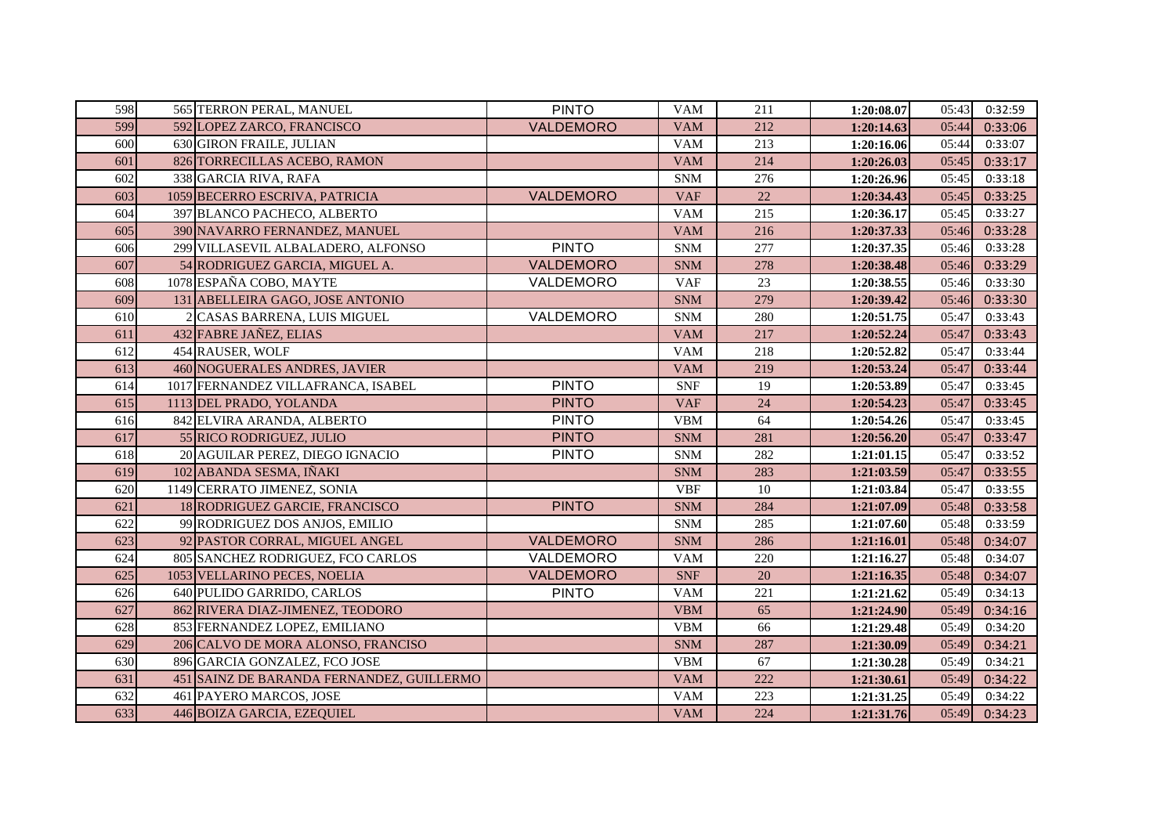| 598 | 565 TERRON PERAL, MANUEL                  | <b>PINTO</b> | <b>VAM</b> | 211 | 1:20:08.07 | 05:43 | 0:32:59 |
|-----|-------------------------------------------|--------------|------------|-----|------------|-------|---------|
| 599 | 592 LOPEZ ZARCO, FRANCISCO                | VALDEMORO    | <b>VAM</b> | 212 | 1:20:14.63 | 05:44 | 0:33:06 |
| 600 | 630 GIRON FRAILE, JULIAN                  |              | <b>VAM</b> | 213 | 1:20:16.06 | 05:44 | 0:33:07 |
| 601 | 826 TORRECILLAS ACEBO, RAMON              |              | <b>VAM</b> | 214 | 1:20:26.03 | 05:45 | 0:33:17 |
| 602 | 338 GARCIA RIVA, RAFA                     |              | <b>SNM</b> | 276 | 1:20:26.96 | 05:45 | 0:33:18 |
| 603 | 1059 BECERRO ESCRIVA, PATRICIA            | VALDEMORO    | <b>VAF</b> | 22  | 1:20:34.43 | 05:45 | 0:33:25 |
| 604 | 397 BLANCO PACHECO, ALBERTO               |              | <b>VAM</b> | 215 | 1:20:36.17 | 05:45 | 0:33:27 |
| 605 | 390 NAVARRO FERNANDEZ, MANUEL             |              | <b>VAM</b> | 216 | 1:20:37.33 | 05:46 | 0:33:28 |
| 606 | 299 VILLASEVIL ALBALADERO, ALFONSO        | <b>PINTO</b> | <b>SNM</b> | 277 | 1:20:37.35 | 05:46 | 0:33:28 |
| 607 | 54 RODRIGUEZ GARCIA, MIGUEL A.            | VALDEMORO    | <b>SNM</b> | 278 | 1:20:38.48 | 05:46 | 0:33:29 |
| 608 | 1078 ESPAÑA COBO, MAYTE                   | VALDEMORO    | <b>VAF</b> | 23  | 1:20:38.55 | 05:46 | 0:33:30 |
| 609 | 131 ABELLEIRA GAGO, JOSE ANTONIO          |              | <b>SNM</b> | 279 | 1:20:39.42 | 05:46 | 0:33:30 |
| 610 | 2 CASAS BARRENA, LUIS MIGUEL              | VALDEMORO    | <b>SNM</b> | 280 | 1:20:51.75 | 05:47 | 0:33:43 |
| 611 | 432 FABRE JAÑEZ, ELIAS                    |              | <b>VAM</b> | 217 | 1:20:52.24 | 05:47 | 0:33:43 |
| 612 | 454 RAUSER, WOLF                          |              | <b>VAM</b> | 218 | 1:20:52.82 | 05:47 | 0:33:44 |
| 613 | 460 NOGUERALES ANDRES, JAVIER             |              | <b>VAM</b> | 219 | 1:20:53.24 | 05:47 | 0:33:44 |
| 614 | 1017 FERNANDEZ VILLAFRANCA, ISABEL        | <b>PINTO</b> | <b>SNF</b> | 19  | 1:20:53.89 | 05:47 | 0:33:45 |
| 615 | 1113 DEL PRADO, YOLANDA                   | <b>PINTO</b> | <b>VAF</b> | 24  | 1:20:54.23 | 05:47 | 0:33:45 |
| 616 | 842 ELVIRA ARANDA, ALBERTO                | <b>PINTO</b> | <b>VBM</b> | 64  | 1:20:54.26 | 05:47 | 0:33:45 |
| 617 | 55 RICO RODRIGUEZ, JULIO                  | <b>PINTO</b> | <b>SNM</b> | 281 | 1:20:56.20 | 05:47 | 0:33:47 |
| 618 | 20 AGUILAR PEREZ, DIEGO IGNACIO           | <b>PINTO</b> | <b>SNM</b> | 282 | 1:21:01.15 | 05:47 | 0:33:52 |
| 619 | 102 ABANDA SESMA, IÑAKI                   |              | <b>SNM</b> | 283 | 1:21:03.59 | 05:47 | 0:33:55 |
| 620 | 1149 CERRATO JIMENEZ, SONIA               |              | <b>VBF</b> | 10  | 1:21:03.84 | 05:47 | 0:33:55 |
| 621 | 18 RODRIGUEZ GARCIE, FRANCISCO            | <b>PINTO</b> | <b>SNM</b> | 284 | 1:21:07.09 | 05:48 | 0:33:58 |
| 622 | 99 RODRIGUEZ DOS ANJOS, EMILIO            |              | <b>SNM</b> | 285 | 1:21:07.60 | 05:48 | 0:33:59 |
| 623 | 92 PASTOR CORRAL, MIGUEL ANGEL            | VALDEMORO    | <b>SNM</b> | 286 | 1:21:16.01 | 05:48 | 0:34:07 |
| 624 | 805 SANCHEZ RODRIGUEZ, FCO CARLOS         | VALDEMORO    | <b>VAM</b> | 220 | 1:21:16.27 | 05:48 | 0:34:07 |
| 625 | 1053 VELLARINO PECES, NOELIA              | VALDEMORO    | <b>SNF</b> | 20  | 1:21:16.35 | 05:48 | 0:34:07 |
| 626 | 640 PULIDO GARRIDO, CARLOS                | <b>PINTO</b> | <b>VAM</b> | 221 | 1:21:21.62 | 05:49 | 0:34:13 |
| 627 | 862 RIVERA DIAZ-JIMENEZ, TEODORO          |              | <b>VBM</b> | 65  | 1:21:24.90 | 05:49 | 0:34:16 |
| 628 | 853 FERNANDEZ LOPEZ, EMILIANO             |              | <b>VBM</b> | 66  | 1:21:29.48 | 05:49 | 0:34:20 |
| 629 | 206 CALVO DE MORA ALONSO, FRANCISO        |              | <b>SNM</b> | 287 | 1:21:30.09 | 05:49 | 0:34:21 |
| 630 | 896 GARCIA GONZALEZ, FCO JOSE             |              | <b>VBM</b> | 67  | 1:21:30.28 | 05:49 | 0:34:21 |
| 631 | 451 SAINZ DE BARANDA FERNANDEZ, GUILLERMO |              | <b>VAM</b> | 222 | 1:21:30.61 | 05:49 | 0:34:22 |
| 632 | 461 PAYERO MARCOS, JOSE                   |              | <b>VAM</b> | 223 | 1:21:31.25 | 05:49 | 0:34:22 |
| 633 | 446 BOIZA GARCIA, EZEQUIEL                |              | <b>VAM</b> | 224 | 1:21:31.76 | 05:49 | 0:34:23 |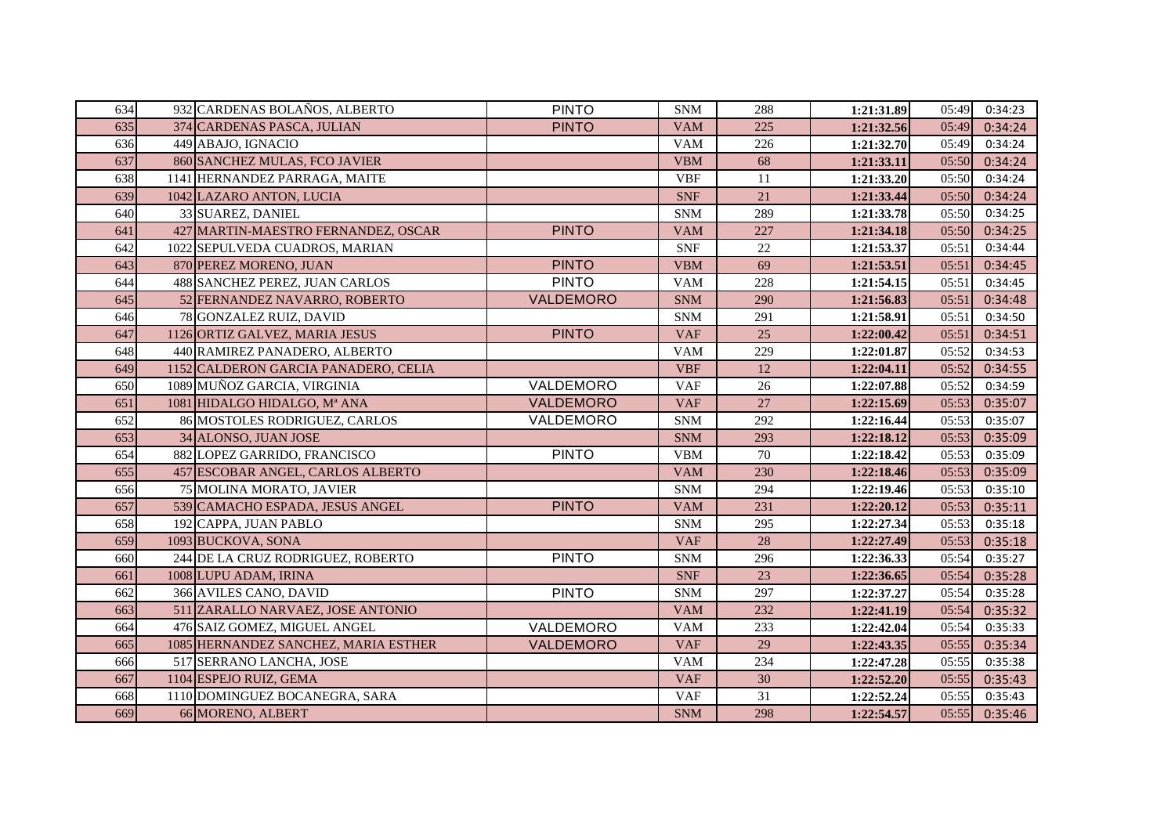| 634 | 932 CARDENAS BOLAÑOS, ALBERTO        | <b>PINTO</b>     | <b>SNM</b> | 288 | 1:21:31.89 | 05:49 | 0:34:23 |
|-----|--------------------------------------|------------------|------------|-----|------------|-------|---------|
| 635 | 374 CARDENAS PASCA, JULIAN           | <b>PINTO</b>     | <b>VAM</b> | 225 | 1:21:32.56 | 05:49 | 0:34:24 |
| 636 | 449 ABAJO, IGNACIO                   |                  | <b>VAM</b> | 226 | 1:21:32.70 | 05:49 | 0:34:24 |
| 637 | 860 SANCHEZ MULAS, FCO JAVIER        |                  | <b>VBM</b> | 68  | 1:21:33.11 | 05:50 | 0:34:24 |
| 638 | 1141 HERNANDEZ PARRAGA, MAITE        |                  | <b>VBF</b> | 11  | 1:21:33.20 | 05:50 | 0:34:24 |
| 639 | 1042 LAZARO ANTON, LUCIA             |                  | <b>SNF</b> | 21  | 1:21:33.44 | 05:50 | 0:34:24 |
| 640 | 33 SUAREZ, DANIEL                    |                  | <b>SNM</b> | 289 | 1:21:33.78 | 05:50 | 0:34:25 |
| 641 | 427 MARTIN-MAESTRO FERNANDEZ, OSCAR  | <b>PINTO</b>     | <b>VAM</b> | 227 | 1:21:34.18 | 05:50 | 0:34:25 |
| 642 | 1022 SEPULVEDA CUADROS, MARIAN       |                  | <b>SNF</b> | 22  | 1:21:53.37 | 05:51 | 0:34:44 |
| 643 | 870 PEREZ MORENO, JUAN               | <b>PINTO</b>     | <b>VBM</b> | 69  | 1:21:53.51 | 05:51 | 0:34:45 |
| 644 | 488 SANCHEZ PEREZ, JUAN CARLOS       | <b>PINTO</b>     | <b>VAM</b> | 228 | 1:21:54.15 | 05:51 | 0:34:45 |
| 645 | 52 FERNANDEZ NAVARRO, ROBERTO        | VALDEMORO        | <b>SNM</b> | 290 | 1:21:56.83 | 05:51 | 0:34:48 |
| 646 | 78 GONZALEZ RUIZ, DAVID              |                  | <b>SNM</b> | 291 | 1:21:58.91 | 05:51 | 0:34:50 |
| 647 | 1126 ORTIZ GALVEZ, MARIA JESUS       | <b>PINTO</b>     | <b>VAF</b> | 25  | 1:22:00.42 | 05:51 | 0:34:51 |
| 648 | 440 RAMIREZ PANADERO, ALBERTO        |                  | <b>VAM</b> | 229 | 1:22:01.87 | 05:52 | 0:34:53 |
| 649 | 1152 CALDERON GARCIA PANADERO, CELIA |                  | <b>VBF</b> | 12  | 1:22:04.11 | 05:52 | 0:34:55 |
| 650 | 1089 MUÑOZ GARCIA, VIRGINIA          | VALDEMORO        | <b>VAF</b> | 26  | 1:22:07.88 | 05:52 | 0:34:59 |
| 651 | 1081 HIDALGO HIDALGO, Mª ANA         | VALDEMORO        | <b>VAF</b> | 27  | 1:22:15.69 | 05:53 | 0:35:07 |
| 652 | 86 MOSTOLES RODRIGUEZ, CARLOS        | VALDEMORO        | <b>SNM</b> | 292 | 1:22:16.44 | 05:53 | 0:35:07 |
| 653 | 34 ALONSO, JUAN JOSE                 |                  | <b>SNM</b> | 293 | 1:22:18.12 | 05:53 | 0:35:09 |
| 654 | 882 LOPEZ GARRIDO, FRANCISCO         | <b>PINTO</b>     | <b>VBM</b> | 70  | 1:22:18.42 | 05:53 | 0:35:09 |
| 655 | 457 ESCOBAR ANGEL, CARLOS ALBERTO    |                  | <b>VAM</b> | 230 | 1:22:18.46 | 05:53 | 0:35:09 |
| 656 | 75 MOLINA MORATO, JAVIER             |                  | <b>SNM</b> | 294 | 1:22:19.46 | 05:53 | 0:35:10 |
| 657 | 539 CAMACHO ESPADA, JESUS ANGEL      | <b>PINTO</b>     | <b>VAM</b> | 231 | 1:22:20.12 | 05:53 | 0:35:11 |
| 658 | 192 CAPPA, JUAN PABLO                |                  | <b>SNM</b> | 295 | 1:22:27.34 | 05:53 | 0:35:18 |
| 659 | 1093 BUCKOVA, SONA                   |                  | <b>VAF</b> | 28  | 1:22:27.49 | 05:53 | 0:35:18 |
| 660 | 244 DE LA CRUZ RODRIGUEZ, ROBERTO    | <b>PINTO</b>     | <b>SNM</b> | 296 | 1:22:36.33 | 05:54 | 0:35:27 |
| 661 | 1008 LUPU ADAM, IRINA                |                  | <b>SNF</b> | 23  | 1:22:36.65 | 05:54 | 0:35:28 |
| 662 | 366 AVILES CANO, DAVID               | <b>PINTO</b>     | <b>SNM</b> | 297 | 1:22:37.27 | 05:54 | 0:35:28 |
| 663 | 511 ZARALLO NARVAEZ, JOSE ANTONIO    |                  | <b>VAM</b> | 232 | 1:22:41.19 | 05:54 | 0:35:32 |
| 664 | 476 SAIZ GOMEZ, MIGUEL ANGEL         | VALDEMORO        | <b>VAM</b> | 233 | 1:22:42.04 | 05:54 | 0:35:33 |
| 665 | 1085 HERNANDEZ SANCHEZ, MARIA ESTHER | <b>VALDEMORO</b> | <b>VAF</b> | 29  | 1:22:43.35 | 05:55 | 0:35:34 |
| 666 | 517 SERRANO LANCHA, JOSE             |                  | <b>VAM</b> | 234 | 1:22:47.28 | 05:55 | 0:35:38 |
| 667 | 1104 ESPEJO RUIZ, GEMA               |                  | <b>VAF</b> | 30  | 1:22:52.20 | 05:55 | 0:35:43 |
| 668 | 1110 DOMINGUEZ BOCANEGRA, SARA       |                  | <b>VAF</b> | 31  | 1:22:52.24 | 05:55 | 0:35:43 |
| 669 | 66 MORENO, ALBERT                    |                  | <b>SNM</b> | 298 | 1:22:54.57 | 05:55 | 0:35:46 |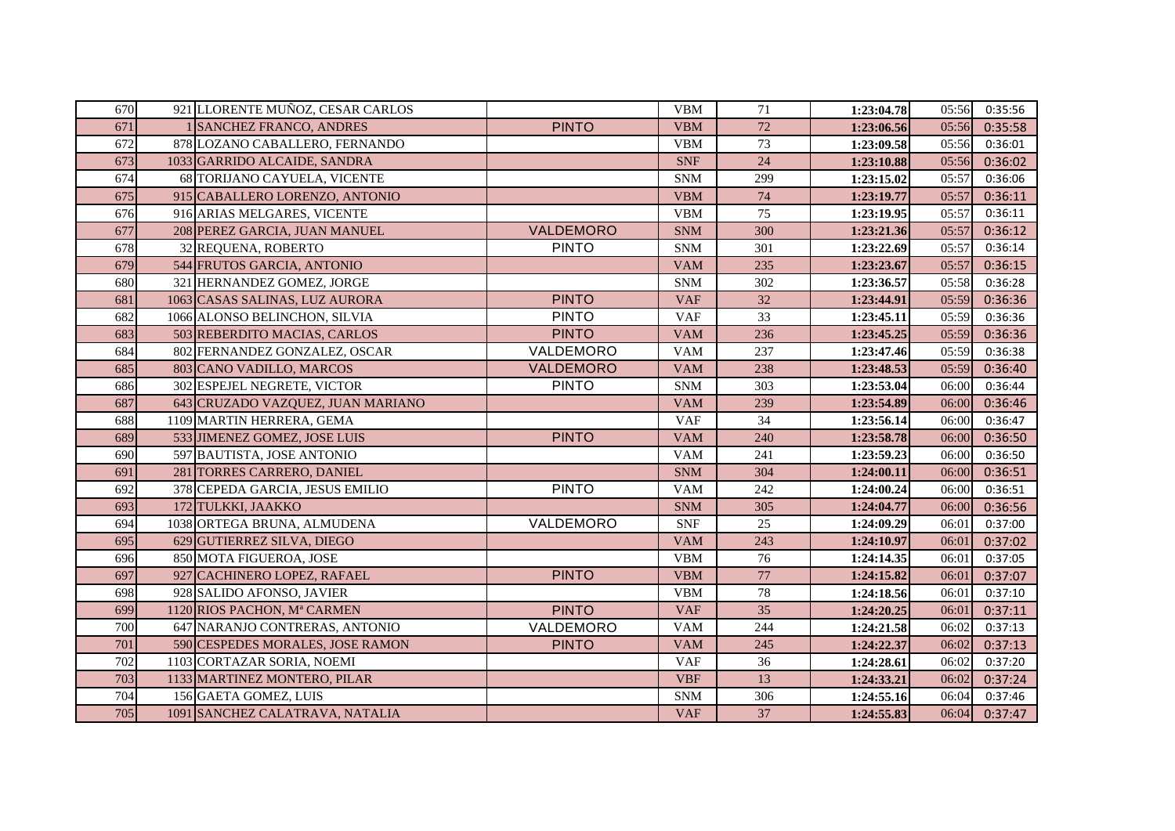| 670 | 921 LLORENTE MUÑOZ, CESAR CARLOS  |              | <b>VBM</b> | 71     | 1:23:04.78 | 05:56 | 0:35:56 |
|-----|-----------------------------------|--------------|------------|--------|------------|-------|---------|
| 671 | <b>SANCHEZ FRANCO, ANDRES</b>     | <b>PINTO</b> | <b>VBM</b> | 72     | 1:23:06.56 | 05:56 | 0:35:58 |
| 672 | 878 LOZANO CABALLERO, FERNANDO    |              | VBM        | 73     | 1:23:09.58 | 05:56 | 0:36:01 |
| 673 | 1033 GARRIDO ALCAIDE, SANDRA      |              | <b>SNF</b> | 24     | 1:23:10.88 | 05:56 | 0:36:02 |
| 674 | 68 TORIJANO CAYUELA, VICENTE      |              | <b>SNM</b> | 299    | 1:23:15.02 | 05:57 | 0:36:06 |
| 675 | 915 CABALLERO LORENZO, ANTONIO    |              | <b>VBM</b> | 74     | 1:23:19.77 | 05:57 | 0:36:11 |
| 676 | 916 ARIAS MELGARES, VICENTE       |              | <b>VBM</b> | 75     | 1:23:19.95 | 05:57 | 0:36:11 |
| 677 | 208 PEREZ GARCIA, JUAN MANUEL     | VALDEMORO    | <b>SNM</b> | 300    | 1:23:21.36 | 05:57 | 0:36:12 |
| 678 | 32 REQUENA, ROBERTO               | <b>PINTO</b> | <b>SNM</b> | 301    | 1:23:22.69 | 05:57 | 0:36:14 |
| 679 | 544 FRUTOS GARCIA, ANTONIO        |              | <b>VAM</b> | 235    | 1:23:23.67 | 05:57 | 0:36:15 |
| 680 | 321 HERNANDEZ GOMEZ, JORGE        |              | <b>SNM</b> | 302    | 1:23:36.57 | 05:58 | 0:36:28 |
| 681 | 1063 CASAS SALINAS, LUZ AURORA    | <b>PINTO</b> | <b>VAF</b> | 32     | 1:23:44.91 | 05:59 | 0:36:36 |
| 682 | 1066 ALONSO BELINCHON, SILVIA     | <b>PINTO</b> | <b>VAF</b> | 33     | 1:23:45.11 | 05:59 | 0:36:36 |
| 683 | 503 REBERDITO MACIAS, CARLOS      | <b>PINTO</b> | <b>VAM</b> | 236    | 1:23:45.25 | 05:59 | 0:36:36 |
| 684 | 802 FERNANDEZ GONZALEZ, OSCAR     | VALDEMORO    | <b>VAM</b> | 237    | 1:23:47.46 | 05:59 | 0:36:38 |
| 685 | 803 CANO VADILLO, MARCOS          | VALDEMORO    | <b>VAM</b> | 238    | 1:23:48.53 | 05:59 | 0:36:40 |
| 686 | 302 ESPEJEL NEGRETE, VICTOR       | <b>PINTO</b> | <b>SNM</b> | 303    | 1:23:53.04 | 06:00 | 0:36:44 |
| 687 | 643 CRUZADO VAZQUEZ, JUAN MARIANO |              | <b>VAM</b> | 239    | 1:23:54.89 | 06:00 | 0:36:46 |
| 688 | 1109 MARTIN HERRERA, GEMA         |              | <b>VAF</b> | 34     | 1:23:56.14 | 06:00 | 0:36:47 |
| 689 | 533 JIMENEZ GOMEZ, JOSE LUIS      | <b>PINTO</b> | <b>VAM</b> | 240    | 1:23:58.78 | 06:00 | 0:36:50 |
| 690 | 597 BAUTISTA, JOSE ANTONIO        |              | <b>VAM</b> | 241    | 1:23:59.23 | 06:00 | 0:36:50 |
| 691 | 281 TORRES CARRERO, DANIEL        |              | <b>SNM</b> | 304    | 1:24:00.11 | 06:00 | 0:36:51 |
| 692 | 378 CEPEDA GARCIA, JESUS EMILIO   | <b>PINTO</b> | <b>VAM</b> | 242    | 1:24:00.24 | 06:00 | 0:36:51 |
| 693 | 172 TULKKI, JAAKKO                |              | <b>SNM</b> | 305    | 1:24:04.77 | 06:00 | 0:36:56 |
| 694 | 1038 ORTEGA BRUNA, ALMUDENA       | VALDEMORO    | <b>SNF</b> | 25     | 1:24:09.29 | 06:01 | 0:37:00 |
| 695 | 629 GUTIERREZ SILVA, DIEGO        |              | <b>VAM</b> | 243    | 1:24:10.97 | 06:01 | 0:37:02 |
| 696 | 850 MOTA FIGUEROA, JOSE           |              | <b>VBM</b> | 76     | 1:24:14.35 | 06:01 | 0:37:05 |
| 697 | 927 CACHINERO LOPEZ, RAFAEL       | <b>PINTO</b> | <b>VBM</b> | $77\,$ | 1:24:15.82 | 06:01 | 0:37:07 |
| 698 | 928 SALIDO AFONSO, JAVIER         |              | <b>VBM</b> | 78     | 1:24:18.56 | 06:01 | 0:37:10 |
| 699 | 1120 RIOS PACHON, Mª CARMEN       | <b>PINTO</b> | <b>VAF</b> | 35     | 1:24:20.25 | 06:01 | 0:37:11 |
| 700 | 647 NARANJO CONTRERAS, ANTONIO    | VALDEMORO    | <b>VAM</b> | 244    | 1:24:21.58 | 06:02 | 0:37:13 |
| 701 | 590 CESPEDES MORALES, JOSE RAMON  | <b>PINTO</b> | <b>VAM</b> | 245    | 1:24:22.37 | 06:02 | 0:37:13 |
| 702 | 1103 CORTAZAR SORIA, NOEMI        |              | <b>VAF</b> | 36     | 1:24:28.61 | 06:02 | 0:37:20 |
| 703 | 1133 MARTINEZ MONTERO, PILAR      |              | <b>VBF</b> | 13     | 1:24:33.21 | 06:02 | 0:37:24 |
| 704 | 156 GAETA GOMEZ, LUIS             |              | <b>SNM</b> | 306    | 1:24:55.16 | 06:04 | 0:37:46 |
| 705 | 1091 SANCHEZ CALATRAVA, NATALIA   |              | <b>VAF</b> | 37     | 1:24:55.83 | 06:04 | 0:37:47 |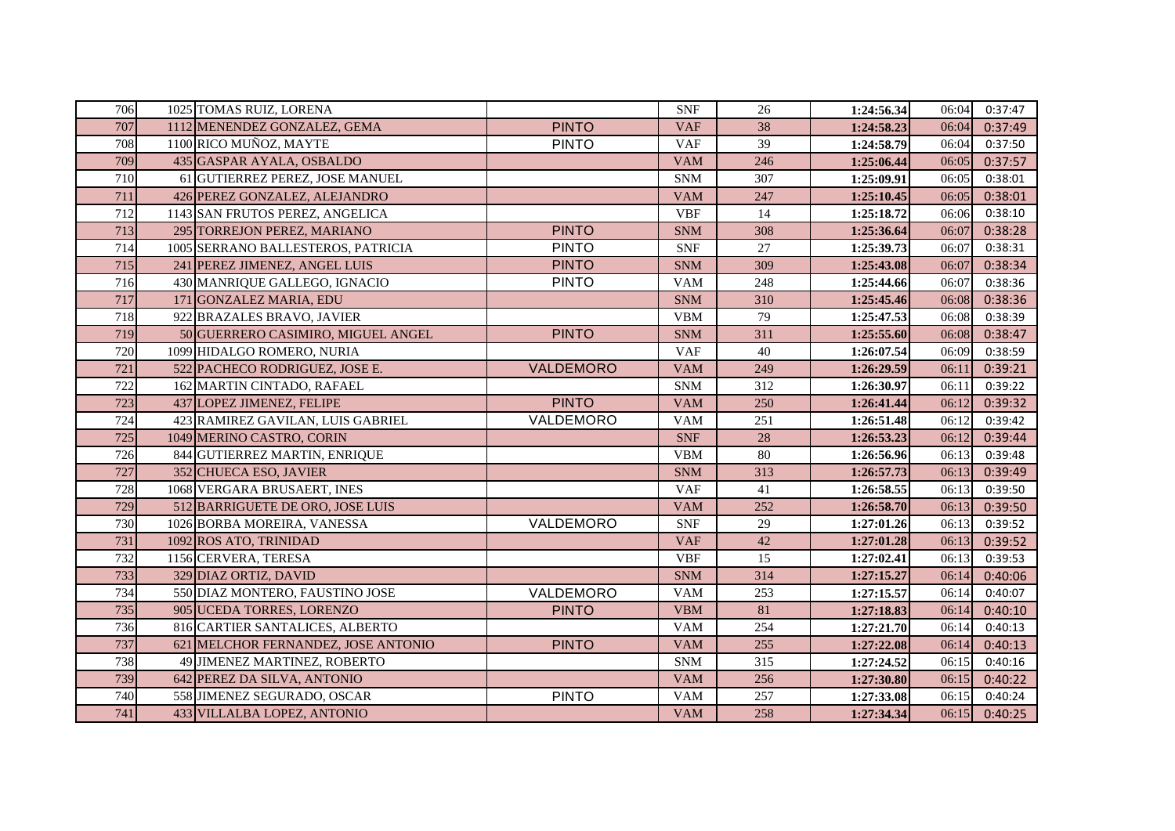| 706 | 1025 TOMAS RUIZ, LORENA             |              | <b>SNF</b> | 26  | 1:24:56.34 | 06:04 | 0:37:47 |
|-----|-------------------------------------|--------------|------------|-----|------------|-------|---------|
| 707 | 1112 MENENDEZ GONZALEZ, GEMA        | <b>PINTO</b> | <b>VAF</b> | 38  | 1:24:58.23 | 06:04 | 0:37:49 |
| 708 | 1100 RICO MUÑOZ, MAYTE              | <b>PINTO</b> | <b>VAF</b> | 39  | 1:24:58.79 | 06:04 | 0:37:50 |
| 709 | 435 GASPAR AYALA, OSBALDO           |              | <b>VAM</b> | 246 | 1:25:06.44 | 06:05 | 0:37:57 |
| 710 | 61 GUTIERREZ PEREZ, JOSE MANUEL     |              | <b>SNM</b> | 307 | 1:25:09.91 | 06:05 | 0:38:01 |
| 711 | 426 PEREZ GONZALEZ, ALEJANDRO       |              | <b>VAM</b> | 247 | 1:25:10.45 | 06:05 | 0:38:01 |
| 712 | 1143 SAN FRUTOS PEREZ, ANGELICA     |              | <b>VBF</b> | 14  | 1:25:18.72 | 06:06 | 0:38:10 |
| 713 | 295 TORREJON PEREZ, MARIANO         | <b>PINTO</b> | <b>SNM</b> | 308 | 1:25:36.64 | 06:07 | 0:38:28 |
| 714 | 1005 SERRANO BALLESTEROS, PATRICIA  | <b>PINTO</b> | <b>SNF</b> | 27  | 1:25:39.73 | 06:07 | 0:38:31 |
| 715 | 241 PEREZ JIMENEZ, ANGEL LUIS       | <b>PINTO</b> | <b>SNM</b> | 309 | 1:25:43.08 | 06:07 | 0:38:34 |
| 716 | 430 MANRIQUE GALLEGO, IGNACIO       | <b>PINTO</b> | <b>VAM</b> | 248 | 1:25:44.66 | 06:07 | 0:38:36 |
| 717 | 171 GONZALEZ MARIA, EDU             |              | <b>SNM</b> | 310 | 1:25:45.46 | 06:08 | 0:38:36 |
| 718 | 922 BRAZALES BRAVO, JAVIER          |              | <b>VBM</b> | 79  | 1:25:47.53 | 06:08 | 0:38:39 |
| 719 | 50 GUERRERO CASIMIRO, MIGUEL ANGEL  | <b>PINTO</b> | <b>SNM</b> | 311 | 1:25:55.60 | 06:08 | 0:38:47 |
| 720 | 1099 HIDALGO ROMERO, NURIA          |              | <b>VAF</b> | 40  | 1:26:07.54 | 06:09 | 0:38:59 |
| 721 | 522 PACHECO RODRIGUEZ, JOSE E.      | VALDEMORO    | <b>VAM</b> | 249 | 1:26:29.59 | 06:11 | 0:39:21 |
| 722 | 162 MARTIN CINTADO, RAFAEL          |              | <b>SNM</b> | 312 | 1:26:30.97 | 06:11 | 0:39:22 |
| 723 | 437 LOPEZ JIMENEZ, FELIPE           | <b>PINTO</b> | <b>VAM</b> | 250 | 1:26:41.44 | 06:12 | 0:39:32 |
| 724 | 423 RAMIREZ GAVILAN, LUIS GABRIEL   | VALDEMORO    | <b>VAM</b> | 251 | 1:26:51.48 | 06:12 | 0:39:42 |
| 725 | 1049 MERINO CASTRO, CORIN           |              | <b>SNF</b> | 28  | 1:26:53.23 | 06:12 | 0:39:44 |
| 726 | 844 GUTIERREZ MARTIN, ENRIQUE       |              | <b>VBM</b> | 80  | 1:26:56.96 | 06:13 | 0:39:48 |
| 727 | 352 CHUECA ESO, JAVIER              |              | <b>SNM</b> | 313 | 1:26:57.73 | 06:13 | 0:39:49 |
| 728 | 1068 VERGARA BRUSAERT, INES         |              | <b>VAF</b> | 41  | 1:26:58.55 | 06:13 | 0:39:50 |
| 729 | 512 BARRIGUETE DE ORO, JOSE LUIS    |              | <b>VAM</b> | 252 | 1:26:58.70 | 06:13 | 0:39:50 |
| 730 | 1026 BORBA MOREIRA, VANESSA         | VALDEMORO    | <b>SNF</b> | 29  | 1:27:01.26 | 06:13 | 0:39:52 |
| 731 | 1092 ROS ATO, TRINIDAD              |              | <b>VAF</b> | 42  | 1:27:01.28 | 06:13 | 0:39:52 |
| 732 | 1156 CERVERA, TERESA                |              | <b>VBF</b> | 15  | 1:27:02.41 | 06:13 | 0:39:53 |
| 733 | 329 DIAZ ORTIZ, DAVID               |              | <b>SNM</b> | 314 | 1:27:15.27 | 06:14 | 0:40:06 |
| 734 | 550 DIAZ MONTERO, FAUSTINO JOSE     | VALDEMORO    | <b>VAM</b> | 253 | 1:27:15.57 | 06:14 | 0:40:07 |
| 735 | 905 UCEDA TORRES, LORENZO           | <b>PINTO</b> | <b>VBM</b> | 81  | 1:27:18.83 | 06:14 | 0:40:10 |
| 736 | 816 CARTIER SANTALICES, ALBERTO     |              | <b>VAM</b> | 254 | 1:27:21.70 | 06:14 | 0:40:13 |
| 737 | 621 MELCHOR FERNANDEZ, JOSE ANTONIO | <b>PINTO</b> | <b>VAM</b> | 255 | 1:27:22.08 | 06:14 | 0:40:13 |
| 738 | 49 JIMENEZ MARTINEZ, ROBERTO        |              | <b>SNM</b> | 315 | 1:27:24.52 | 06:15 | 0:40:16 |
| 739 | 642 PEREZ DA SILVA, ANTONIO         |              | <b>VAM</b> | 256 | 1:27:30.80 | 06:15 | 0:40:22 |
| 740 | 558 JIMENEZ SEGURADO, OSCAR         | <b>PINTO</b> | <b>VAM</b> | 257 | 1:27:33.08 | 06:15 | 0:40:24 |
| 741 | 433 VILLALBA LOPEZ, ANTONIO         |              | <b>VAM</b> | 258 | 1:27:34.34 | 06:15 | 0:40:25 |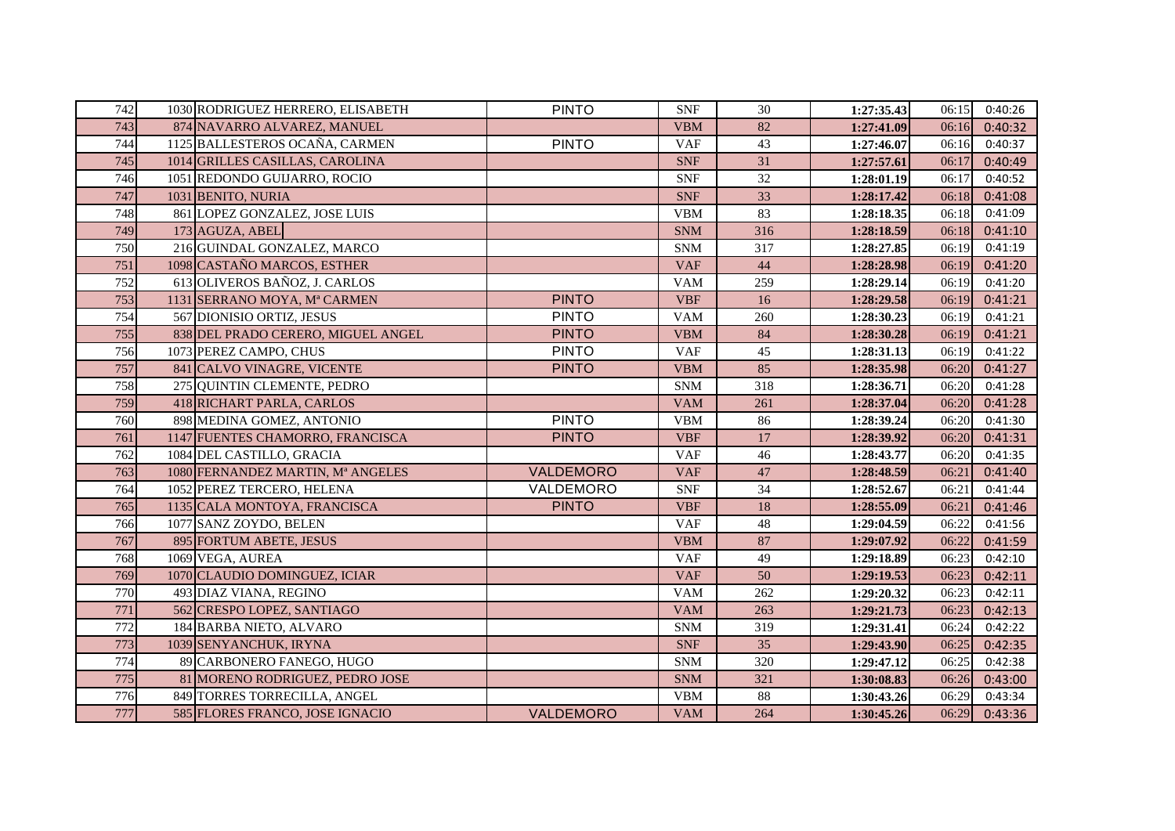| 742 | 1030 RODRIGUEZ HERRERO, ELISABETH  | <b>PINTO</b> | <b>SNF</b> | 30  | 1:27:35.43 | 06:15 | 0:40:26 |
|-----|------------------------------------|--------------|------------|-----|------------|-------|---------|
| 743 | 874 NAVARRO ALVAREZ, MANUEL        |              | <b>VBM</b> | 82  | 1:27:41.09 | 06:16 | 0:40:32 |
| 744 | 1125 BALLESTEROS OCAÑA, CARMEN     | <b>PINTO</b> | <b>VAF</b> | 43  | 1:27:46.07 | 06:16 | 0:40:37 |
| 745 | 1014 GRILLES CASILLAS, CAROLINA    |              | <b>SNF</b> | 31  | 1:27:57.61 | 06:17 | 0:40:49 |
| 746 | 1051 REDONDO GUIJARRO, ROCIO       |              | <b>SNF</b> | 32  | 1:28:01.19 | 06:17 | 0:40:52 |
| 747 | 1031 BENITO, NURIA                 |              | <b>SNF</b> | 33  | 1:28:17.42 | 06:18 | 0:41:08 |
| 748 | 861 LOPEZ GONZALEZ, JOSE LUIS      |              | <b>VBM</b> | 83  | 1:28:18.35 | 06:18 | 0:41:09 |
| 749 | 173 AGUZA, ABEL                    |              | <b>SNM</b> | 316 | 1:28:18.59 | 06:18 | 0:41:10 |
| 750 | 216 GUINDAL GONZALEZ, MARCO        |              | <b>SNM</b> | 317 | 1:28:27.85 | 06:19 | 0:41:19 |
| 751 | 1098 CASTAÑO MARCOS, ESTHER        |              | <b>VAF</b> | 44  | 1:28:28.98 | 06:19 | 0:41:20 |
| 752 | 613 OLIVEROS BAÑOZ, J. CARLOS      |              | <b>VAM</b> | 259 | 1:28:29.14 | 06:19 | 0:41:20 |
| 753 | 1131 SERRANO MOYA, Mª CARMEN       | <b>PINTO</b> | <b>VBF</b> | 16  | 1:28:29.58 | 06:19 | 0:41:21 |
| 754 | 567 DIONISIO ORTIZ, JESUS          | <b>PINTO</b> | <b>VAM</b> | 260 | 1:28:30.23 | 06:19 | 0:41:21 |
| 755 | 838 DEL PRADO CERERO, MIGUEL ANGEL | <b>PINTO</b> | <b>VBM</b> | 84  | 1:28:30.28 | 06:19 | 0:41:21 |
| 756 | 1073 PEREZ CAMPO, CHUS             | <b>PINTO</b> | <b>VAF</b> | 45  | 1:28:31.13 | 06:19 | 0:41:22 |
| 757 | 841 CALVO VINAGRE, VICENTE         | <b>PINTO</b> | <b>VBM</b> | 85  | 1:28:35.98 | 06:20 | 0:41:27 |
| 758 | 275 QUINTIN CLEMENTE, PEDRO        |              | <b>SNM</b> | 318 | 1:28:36.71 | 06:20 | 0:41:28 |
| 759 | 418 RICHART PARLA, CARLOS          |              | <b>VAM</b> | 261 | 1:28:37.04 | 06:20 | 0:41:28 |
| 760 | 898 MEDINA GOMEZ, ANTONIO          | <b>PINTO</b> | <b>VBM</b> | 86  | 1:28:39.24 | 06:20 | 0:41:30 |
| 761 | 1147 FUENTES CHAMORRO, FRANCISCA   | <b>PINTO</b> | <b>VBF</b> | 17  | 1:28:39.92 | 06:20 | 0:41:31 |
| 762 | 1084 DEL CASTILLO, GRACIA          |              | <b>VAF</b> | 46  | 1:28:43.77 | 06:20 | 0:41:35 |
| 763 | 1080 FERNANDEZ MARTIN, Mª ANGELES  | VALDEMORO    | <b>VAF</b> | 47  | 1:28:48.59 | 06:21 | 0:41:40 |
| 764 | 1052 PEREZ TERCERO, HELENA         | VALDEMORO    | <b>SNF</b> | 34  | 1:28:52.67 | 06:21 | 0:41:44 |
| 765 | 1135 CALA MONTOYA, FRANCISCA       | <b>PINTO</b> | <b>VBF</b> | 18  | 1:28:55.09 | 06:21 | 0:41:46 |
| 766 | 1077 SANZ ZOYDO, BELEN             |              | <b>VAF</b> | 48  | 1:29:04.59 | 06:22 | 0:41:56 |
| 767 | 895 FORTUM ABETE, JESUS            |              | <b>VBM</b> | 87  | 1:29:07.92 | 06:22 | 0:41:59 |
| 768 | 1069 VEGA, AUREA                   |              | <b>VAF</b> | 49  | 1:29:18.89 | 06:23 | 0:42:10 |
| 769 | 1070 CLAUDIO DOMINGUEZ, ICIAR      |              | <b>VAF</b> | 50  | 1:29:19.53 | 06:23 | 0:42:11 |
| 770 | 493 DIAZ VIANA, REGINO             |              | <b>VAM</b> | 262 | 1:29:20.32 | 06:23 | 0:42:11 |
| 771 | 562 CRESPO LOPEZ, SANTIAGO         |              | <b>VAM</b> | 263 | 1:29:21.73 | 06:23 | 0:42:13 |
| 772 | 184 BARBA NIETO, ALVARO            |              | <b>SNM</b> | 319 | 1:29:31.41 | 06:24 | 0:42:22 |
| 773 | 1039 SENYANCHUK, IRYNA             |              | <b>SNF</b> | 35  | 1:29:43.90 | 06:25 | 0:42:35 |
| 774 | 89 CARBONERO FANEGO, HUGO          |              | <b>SNM</b> | 320 | 1:29:47.12 | 06:25 | 0:42:38 |
| 775 | 81 MORENO RODRIGUEZ, PEDRO JOSE    |              | <b>SNM</b> | 321 | 1:30:08.83 | 06:26 | 0:43:00 |
| 776 | 849 TORRES TORRECILLA, ANGEL       |              | <b>VBM</b> | 88  | 1:30:43.26 | 06:29 | 0:43:34 |
| 777 | 585 FLORES FRANCO, JOSE IGNACIO    | VALDEMORO    | <b>VAM</b> | 264 | 1:30:45.26 | 06:29 | 0:43:36 |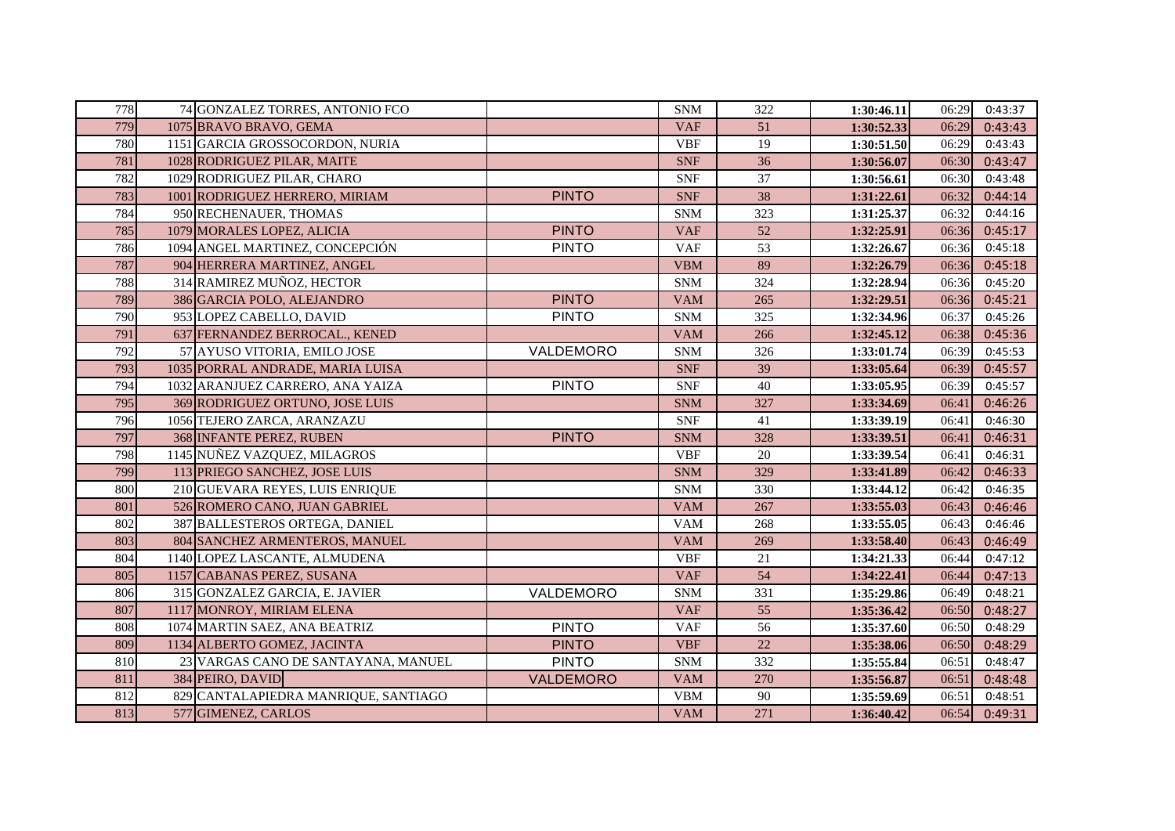| 778 | 74 GONZALEZ TORRES, ANTONIO FCO      |              | <b>SNM</b> | 322 | 1:30:46.11 | 06:29 | 0:43:37 |
|-----|--------------------------------------|--------------|------------|-----|------------|-------|---------|
| 779 | 1075 BRAVO BRAVO, GEMA               |              | <b>VAF</b> | 51  | 1:30:52.33 | 06:29 | 0:43:43 |
| 780 | 1151 GARCIA GROSSOCORDON, NURIA      |              | <b>VBF</b> | 19  | 1:30:51.50 | 06:29 | 0:43:43 |
| 781 | 1028 RODRIGUEZ PILAR, MAITE          |              | <b>SNF</b> | 36  | 1:30:56.07 | 06:30 | 0:43:47 |
| 782 | 1029 RODRIGUEZ PILAR, CHARO          |              | <b>SNF</b> | 37  | 1:30:56.61 | 06:30 | 0:43:48 |
| 783 | 1001 RODRIGUEZ HERRERO, MIRIAM       | <b>PINTO</b> | <b>SNF</b> | 38  | 1:31:22.61 | 06:32 | 0:44:14 |
| 784 | 950 RECHENAUER, THOMAS               |              | <b>SNM</b> | 323 | 1:31:25.37 | 06:32 | 0:44:16 |
| 785 | 1079 MORALES LOPEZ, ALICIA           | <b>PINTO</b> | <b>VAF</b> | 52  | 1:32:25.91 | 06:36 | 0:45:17 |
| 786 | 1094 ANGEL MARTINEZ, CONCEPCIÓN      | <b>PINTO</b> | <b>VAF</b> | 53  | 1:32:26.67 | 06:36 | 0:45:18 |
| 787 | 904 HERRERA MARTINEZ, ANGEL          |              | <b>VBM</b> | 89  | 1:32:26.79 | 06:36 | 0:45:18 |
| 788 | 314 RAMIREZ MUÑOZ, HECTOR            |              | <b>SNM</b> | 324 | 1:32:28.94 | 06:36 | 0:45:20 |
| 789 | 386 GARCIA POLO, ALEJANDRO           | <b>PINTO</b> | <b>VAM</b> | 265 | 1:32:29.51 | 06:36 | 0:45:21 |
| 790 | 953 LOPEZ CABELLO, DAVID             | <b>PINTO</b> | <b>SNM</b> | 325 | 1:32:34.96 | 06:37 | 0:45:26 |
| 791 | 637 FERNANDEZ BERROCAL., KENED       |              | <b>VAM</b> | 266 | 1:32:45.12 | 06:38 | 0:45:36 |
| 792 | 57 AYUSO VITORIA, EMILO JOSE         | VALDEMORO    | <b>SNM</b> | 326 | 1:33:01.74 | 06:39 | 0:45:53 |
| 793 | 1035 PORRAL ANDRADE, MARIA LUISA     |              | <b>SNF</b> | 39  | 1:33:05.64 | 06:39 | 0:45:57 |
| 794 | 1032 ARANJUEZ CARRERO, ANA YAIZA     | <b>PINTO</b> | <b>SNF</b> | 40  | 1:33:05.95 | 06:39 | 0:45:57 |
| 795 | 369 RODRIGUEZ ORTUNO, JOSE LUIS      |              | <b>SNM</b> | 327 | 1:33:34.69 | 06:41 | 0:46:26 |
| 796 | 1056 TEJERO ZARCA, ARANZAZU          |              | <b>SNF</b> | 41  | 1:33:39.19 | 06:41 | 0:46:30 |
| 797 | 368 INFANTE PEREZ, RUBEN             | <b>PINTO</b> | <b>SNM</b> | 328 | 1:33:39.51 | 06:41 | 0:46:31 |
| 798 | 1145 NUÑEZ VAZQUEZ, MILAGROS         |              | <b>VBF</b> | 20  | 1:33:39.54 | 06:41 | 0:46:31 |
| 799 | 113 PRIEGO SANCHEZ, JOSE LUIS        |              | <b>SNM</b> | 329 | 1:33:41.89 | 06:42 | 0:46:33 |
| 800 | 210 GUEVARA REYES, LUIS ENRIQUE      |              | <b>SNM</b> | 330 | 1:33:44.12 | 06:42 | 0:46:35 |
| 801 | 526 ROMERO CANO, JUAN GABRIEL        |              | <b>VAM</b> | 267 | 1:33:55.03 | 06:43 | 0:46:46 |
| 802 | 387 BALLESTEROS ORTEGA, DANIEL       |              | <b>VAM</b> | 268 | 1:33:55.05 | 06:43 | 0:46:46 |
| 803 | 804 SANCHEZ ARMENTEROS, MANUEL       |              | <b>VAM</b> | 269 | 1:33:58.40 | 06:43 | 0:46:49 |
| 804 | 1140 LOPEZ LASCANTE, ALMUDENA        |              | <b>VBF</b> | 21  | 1:34:21.33 | 06:44 | 0:47:12 |
| 805 | 1157 CABANAS PEREZ, SUSANA           |              | <b>VAF</b> | 54  | 1:34:22.41 | 06:44 | 0:47:13 |
| 806 | 315 GONZALEZ GARCIA, E. JAVIER       | VALDEMORO    | <b>SNM</b> | 331 | 1:35:29.86 | 06:49 | 0:48:21 |
| 807 | 1117 MONROY, MIRIAM ELENA            |              | <b>VAF</b> | 55  | 1:35:36.42 | 06:50 | 0:48:27 |
| 808 | 1074 MARTIN SAEZ, ANA BEATRIZ        | <b>PINTO</b> | <b>VAF</b> | 56  | 1:35:37.60 | 06:50 | 0:48:29 |
| 809 | 1134 ALBERTO GOMEZ, JACINTA          | <b>PINTO</b> | <b>VBF</b> | 22  | 1:35:38.06 | 06:50 | 0:48:29 |
| 810 | 23 VARGAS CANO DE SANTAYANA, MANUEL  | <b>PINTO</b> | <b>SNM</b> | 332 | 1:35:55.84 | 06:51 | 0:48:47 |
| 811 | 384 PEIRO, DAVID                     | VALDEMORO    | <b>VAM</b> | 270 | 1:35:56.87 | 06:51 | 0:48:48 |
| 812 | 829 CANTALAPIEDRA MANRIQUE, SANTIAGO |              | <b>VBM</b> | 90  | 1:35:59.69 | 06:51 | 0:48:51 |
| 813 | 577 GIMENEZ, CARLOS                  |              | <b>VAM</b> | 271 | 1:36:40.42 | 06:54 | 0:49:31 |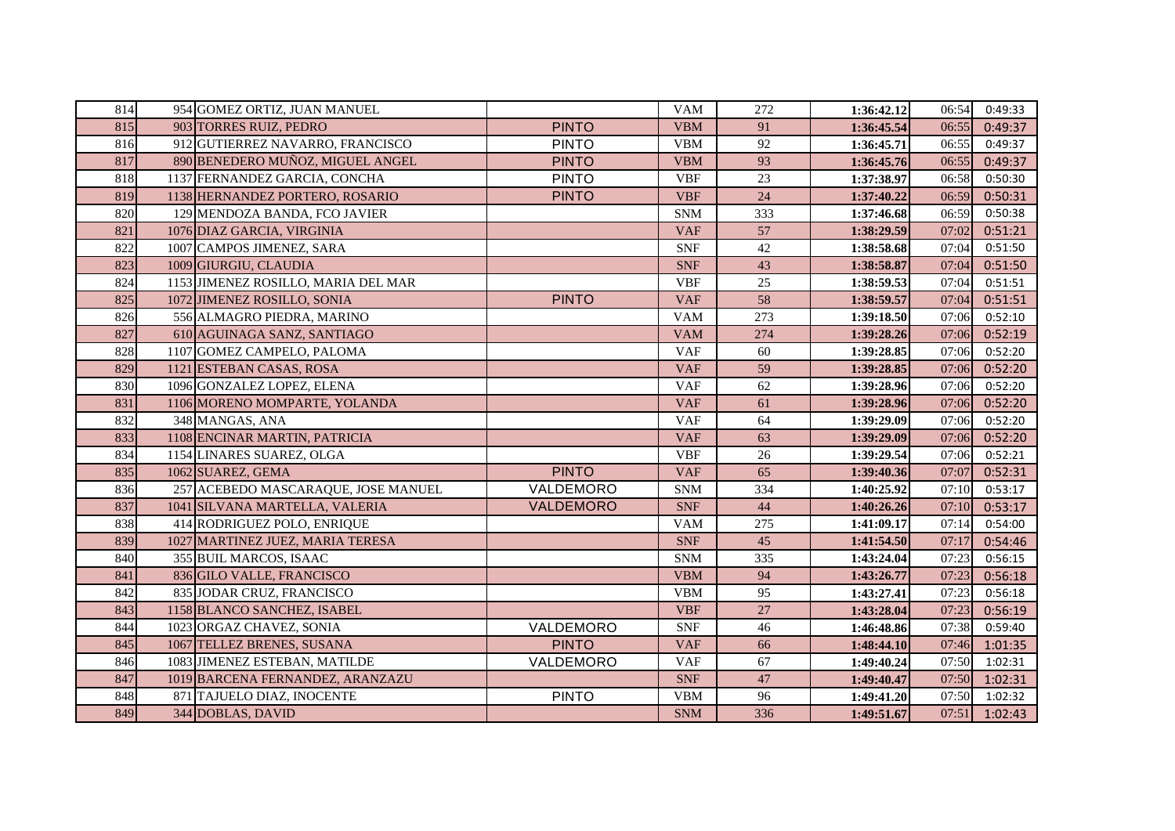| 814 | 954 GOMEZ ORTIZ, JUAN MANUEL        |              | <b>VAM</b> | 272 | 1:36:42.12 | 06:54 | 0:49:33 |
|-----|-------------------------------------|--------------|------------|-----|------------|-------|---------|
| 815 | 903 TORRES RUIZ, PEDRO              | <b>PINTO</b> | <b>VBM</b> | 91  | 1:36:45.54 | 06:55 | 0:49:37 |
| 816 | 912 GUTIERREZ NAVARRO, FRANCISCO    | <b>PINTO</b> | <b>VBM</b> | 92  | 1:36:45.71 | 06:55 | 0:49:37 |
| 817 | 890 BENEDERO MUÑOZ, MIGUEL ANGEL    | <b>PINTO</b> | <b>VBM</b> | 93  | 1:36:45.76 | 06:55 | 0:49:37 |
| 818 | 1137 FERNANDEZ GARCIA, CONCHA       | <b>PINTO</b> | <b>VBF</b> | 23  | 1:37:38.97 | 06:58 | 0:50:30 |
| 819 | 1138 HERNANDEZ PORTERO, ROSARIO     | <b>PINTO</b> | <b>VBF</b> | 24  | 1:37:40.22 | 06:59 | 0:50:31 |
| 820 | 129 MENDOZA BANDA, FCO JAVIER       |              | <b>SNM</b> | 333 | 1:37:46.68 | 06:59 | 0:50:38 |
| 821 | 1076 DIAZ GARCIA, VIRGINIA          |              | <b>VAF</b> | 57  | 1:38:29.59 | 07:02 | 0:51:21 |
| 822 | 1007 CAMPOS JIMENEZ, SARA           |              | <b>SNF</b> | 42  | 1:38:58.68 | 07:04 | 0:51:50 |
| 823 | 1009 GIURGIU, CLAUDIA               |              | <b>SNF</b> | 43  | 1:38:58.87 | 07:04 | 0:51:50 |
| 824 | 1153 JIMENEZ ROSILLO, MARIA DEL MAR |              | <b>VBF</b> | 25  | 1:38:59.53 | 07:04 | 0:51:51 |
| 825 | 1072 JIMENEZ ROSILLO, SONIA         | <b>PINTO</b> | <b>VAF</b> | 58  | 1:38:59.57 | 07:04 | 0:51:51 |
| 826 | 556 ALMAGRO PIEDRA, MARINO          |              | <b>VAM</b> | 273 | 1:39:18.50 | 07:06 | 0:52:10 |
| 827 | 610 AGUINAGA SANZ, SANTIAGO         |              | <b>VAM</b> | 274 | 1:39:28.26 | 07:06 | 0:52:19 |
| 828 | 1107 GOMEZ CAMPELO, PALOMA          |              | <b>VAF</b> | 60  | 1:39:28.85 | 07:06 | 0:52:20 |
| 829 | 1121 ESTEBAN CASAS, ROSA            |              | <b>VAF</b> | 59  | 1:39:28.85 | 07:06 | 0:52:20 |
| 830 | 1096 GONZALEZ LOPEZ, ELENA          |              | <b>VAF</b> | 62  | 1:39:28.96 | 07:06 | 0:52:20 |
| 831 | 1106 MORENO MOMPARTE, YOLANDA       |              | <b>VAF</b> | 61  | 1:39:28.96 | 07:06 | 0:52:20 |
| 832 | 348 MANGAS, ANA                     |              | <b>VAF</b> | 64  | 1:39:29.09 | 07:06 | 0:52:20 |
| 833 | 1108 ENCINAR MARTIN, PATRICIA       |              | <b>VAF</b> | 63  | 1:39:29.09 | 07:06 | 0:52:20 |
| 834 | 1154 LINARES SUAREZ, OLGA           |              | <b>VBF</b> | 26  | 1:39:29.54 | 07:06 | 0:52:21 |
| 835 | 1062 SUAREZ, GEMA                   | <b>PINTO</b> | <b>VAF</b> | 65  | 1:39:40.36 | 07:07 | 0:52:31 |
| 836 | 257 ACEBEDO MASCARAQUE, JOSE MANUEL | VALDEMORO    | <b>SNM</b> | 334 | 1:40:25.92 | 07:10 | 0:53:17 |
| 837 | 1041 SILVANA MARTELLA, VALERIA      | VALDEMORO    | <b>SNF</b> | 44  | 1:40:26.26 | 07:10 | 0:53:17 |
| 838 | 414 RODRIGUEZ POLO, ENRIQUE         |              | <b>VAM</b> | 275 | 1:41:09.17 | 07:14 | 0:54:00 |
| 839 | 1027 MARTINEZ JUEZ, MARIA TERESA    |              | <b>SNF</b> | 45  | 1:41:54.50 | 07:17 | 0:54:46 |
| 840 | 355 BUIL MARCOS, ISAAC              |              | <b>SNM</b> | 335 | 1:43:24.04 | 07:23 | 0:56:15 |
| 841 | 836 GILO VALLE, FRANCISCO           |              | <b>VBM</b> | 94  | 1:43:26.77 | 07:23 | 0:56:18 |
| 842 | 835 JODAR CRUZ, FRANCISCO           |              | <b>VBM</b> | 95  | 1:43:27.41 | 07:23 | 0:56:18 |
| 843 | 1158 BLANCO SANCHEZ, ISABEL         |              | <b>VBF</b> | 27  | 1:43:28.04 | 07:23 | 0:56:19 |
| 844 | 1023 ORGAZ CHAVEZ, SONIA            | VALDEMORO    | <b>SNF</b> | 46  | 1:46:48.86 | 07:38 | 0:59:40 |
| 845 | 1067 TELLEZ BRENES, SUSANA          | <b>PINTO</b> | <b>VAF</b> | 66  | 1:48:44.10 | 07:46 | 1:01:35 |
| 846 | 1083 JIMENEZ ESTEBAN, MATILDE       | VALDEMORO    | <b>VAF</b> | 67  | 1:49:40.24 | 07:50 | 1:02:31 |
| 847 | 1019 BARCENA FERNANDEZ, ARANZAZU    |              | <b>SNF</b> | 47  | 1:49:40.47 | 07:50 | 1:02:31 |
| 848 | 871 TAJUELO DIAZ, INOCENTE          | <b>PINTO</b> | <b>VBM</b> | 96  | 1:49:41.20 | 07:50 | 1:02:32 |
| 849 | 344 DOBLAS, DAVID                   |              | <b>SNM</b> | 336 | 1:49:51.67 | 07:51 | 1:02:43 |